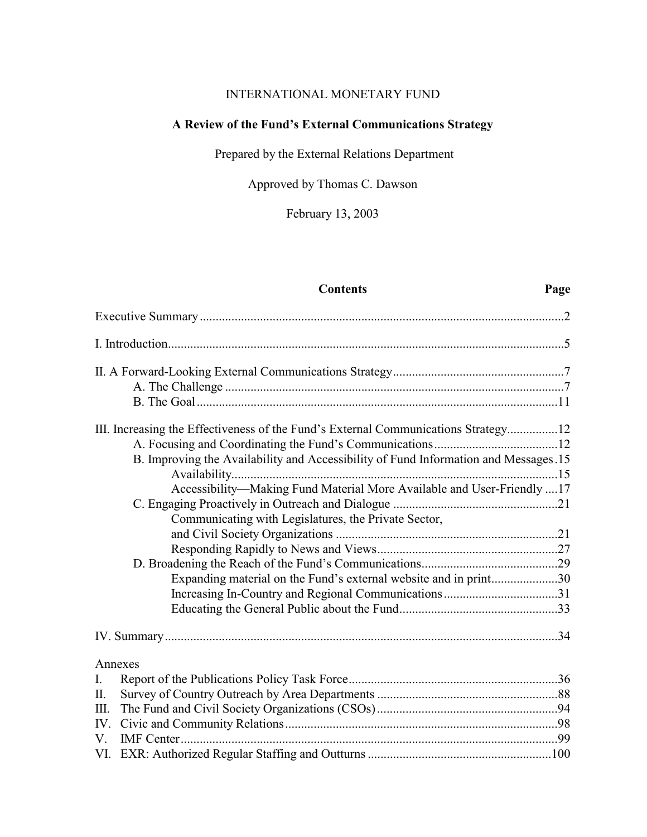# INTERNATIONAL MONETARY FUND

# **A Review of the Fund's External Communications Strategy**

Prepared by the External Relations Department

Approved by Thomas C. Dawson

February 13, 2003

# **Contents Page**

|         | III. Increasing the Effectiveness of the Fund's External Communications Strategy12  |  |
|---------|-------------------------------------------------------------------------------------|--|
|         |                                                                                     |  |
|         | B. Improving the Availability and Accessibility of Fund Information and Messages.15 |  |
|         |                                                                                     |  |
|         | Accessibility-Making Fund Material More Available and User-Friendly  17             |  |
|         |                                                                                     |  |
|         | Communicating with Legislatures, the Private Sector,                                |  |
|         |                                                                                     |  |
|         |                                                                                     |  |
|         |                                                                                     |  |
|         | Expanding material on the Fund's external website and in print30                    |  |
|         |                                                                                     |  |
|         |                                                                                     |  |
|         |                                                                                     |  |
| Annexes |                                                                                     |  |
| I.      |                                                                                     |  |
| П.      |                                                                                     |  |
| Ш.      |                                                                                     |  |
| IV.     |                                                                                     |  |
| V.      |                                                                                     |  |
|         |                                                                                     |  |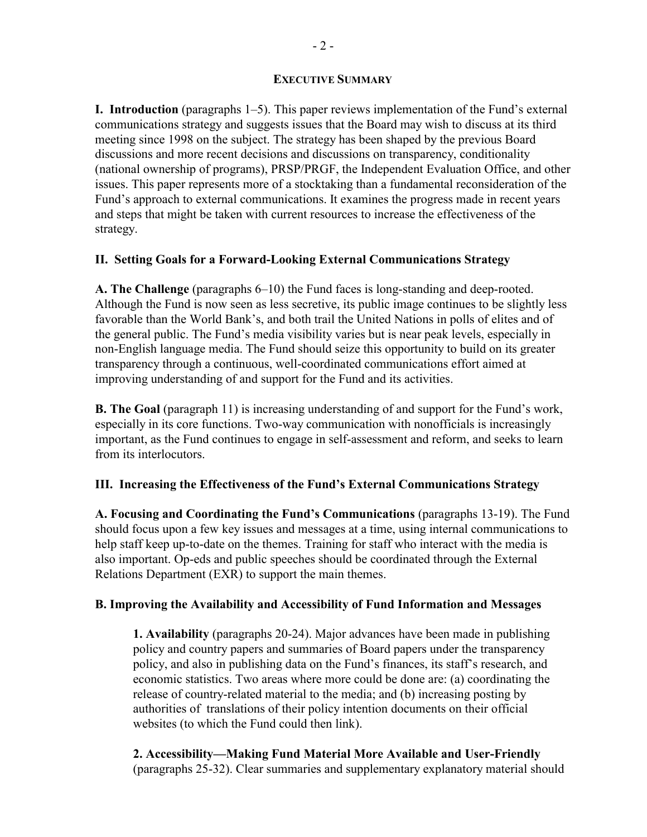#### **EXECUTIVE SUMMARY**

**I. Introduction** (paragraphs 1–5). This paper reviews implementation of the Fund's external communications strategy and suggests issues that the Board may wish to discuss at its third meeting since 1998 on the subject. The strategy has been shaped by the previous Board discussions and more recent decisions and discussions on transparency, conditionality (national ownership of programs), PRSP/PRGF, the Independent Evaluation Office, and other issues. This paper represents more of a stocktaking than a fundamental reconsideration of the Fund's approach to external communications. It examines the progress made in recent years and steps that might be taken with current resources to increase the effectiveness of the strategy.

#### **II. Setting Goals for a Forward-Looking External Communications Strategy**

**A. The Challenge** (paragraphs 6–10) the Fund faces is long-standing and deep-rooted. Although the Fund is now seen as less secretive, its public image continues to be slightly less favorable than the World Bank's, and both trail the United Nations in polls of elites and of the general public. The Fund's media visibility varies but is near peak levels, especially in non-English language media. The Fund should seize this opportunity to build on its greater transparency through a continuous, well-coordinated communications effort aimed at improving understanding of and support for the Fund and its activities.

**B. The Goal** (paragraph 11) is increasing understanding of and support for the Fund's work, especially in its core functions. Two-way communication with nonofficials is increasingly important, as the Fund continues to engage in self-assessment and reform, and seeks to learn from its interlocutors.

#### **III. Increasing the Effectiveness of the Fund's External Communications Strategy**

**A. Focusing and Coordinating the Fund's Communications** (paragraphs 13-19). The Fund should focus upon a few key issues and messages at a time, using internal communications to help staff keep up-to-date on the themes. Training for staff who interact with the media is also important. Op-eds and public speeches should be coordinated through the External Relations Department (EXR) to support the main themes.

#### **B. Improving the Availability and Accessibility of Fund Information and Messages**

**1. Availability** (paragraphs 20-24). Major advances have been made in publishing policy and country papers and summaries of Board papers under the transparency policy, and also in publishing data on the Fund's finances, its staff's research, and economic statistics. Two areas where more could be done are: (a) coordinating the release of country-related material to the media; and (b) increasing posting by authorities of translations of their policy intention documents on their official websites (to which the Fund could then link).

**2. Accessibility—Making Fund Material More Available and User-Friendly** (paragraphs 25-32). Clear summaries and supplementary explanatory material should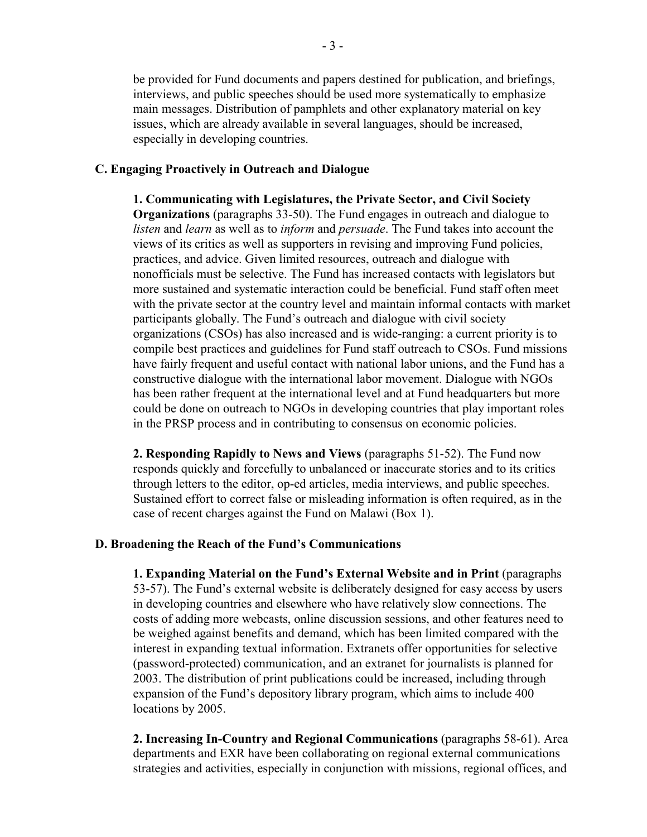be provided for Fund documents and papers destined for publication, and briefings, interviews, and public speeches should be used more systematically to emphasize main messages. Distribution of pamphlets and other explanatory material on key issues, which are already available in several languages, should be increased, especially in developing countries.

#### **C. Engaging Proactively in Outreach and Dialogue**

**1. Communicating with Legislatures, the Private Sector, and Civil Society Organizations** (paragraphs 33-50). The Fund engages in outreach and dialogue to *listen* and *learn* as well as to *inform* and *persuade*. The Fund takes into account the views of its critics as well as supporters in revising and improving Fund policies, practices, and advice. Given limited resources, outreach and dialogue with nonofficials must be selective. The Fund has increased contacts with legislators but more sustained and systematic interaction could be beneficial. Fund staff often meet with the private sector at the country level and maintain informal contacts with market participants globally. The Fund's outreach and dialogue with civil society organizations (CSOs) has also increased and is wide-ranging: a current priority is to compile best practices and guidelines for Fund staff outreach to CSOs. Fund missions have fairly frequent and useful contact with national labor unions, and the Fund has a constructive dialogue with the international labor movement. Dialogue with NGOs has been rather frequent at the international level and at Fund headquarters but more could be done on outreach to NGOs in developing countries that play important roles in the PRSP process and in contributing to consensus on economic policies.

**2. Responding Rapidly to News and Views** (paragraphs 51-52). The Fund now responds quickly and forcefully to unbalanced or inaccurate stories and to its critics through letters to the editor, op-ed articles, media interviews, and public speeches. Sustained effort to correct false or misleading information is often required, as in the case of recent charges against the Fund on Malawi (Box 1).

#### **D. Broadening the Reach of the Fund's Communications**

**1. Expanding Material on the Fund's External Website and in Print** (paragraphs 53-57). The Fund's external website is deliberately designed for easy access by users in developing countries and elsewhere who have relatively slow connections. The costs of adding more webcasts, online discussion sessions, and other features need to be weighed against benefits and demand, which has been limited compared with the interest in expanding textual information. Extranets offer opportunities for selective (password-protected) communication, and an extranet for journalists is planned for 2003. The distribution of print publications could be increased, including through expansion of the Fund's depository library program, which aims to include 400 locations by 2005.

**2. Increasing In-Country and Regional Communications** (paragraphs 58-61). Area departments and EXR have been collaborating on regional external communications strategies and activities, especially in conjunction with missions, regional offices, and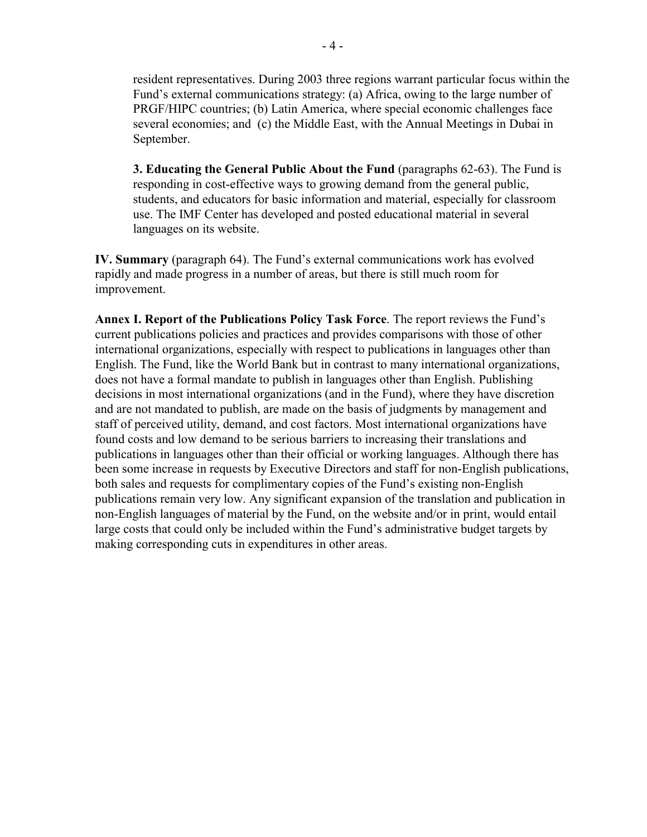resident representatives. During 2003 three regions warrant particular focus within the Fund's external communications strategy: (a) Africa, owing to the large number of PRGF/HIPC countries; (b) Latin America, where special economic challenges face several economies; and (c) the Middle East, with the Annual Meetings in Dubai in September.

**3. Educating the General Public About the Fund** (paragraphs 62-63). The Fund is responding in cost-effective ways to growing demand from the general public, students, and educators for basic information and material, especially for classroom use. The IMF Center has developed and posted educational material in several languages on its website.

**IV. Summary** (paragraph 64). The Fund's external communications work has evolved rapidly and made progress in a number of areas, but there is still much room for improvement.

**Annex I. Report of the Publications Policy Task Force**. The report reviews the Fund's current publications policies and practices and provides comparisons with those of other international organizations, especially with respect to publications in languages other than English. The Fund, like the World Bank but in contrast to many international organizations, does not have a formal mandate to publish in languages other than English. Publishing decisions in most international organizations (and in the Fund), where they have discretion and are not mandated to publish, are made on the basis of judgments by management and staff of perceived utility, demand, and cost factors. Most international organizations have found costs and low demand to be serious barriers to increasing their translations and publications in languages other than their official or working languages. Although there has been some increase in requests by Executive Directors and staff for non-English publications, both sales and requests for complimentary copies of the Fund's existing non-English publications remain very low. Any significant expansion of the translation and publication in non-English languages of material by the Fund, on the website and/or in print, would entail large costs that could only be included within the Fund's administrative budget targets by making corresponding cuts in expenditures in other areas.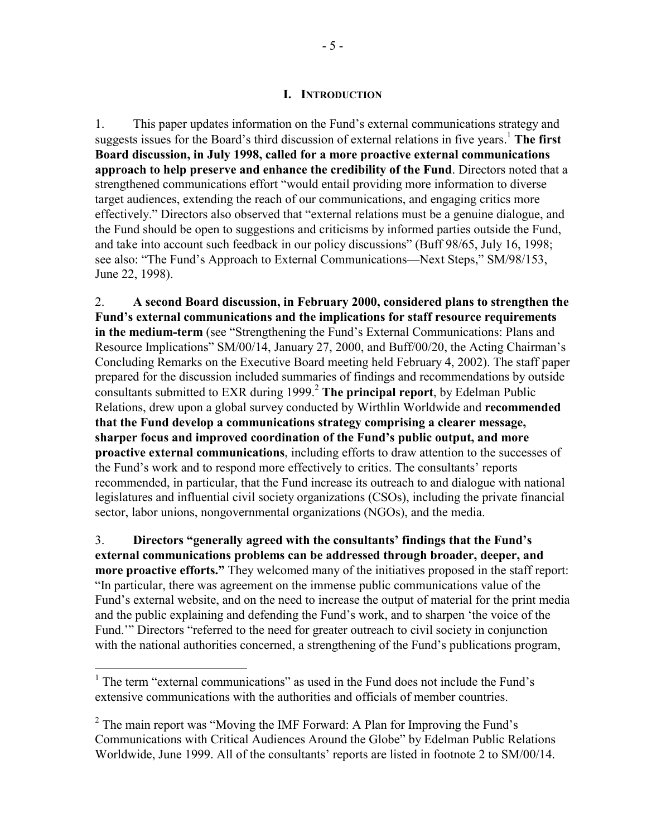#### **I. INTRODUCTION**

1. This paper updates information on the Fund's external communications strategy and suggests issues for the Board's third discussion of external relations in five years.<sup>1</sup> The first **Board discussion, in July 1998, called for a more proactive external communications approach to help preserve and enhance the credibility of the Fund**. Directors noted that a strengthened communications effort "would entail providing more information to diverse target audiences, extending the reach of our communications, and engaging critics more effectively." Directors also observed that "external relations must be a genuine dialogue, and the Fund should be open to suggestions and criticisms by informed parties outside the Fund, and take into account such feedback in our policy discussions" (Buff 98/65, July 16, 1998; see also: "The Fund's Approach to External Communications—Next Steps," SM/98/153, June 22, 1998).

2. **A second Board discussion, in February 2000, considered plans to strengthen the Fund's external communications and the implications for staff resource requirements in the medium-term** (see "Strengthening the Fund's External Communications: Plans and Resource Implications" SM/00/14, January 27, 2000, and Buff/00/20, the Acting Chairman's Concluding Remarks on the Executive Board meeting held February 4, 2002). The staff paper prepared for the discussion included summaries of findings and recommendations by outside consultants submitted to EXR during 1999.2 **The principal report**, by Edelman Public Relations, drew upon a global survey conducted by Wirthlin Worldwide and **recommended that the Fund develop a communications strategy comprising a clearer message, sharper focus and improved coordination of the Fund's public output, and more proactive external communications**, including efforts to draw attention to the successes of the Fund's work and to respond more effectively to critics. The consultants' reports recommended, in particular, that the Fund increase its outreach to and dialogue with national legislatures and influential civil society organizations (CSOs), including the private financial sector, labor unions, nongovernmental organizations (NGOs), and the media.

3. **Directors "generally agreed with the consultants' findings that the Fund's external communications problems can be addressed through broader, deeper, and more proactive efforts."** They welcomed many of the initiatives proposed in the staff report: "In particular, there was agreement on the immense public communications value of the Fund's external website, and on the need to increase the output of material for the print media and the public explaining and defending the Fund's work, and to sharpen 'the voice of the Fund." Directors "referred to the need for greater outreach to civil society in conjunction with the national authorities concerned, a strengthening of the Fund's publications program,

<u>.</u>

<sup>&</sup>lt;sup>1</sup> The term "external communications" as used in the Fund does not include the Fund's extensive communications with the authorities and officials of member countries.

<sup>&</sup>lt;sup>2</sup> The main report was "Moving the IMF Forward: A Plan for Improving the Fund's Communications with Critical Audiences Around the Globe" by Edelman Public Relations Worldwide, June 1999. All of the consultants' reports are listed in footnote 2 to SM/00/14.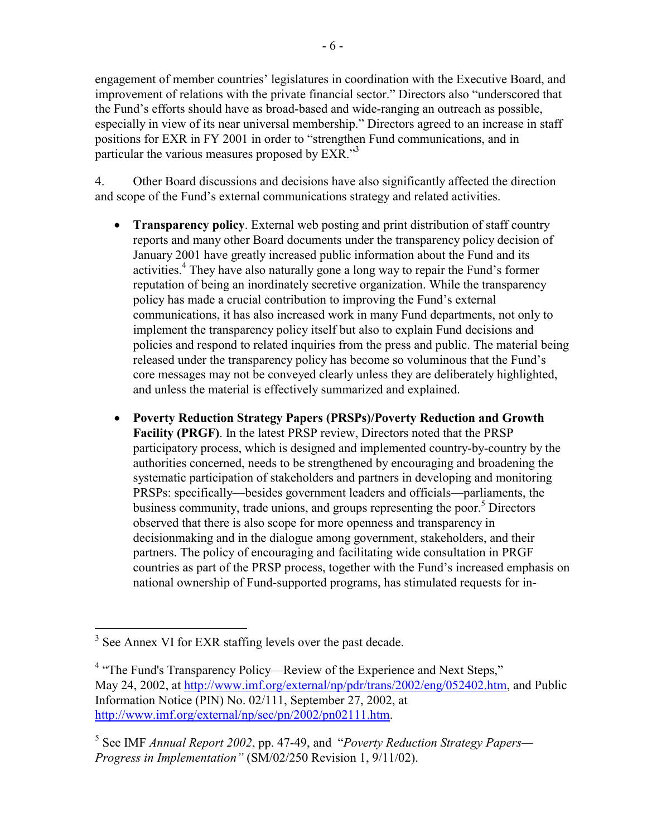engagement of member countries' legislatures in coordination with the Executive Board, and improvement of relations with the private financial sector." Directors also "underscored that the Fund's efforts should have as broad-based and wide-ranging an outreach as possible, especially in view of its near universal membership." Directors agreed to an increase in staff positions for EXR in FY 2001 in order to "strengthen Fund communications, and in particular the various measures proposed by EXR."<sup>3</sup>

4. Other Board discussions and decisions have also significantly affected the direction and scope of the Fund's external communications strategy and related activities.

- **Transparency policy**. External web posting and print distribution of staff country reports and many other Board documents under the transparency policy decision of January 2001 have greatly increased public information about the Fund and its activities.<sup>4</sup> They have also naturally gone a long way to repair the Fund's former reputation of being an inordinately secretive organization. While the transparency policy has made a crucial contribution to improving the Fund's external communications, it has also increased work in many Fund departments, not only to implement the transparency policy itself but also to explain Fund decisions and policies and respond to related inquiries from the press and public. The material being released under the transparency policy has become so voluminous that the Fund's core messages may not be conveyed clearly unless they are deliberately highlighted, and unless the material is effectively summarized and explained.
- **Poverty Reduction Strategy Papers (PRSPs)/Poverty Reduction and Growth Facility (PRGF)**. In the latest PRSP review, Directors noted that the PRSP participatory process, which is designed and implemented country-by-country by the authorities concerned, needs to be strengthened by encouraging and broadening the systematic participation of stakeholders and partners in developing and monitoring PRSPs: specifically—besides government leaders and officials—parliaments, the business community, trade unions, and groups representing the poor.<sup>5</sup> Directors observed that there is also scope for more openness and transparency in decisionmaking and in the dialogue among government, stakeholders, and their partners. The policy of encouraging and facilitating wide consultation in PRGF countries as part of the PRSP process, together with the Fund's increased emphasis on national ownership of Fund-supported programs, has stimulated requests for in-

<sup>&</sup>lt;sup>3</sup> See Annex VI for EXR staffing levels over the past decade.

<sup>&</sup>lt;sup>4</sup> "The Fund's Transparency Policy—Review of the Experience and Next Steps," May 24, 2002, at http://www.imf.org/external/np/pdr/trans/2002/eng/052402.htm, and Public Information Notice (PIN) No. 02/111, September 27, 2002, at http://www.imf.org/external/np/sec/pn/2002/pn02111.htm.

<sup>5</sup> See IMF *Annual Report 2002*, pp. 47-49, and "*Poverty Reduction Strategy Papers— Progress in Implementation"* (SM/02/250 Revision 1, 9/11/02).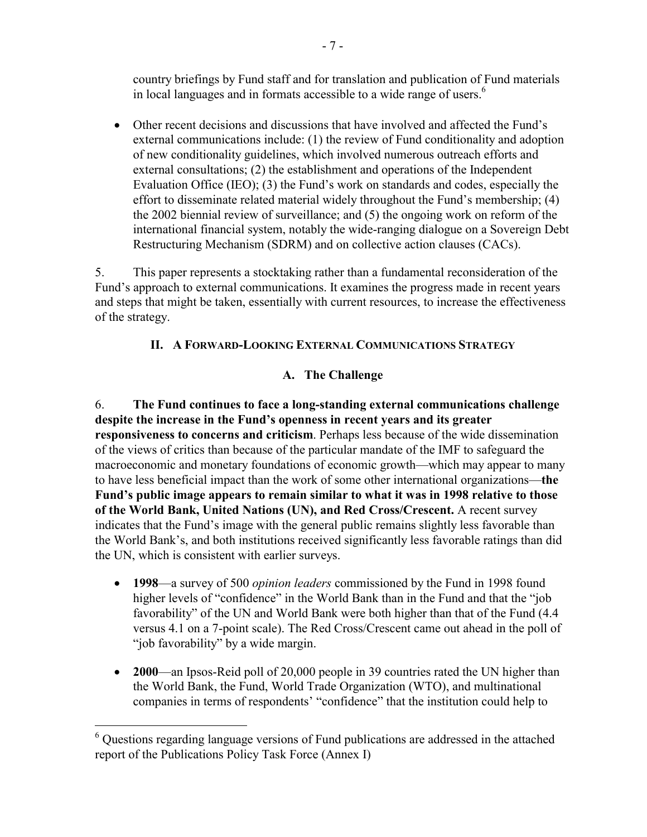country briefings by Fund staff and for translation and publication of Fund materials in local languages and in formats accessible to a wide range of users.<sup>6</sup>

• Other recent decisions and discussions that have involved and affected the Fund's external communications include: (1) the review of Fund conditionality and adoption of new conditionality guidelines, which involved numerous outreach efforts and external consultations; (2) the establishment and operations of the Independent Evaluation Office (IEO); (3) the Fund's work on standards and codes, especially the effort to disseminate related material widely throughout the Fund's membership; (4) the 2002 biennial review of surveillance; and (5) the ongoing work on reform of the international financial system, notably the wide-ranging dialogue on a Sovereign Debt Restructuring Mechanism (SDRM) and on collective action clauses (CACs).

5. This paper represents a stocktaking rather than a fundamental reconsideration of the Fund's approach to external communications. It examines the progress made in recent years and steps that might be taken, essentially with current resources, to increase the effectiveness of the strategy.

# **II. A FORWARD-LOOKING EXTERNAL COMMUNICATIONS STRATEGY**

# **A. The Challenge**

6. **The Fund continues to face a long-standing external communications challenge despite the increase in the Fund's openness in recent years and its greater responsiveness to concerns and criticism**. Perhaps less because of the wide dissemination of the views of critics than because of the particular mandate of the IMF to safeguard the macroeconomic and monetary foundations of economic growth—which may appear to many to have less beneficial impact than the work of some other international organizations—**the Fund's public image appears to remain similar to what it was in 1998 relative to those of the World Bank, United Nations (UN), and Red Cross/Crescent.** A recent survey indicates that the Fund's image with the general public remains slightly less favorable than the World Bank's, and both institutions received significantly less favorable ratings than did the UN, which is consistent with earlier surveys.

- **1998**—a survey of 500 *opinion leaders* commissioned by the Fund in 1998 found higher levels of "confidence" in the World Bank than in the Fund and that the "job favorability" of the UN and World Bank were both higher than that of the Fund (4.4 versus 4.1 on a 7-point scale). The Red Cross/Crescent came out ahead in the poll of "job favorability" by a wide margin.
- **2000**—an Ipsos-Reid poll of 20,000 people in 39 countries rated the UN higher than the World Bank, the Fund, World Trade Organization (WTO), and multinational companies in terms of respondents' "confidence" that the institution could help to

 $\overline{a}$ 

<sup>&</sup>lt;sup>6</sup> Questions regarding language versions of Fund publications are addressed in the attached report of the Publications Policy Task Force (Annex I)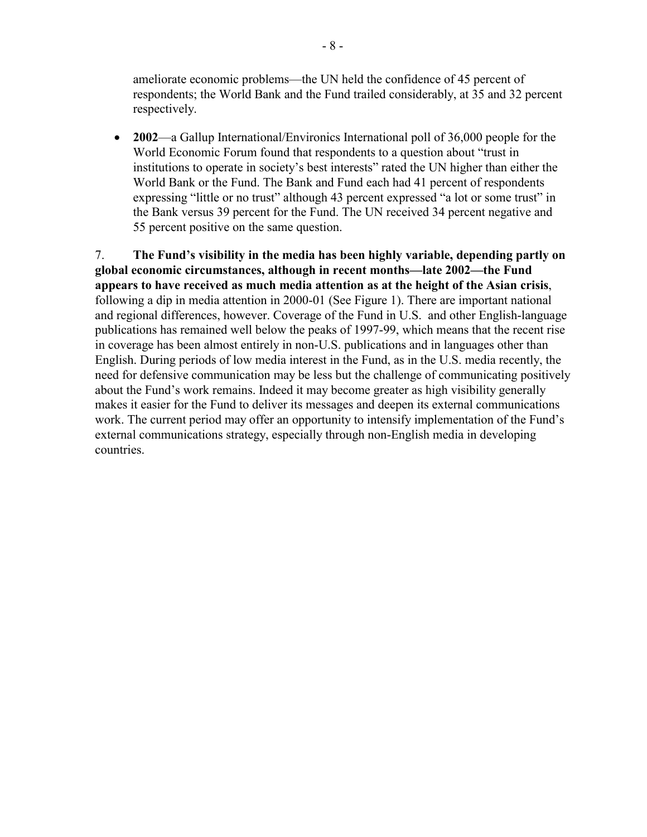ameliorate economic problems—the UN held the confidence of 45 percent of respondents; the World Bank and the Fund trailed considerably, at 35 and 32 percent respectively.

• **2002—a** Gallup International/Environics International poll of 36,000 people for the World Economic Forum found that respondents to a question about "trust in institutions to operate in society's best interests" rated the UN higher than either the World Bank or the Fund. The Bank and Fund each had 41 percent of respondents expressing "little or no trust" although 43 percent expressed "a lot or some trust" in the Bank versus 39 percent for the Fund. The UN received 34 percent negative and 55 percent positive on the same question.

7. **The Fund's visibility in the media has been highly variable, depending partly on global economic circumstances, although in recent months—late 2002—the Fund appears to have received as much media attention as at the height of the Asian crisis**, following a dip in media attention in 2000-01 (See Figure 1). There are important national and regional differences, however. Coverage of the Fund in U.S. and other English-language publications has remained well below the peaks of 1997-99, which means that the recent rise in coverage has been almost entirely in non-U.S. publications and in languages other than English. During periods of low media interest in the Fund, as in the U.S. media recently, the need for defensive communication may be less but the challenge of communicating positively about the Fund's work remains. Indeed it may become greater as high visibility generally makes it easier for the Fund to deliver its messages and deepen its external communications work. The current period may offer an opportunity to intensify implementation of the Fund's external communications strategy, especially through non-English media in developing countries.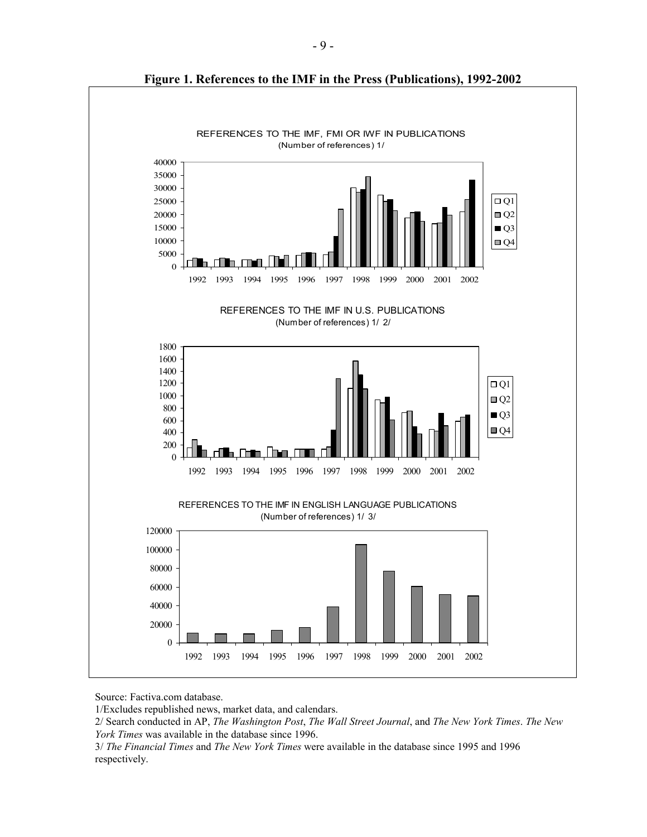

**Figure 1. References to the IMF in the Press (Publications), 1992-2002** 

Source: Factiva.com database.

1/Excludes republished news, market data, and calendars.

2/ Search conducted in AP, *The Washington Post*, *The Wall Street Journal*, and *The New York Times*. *The New York Times* was available in the database since 1996.

3/ *The Financial Times* and *The New York Times* were available in the database since 1995 and 1996 respectively.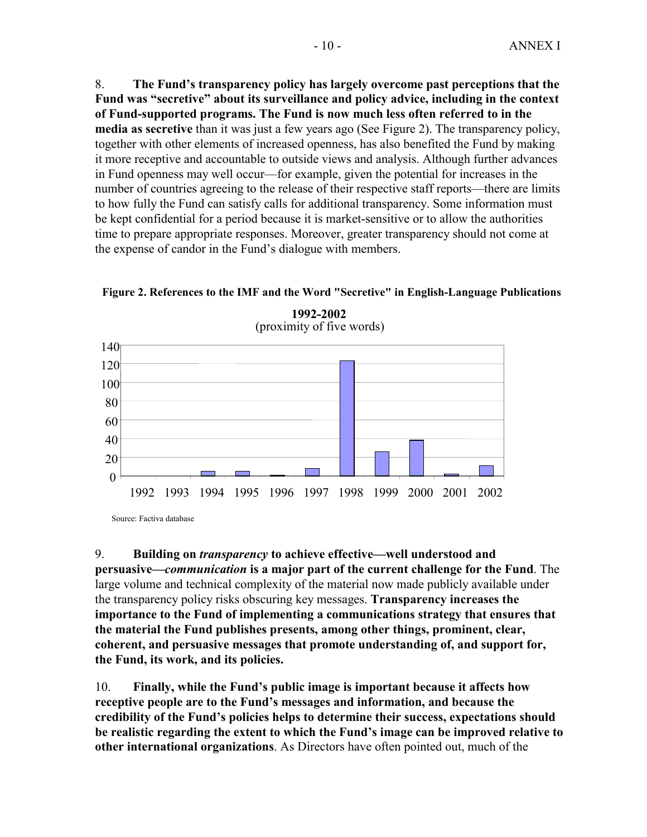8. **The Fund's transparency policy has largely overcome past perceptions that the Fund was "secretive" about its surveillance and policy advice, including in the context of Fund-supported programs. The Fund is now much less often referred to in the media as secretive** than it was just a few years ago (See Figure 2). The transparency policy, together with other elements of increased openness, has also benefited the Fund by making it more receptive and accountable to outside views and analysis. Although further advances in Fund openness may well occur—for example, given the potential for increases in the number of countries agreeing to the release of their respective staff reports—there are limits to how fully the Fund can satisfy calls for additional transparency. Some information must be kept confidential for a period because it is market-sensitive or to allow the authorities time to prepare appropriate responses. Moreover, greater transparency should not come at the expense of candor in the Fund's dialogue with members.

#### **Figure 2. References to the IMF and the Word "Secretive" in English-Language Publications**



**1992-2002** (proximity of five words)

Source: Factiva database

9. **Building on** *transparency* **to achieve effective—well understood and** 

**persuasive—***communication* **is a major part of the current challenge for the Fund**. The large volume and technical complexity of the material now made publicly available under the transparency policy risks obscuring key messages. **Transparency increases the importance to the Fund of implementing a communications strategy that ensures that the material the Fund publishes presents, among other things, prominent, clear, coherent, and persuasive messages that promote understanding of, and support for, the Fund, its work, and its policies.**

10. **Finally, while the Fund's public image is important because it affects how receptive people are to the Fund's messages and information, and because the credibility of the Fund's policies helps to determine their success, expectations should be realistic regarding the extent to which the Fund's image can be improved relative to other international organizations**. As Directors have often pointed out, much of the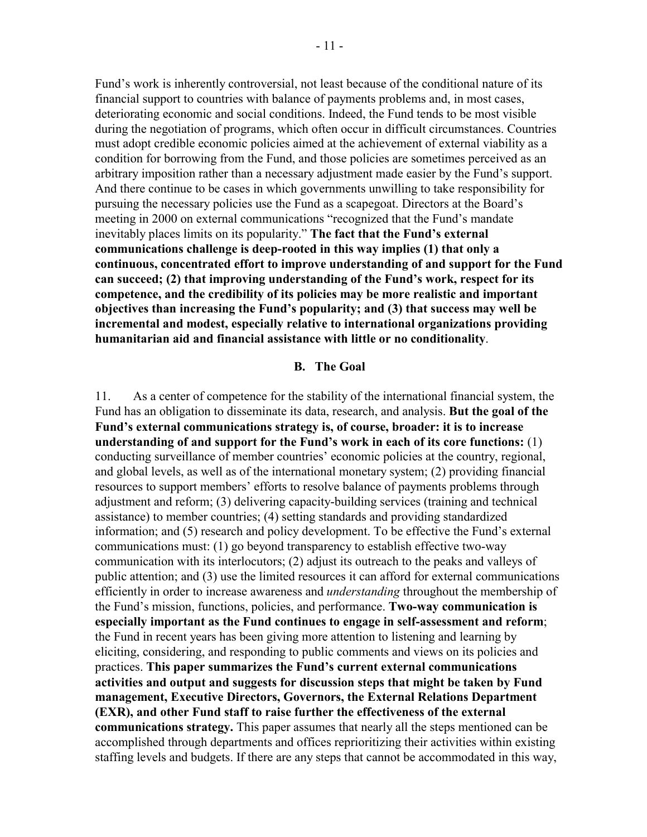Fund's work is inherently controversial, not least because of the conditional nature of its financial support to countries with balance of payments problems and, in most cases, deteriorating economic and social conditions. Indeed, the Fund tends to be most visible during the negotiation of programs, which often occur in difficult circumstances. Countries must adopt credible economic policies aimed at the achievement of external viability as a condition for borrowing from the Fund, and those policies are sometimes perceived as an arbitrary imposition rather than a necessary adjustment made easier by the Fund's support. And there continue to be cases in which governments unwilling to take responsibility for pursuing the necessary policies use the Fund as a scapegoat. Directors at the Board's meeting in 2000 on external communications "recognized that the Fund's mandate inevitably places limits on its popularity." **The fact that the Fund's external communications challenge is deep-rooted in this way implies (1) that only a continuous, concentrated effort to improve understanding of and support for the Fund can succeed; (2) that improving understanding of the Fund's work, respect for its competence, and the credibility of its policies may be more realistic and important objectives than increasing the Fund's popularity; and (3) that success may well be incremental and modest, especially relative to international organizations providing humanitarian aid and financial assistance with little or no conditionality**.

#### **B. The Goal**

11. As a center of competence for the stability of the international financial system, the Fund has an obligation to disseminate its data, research, and analysis. **But the goal of the Fund's external communications strategy is, of course, broader: it is to increase understanding of and support for the Fund's work in each of its core functions:** (1) conducting surveillance of member countries' economic policies at the country, regional, and global levels, as well as of the international monetary system; (2) providing financial resources to support members' efforts to resolve balance of payments problems through adjustment and reform; (3) delivering capacity-building services (training and technical assistance) to member countries; (4) setting standards and providing standardized information; and (5) research and policy development. To be effective the Fund's external communications must: (1) go beyond transparency to establish effective two-way communication with its interlocutors; (2) adjust its outreach to the peaks and valleys of public attention; and (3) use the limited resources it can afford for external communications efficiently in order to increase awareness and *understanding* throughout the membership of the Fund's mission, functions, policies, and performance. **Two-way communication is especially important as the Fund continues to engage in self-assessment and reform**; the Fund in recent years has been giving more attention to listening and learning by eliciting, considering, and responding to public comments and views on its policies and practices. **This paper summarizes the Fund's current external communications activities and output and suggests for discussion steps that might be taken by Fund management, Executive Directors, Governors, the External Relations Department (EXR), and other Fund staff to raise further the effectiveness of the external communications strategy.** This paper assumes that nearly all the steps mentioned can be accomplished through departments and offices reprioritizing their activities within existing staffing levels and budgets. If there are any steps that cannot be accommodated in this way,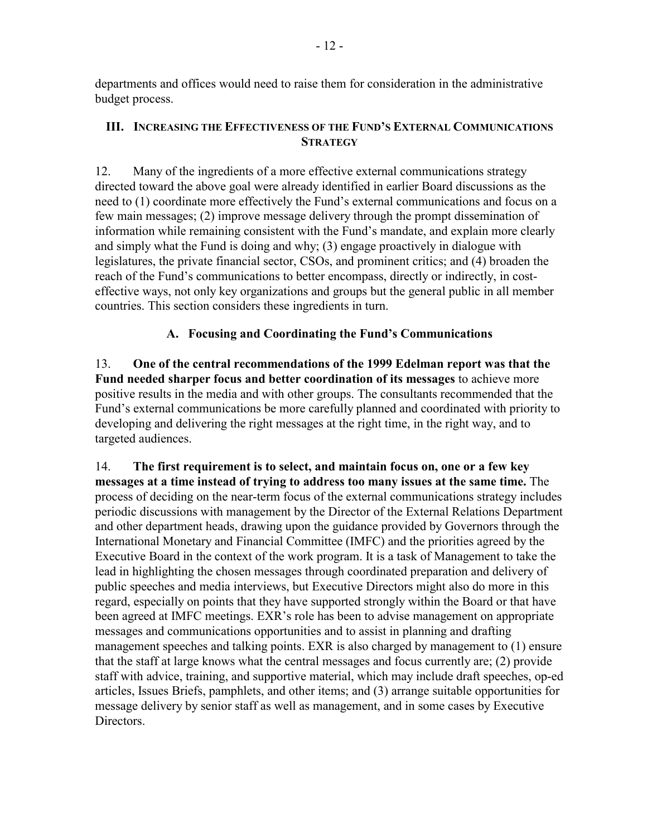departments and offices would need to raise them for consideration in the administrative budget process.

#### **III. INCREASING THE EFFECTIVENESS OF THE FUND'S EXTERNAL COMMUNICATIONS STRATEGY**

12. Many of the ingredients of a more effective external communications strategy directed toward the above goal were already identified in earlier Board discussions as the need to (1) coordinate more effectively the Fund's external communications and focus on a few main messages; (2) improve message delivery through the prompt dissemination of information while remaining consistent with the Fund's mandate, and explain more clearly and simply what the Fund is doing and why; (3) engage proactively in dialogue with legislatures, the private financial sector, CSOs, and prominent critics; and (4) broaden the reach of the Fund's communications to better encompass, directly or indirectly, in costeffective ways, not only key organizations and groups but the general public in all member countries. This section considers these ingredients in turn.

# **A. Focusing and Coordinating the Fund's Communications**

13. **One of the central recommendations of the 1999 Edelman report was that the Fund needed sharper focus and better coordination of its messages** to achieve more positive results in the media and with other groups. The consultants recommended that the Fund's external communications be more carefully planned and coordinated with priority to developing and delivering the right messages at the right time, in the right way, and to targeted audiences.

14. **The first requirement is to select, and maintain focus on, one or a few key messages at a time instead of trying to address too many issues at the same time.** The process of deciding on the near-term focus of the external communications strategy includes periodic discussions with management by the Director of the External Relations Department and other department heads, drawing upon the guidance provided by Governors through the International Monetary and Financial Committee (IMFC) and the priorities agreed by the Executive Board in the context of the work program. It is a task of Management to take the lead in highlighting the chosen messages through coordinated preparation and delivery of public speeches and media interviews, but Executive Directors might also do more in this regard, especially on points that they have supported strongly within the Board or that have been agreed at IMFC meetings. EXR's role has been to advise management on appropriate messages and communications opportunities and to assist in planning and drafting management speeches and talking points. EXR is also charged by management to (1) ensure that the staff at large knows what the central messages and focus currently are; (2) provide staff with advice, training, and supportive material, which may include draft speeches, op-ed articles, Issues Briefs, pamphlets, and other items; and (3) arrange suitable opportunities for message delivery by senior staff as well as management, and in some cases by Executive **Directors**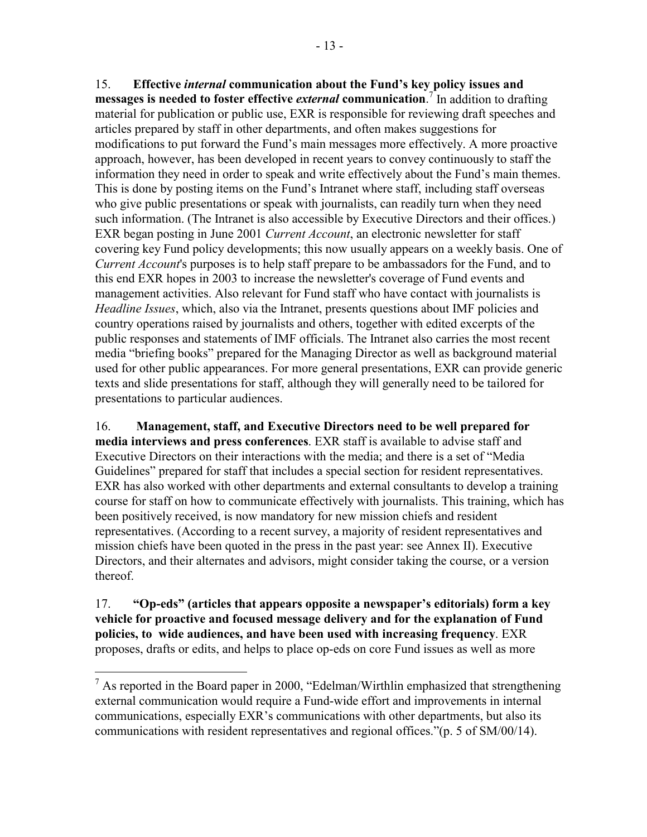15. **Effective** *internal* **communication about the Fund's key policy issues and messages is needed to foster effective** *external* **communication**. 7 In addition to drafting material for publication or public use, EXR is responsible for reviewing draft speeches and articles prepared by staff in other departments, and often makes suggestions for modifications to put forward the Fund's main messages more effectively. A more proactive approach, however, has been developed in recent years to convey continuously to staff the information they need in order to speak and write effectively about the Fund's main themes. This is done by posting items on the Fund's Intranet where staff, including staff overseas who give public presentations or speak with journalists, can readily turn when they need such information. (The Intranet is also accessible by Executive Directors and their offices.) EXR began posting in June 2001 *Current Account*, an electronic newsletter for staff covering key Fund policy developments; this now usually appears on a weekly basis. One of *Current Account*'s purposes is to help staff prepare to be ambassadors for the Fund, and to this end EXR hopes in 2003 to increase the newsletter's coverage of Fund events and management activities. Also relevant for Fund staff who have contact with journalists is *Headline Issues*, which, also via the Intranet, presents questions about IMF policies and country operations raised by journalists and others, together with edited excerpts of the public responses and statements of IMF officials. The Intranet also carries the most recent media "briefing books" prepared for the Managing Director as well as background material used for other public appearances. For more general presentations, EXR can provide generic texts and slide presentations for staff, although they will generally need to be tailored for presentations to particular audiences.

16. **Management, staff, and Executive Directors need to be well prepared for media interviews and press conferences**. EXR staff is available to advise staff and Executive Directors on their interactions with the media; and there is a set of "Media Guidelines" prepared for staff that includes a special section for resident representatives. EXR has also worked with other departments and external consultants to develop a training course for staff on how to communicate effectively with journalists. This training, which has been positively received, is now mandatory for new mission chiefs and resident representatives. (According to a recent survey, a majority of resident representatives and mission chiefs have been quoted in the press in the past year: see Annex II). Executive Directors, and their alternates and advisors, might consider taking the course, or a version thereof.

17. **"Op-eds" (articles that appears opposite a newspaper's editorials) form a key vehicle for proactive and focused message delivery and for the explanation of Fund policies, to wide audiences, and have been used with increasing frequency**. EXR proposes, drafts or edits, and helps to place op-eds on core Fund issues as well as more

1

 $<sup>7</sup>$  As reported in the Board paper in 2000, "Edelman/Wirthlin emphasized that strengthening</sup> external communication would require a Fund-wide effort and improvements in internal communications, especially EXR's communications with other departments, but also its communications with resident representatives and regional offices."(p. 5 of SM/00/14).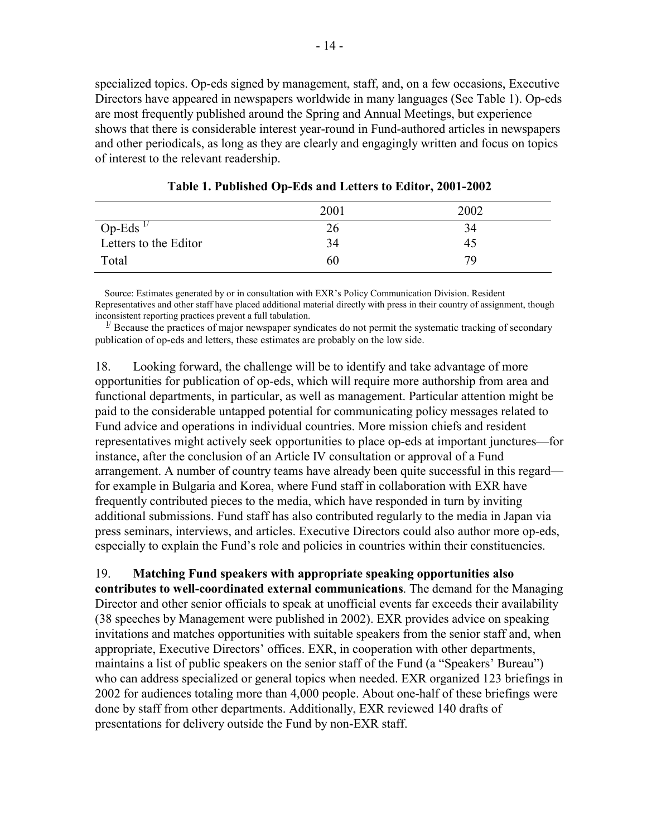specialized topics. Op-eds signed by management, staff, and, on a few occasions, Executive Directors have appeared in newspapers worldwide in many languages (See Table 1). Op-eds are most frequently published around the Spring and Annual Meetings, but experience shows that there is considerable interest year-round in Fund-authored articles in newspapers and other periodicals, as long as they are clearly and engagingly written and focus on topics of interest to the relevant readership.

|                       | 2001 | 2002 |
|-----------------------|------|------|
| Op-Eds $^{1/}$        | 26   | 34   |
| Letters to the Editor | 34   | 45   |
| Total                 | 60   | 79   |

**Table 1. Published Op-Eds and Letters to Editor, 2001-2002** 

 Source: Estimates generated by or in consultation with EXR's Policy Communication Division. Resident Representatives and other staff have placed additional material directly with press in their country of assignment, though inconsistent reporting practices prevent a full tabulation.

 $1/2$  Because the practices of major newspaper syndicates do not permit the systematic tracking of secondary publication of op-eds and letters, these estimates are probably on the low side.

18. Looking forward, the challenge will be to identify and take advantage of more opportunities for publication of op-eds, which will require more authorship from area and functional departments, in particular, as well as management. Particular attention might be paid to the considerable untapped potential for communicating policy messages related to Fund advice and operations in individual countries. More mission chiefs and resident representatives might actively seek opportunities to place op-eds at important junctures—for instance, after the conclusion of an Article IV consultation or approval of a Fund arrangement. A number of country teams have already been quite successful in this regard for example in Bulgaria and Korea, where Fund staff in collaboration with EXR have frequently contributed pieces to the media, which have responded in turn by inviting additional submissions. Fund staff has also contributed regularly to the media in Japan via press seminars, interviews, and articles. Executive Directors could also author more op-eds, especially to explain the Fund's role and policies in countries within their constituencies.

19. **Matching Fund speakers with appropriate speaking opportunities also** 

**contributes to well-coordinated external communications**. The demand for the Managing Director and other senior officials to speak at unofficial events far exceeds their availability (38 speeches by Management were published in 2002). EXR provides advice on speaking invitations and matches opportunities with suitable speakers from the senior staff and, when appropriate, Executive Directors' offices. EXR, in cooperation with other departments, maintains a list of public speakers on the senior staff of the Fund (a "Speakers' Bureau") who can address specialized or general topics when needed. EXR organized 123 briefings in 2002 for audiences totaling more than 4,000 people. About one-half of these briefings were done by staff from other departments. Additionally, EXR reviewed 140 drafts of presentations for delivery outside the Fund by non-EXR staff.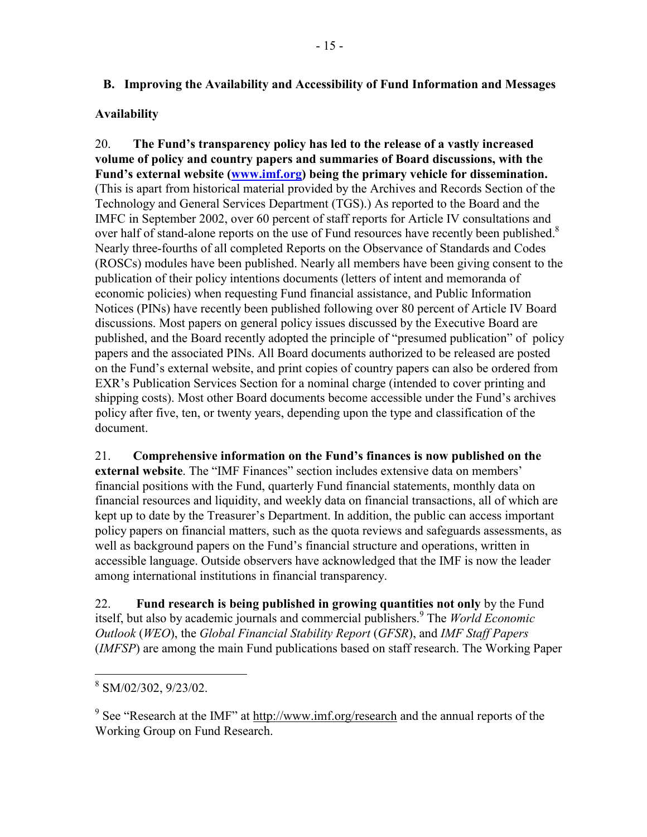## **B. Improving the Availability and Accessibility of Fund Information and Messages**

## **Availability**

20. **The Fund's transparency policy has led to the release of a vastly increased volume of policy and country papers and summaries of Board discussions, with the Fund's external website (www.imf.org) being the primary vehicle for dissemination.** (This is apart from historical material provided by the Archives and Records Section of the Technology and General Services Department (TGS).) As reported to the Board and the IMFC in September 2002, over 60 percent of staff reports for Article IV consultations and over half of stand-alone reports on the use of Fund resources have recently been published.<sup>8</sup> Nearly three-fourths of all completed Reports on the Observance of Standards and Codes (ROSCs) modules have been published. Nearly all members have been giving consent to the publication of their policy intentions documents (letters of intent and memoranda of economic policies) when requesting Fund financial assistance, and Public Information Notices (PINs) have recently been published following over 80 percent of Article IV Board discussions. Most papers on general policy issues discussed by the Executive Board are published, and the Board recently adopted the principle of "presumed publication" of policy papers and the associated PINs. All Board documents authorized to be released are posted on the Fund's external website, and print copies of country papers can also be ordered from EXR's Publication Services Section for a nominal charge (intended to cover printing and shipping costs). Most other Board documents become accessible under the Fund's archives policy after five, ten, or twenty years, depending upon the type and classification of the document.

21. **Comprehensive information on the Fund's finances is now published on the external website**. The "IMF Finances" section includes extensive data on members' financial positions with the Fund, quarterly Fund financial statements, monthly data on financial resources and liquidity, and weekly data on financial transactions, all of which are kept up to date by the Treasurer's Department. In addition, the public can access important policy papers on financial matters, such as the quota reviews and safeguards assessments, as well as background papers on the Fund's financial structure and operations, written in accessible language. Outside observers have acknowledged that the IMF is now the leader among international institutions in financial transparency.

22. **Fund research is being published in growing quantities not only** by the Fund itself, but also by academic journals and commercial publishers.<sup>9</sup> The *World Economic Outlook* (*WEO*), the *Global Financial Stability Report* (*GFSR*), and *IMF Staff Papers* (*IMFSP*) are among the main Fund publications based on staff research. The Working Paper

<sup>&</sup>lt;sup>8</sup> SM/02/302, 9/23/02.

<sup>&</sup>lt;sup>9</sup> See "Research at the IMF" at  $\frac{http://www.inf.org/research}{}$  and the annual reports of the Working Group on Fund Research.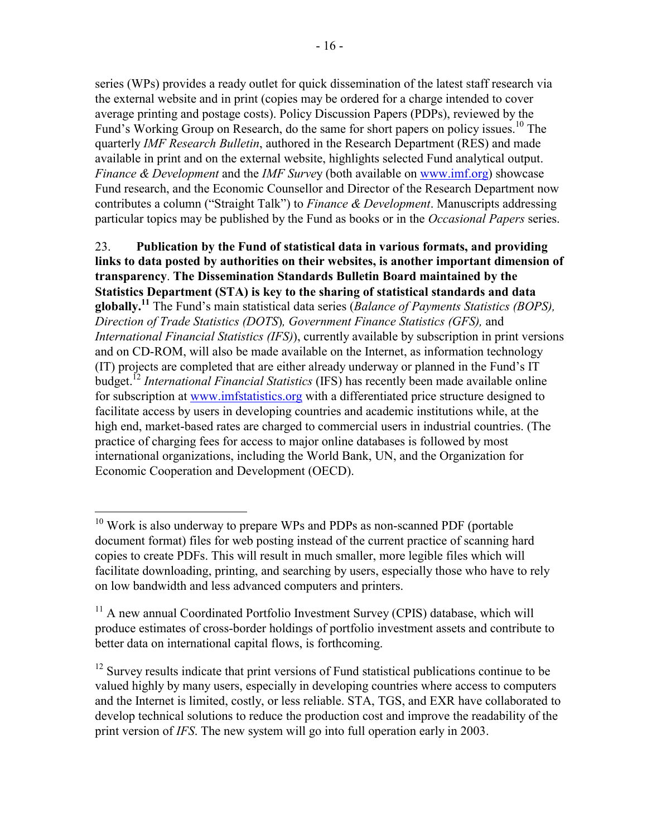series (WPs) provides a ready outlet for quick dissemination of the latest staff research via the external website and in print (copies may be ordered for a charge intended to cover average printing and postage costs). Policy Discussion Papers (PDPs), reviewed by the Fund's Working Group on Research, do the same for short papers on policy issues.<sup>10</sup> The quarterly *IMF Research Bulletin*, authored in the Research Department (RES) and made available in print and on the external website, highlights selected Fund analytical output. *Finance & Development* and the *IMF Surve*y (both available on www.imf.org) showcase Fund research, and the Economic Counsellor and Director of the Research Department now contributes a column ("Straight Talk") to *Finance & Development*. Manuscripts addressing particular topics may be published by the Fund as books or in the *Occasional Papers* series.

23. **Publication by the Fund of statistical data in various formats, and providing links to data posted by authorities on their websites, is another important dimension of transparency**. **The Dissemination Standards Bulletin Board maintained by the Statistics Department (STA) is key to the sharing of statistical standards and data globally.11** The Fund's main statistical data series (*Balance of Payments Statistics (BOPS), Direction of Trade Statistics (DOTS*)*, Government Finance Statistics (GFS),* and *International Financial Statistics (IFS)*), currently available by subscription in print versions and on CD-ROM, will also be made available on the Internet, as information technology (IT) projects are completed that are either already underway or planned in the Fund's IT budget.12 *International Financial Statistics* (IFS) has recently been made available online for subscription at www.imfstatistics.org with a differentiated price structure designed to facilitate access by users in developing countries and academic institutions while, at the high end, market-based rates are charged to commercial users in industrial countries. (The practice of charging fees for access to major online databases is followed by most international organizations, including the World Bank, UN, and the Organization for Economic Cooperation and Development (OECD).

<u>.</u>

 $10$  Work is also underway to prepare WPs and PDPs as non-scanned PDF (portable document format) files for web posting instead of the current practice of scanning hard copies to create PDFs. This will result in much smaller, more legible files which will facilitate downloading, printing, and searching by users, especially those who have to rely on low bandwidth and less advanced computers and printers.

<sup>&</sup>lt;sup>11</sup> A new annual Coordinated Portfolio Investment Survey (CPIS) database, which will produce estimates of cross-border holdings of portfolio investment assets and contribute to better data on international capital flows, is forthcoming.

 $12$  Survey results indicate that print versions of Fund statistical publications continue to be valued highly by many users, especially in developing countries where access to computers and the Internet is limited, costly, or less reliable. STA, TGS, and EXR have collaborated to develop technical solutions to reduce the production cost and improve the readability of the print version of *IFS*. The new system will go into full operation early in 2003.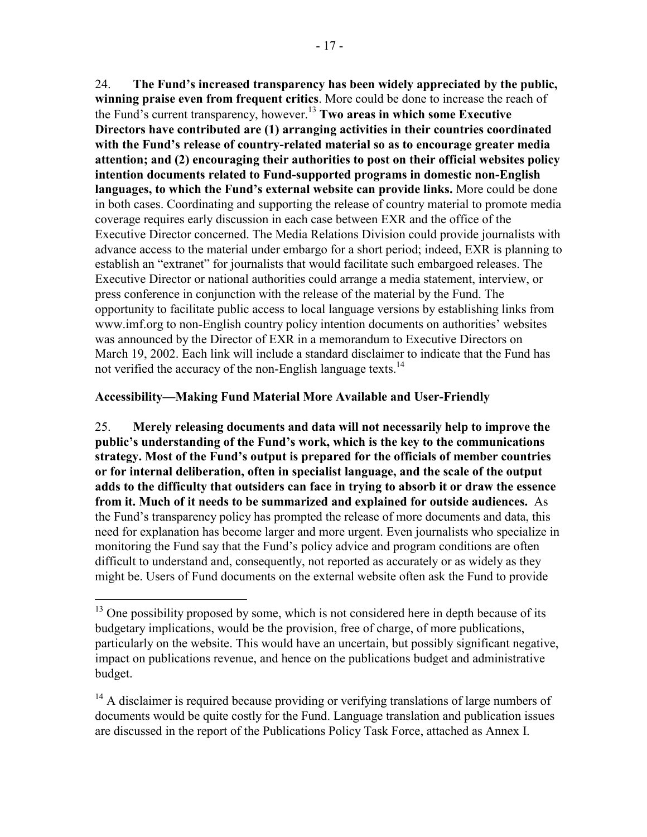24. **The Fund's increased transparency has been widely appreciated by the public, winning praise even from frequent critics**. More could be done to increase the reach of the Fund's current transparency, however.13 **Two areas in which some Executive Directors have contributed are (1) arranging activities in their countries coordinated with the Fund's release of country-related material so as to encourage greater media attention; and (2) encouraging their authorities to post on their official websites policy intention documents related to Fund-supported programs in domestic non-English languages, to which the Fund's external website can provide links.** More could be done in both cases. Coordinating and supporting the release of country material to promote media coverage requires early discussion in each case between EXR and the office of the Executive Director concerned. The Media Relations Division could provide journalists with advance access to the material under embargo for a short period; indeed, EXR is planning to establish an "extranet" for journalists that would facilitate such embargoed releases. The Executive Director or national authorities could arrange a media statement, interview, or press conference in conjunction with the release of the material by the Fund. The opportunity to facilitate public access to local language versions by establishing links from www.imf.org to non-English country policy intention documents on authorities' websites was announced by the Director of EXR in a memorandum to Executive Directors on March 19, 2002. Each link will include a standard disclaimer to indicate that the Fund has not verified the accuracy of the non-English language texts.<sup>14</sup>

#### **Accessibility—Making Fund Material More Available and User-Friendly**

 $\overline{a}$ 

25. **Merely releasing documents and data will not necessarily help to improve the public's understanding of the Fund's work, which is the key to the communications strategy. Most of the Fund's output is prepared for the officials of member countries or for internal deliberation, often in specialist language, and the scale of the output adds to the difficulty that outsiders can face in trying to absorb it or draw the essence from it. Much of it needs to be summarized and explained for outside audiences.** As the Fund's transparency policy has prompted the release of more documents and data, this need for explanation has become larger and more urgent. Even journalists who specialize in monitoring the Fund say that the Fund's policy advice and program conditions are often difficult to understand and, consequently, not reported as accurately or as widely as they might be. Users of Fund documents on the external website often ask the Fund to provide

 $13$  One possibility proposed by some, which is not considered here in depth because of its budgetary implications, would be the provision, free of charge, of more publications, particularly on the website. This would have an uncertain, but possibly significant negative, impact on publications revenue, and hence on the publications budget and administrative budget.

 $<sup>14</sup>$  A disclaimer is required because providing or verifying translations of large numbers of</sup> documents would be quite costly for the Fund. Language translation and publication issues are discussed in the report of the Publications Policy Task Force, attached as Annex I.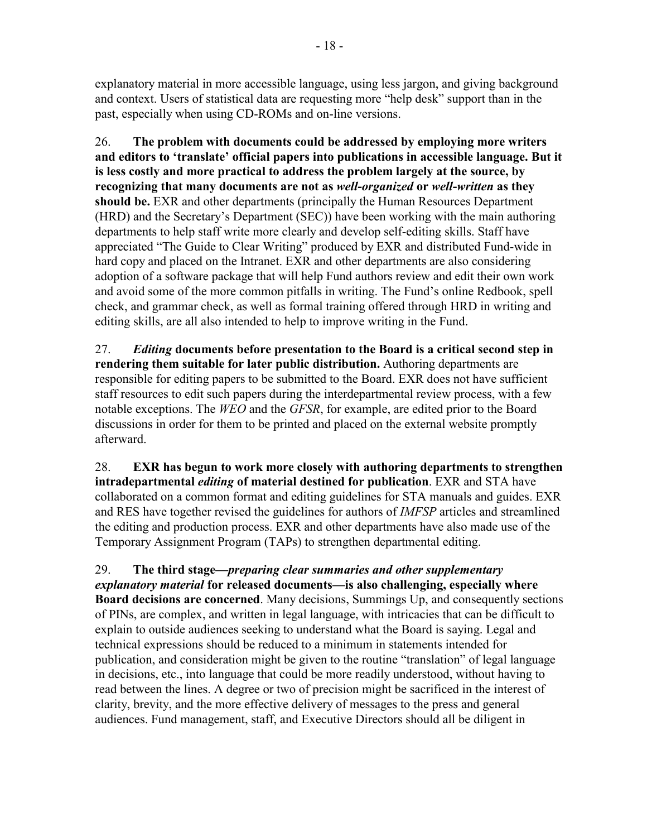explanatory material in more accessible language, using less jargon, and giving background and context. Users of statistical data are requesting more "help desk" support than in the past, especially when using CD-ROMs and on-line versions.

26. **The problem with documents could be addressed by employing more writers and editors to 'translate' official papers into publications in accessible language. But it is less costly and more practical to address the problem largely at the source, by recognizing that many documents are not as** *well***-***organized* **or** *well***-***written* **as they should be.** EXR and other departments (principally the Human Resources Department (HRD) and the Secretary's Department (SEC)) have been working with the main authoring departments to help staff write more clearly and develop self-editing skills. Staff have appreciated "The Guide to Clear Writing" produced by EXR and distributed Fund-wide in hard copy and placed on the Intranet. EXR and other departments are also considering adoption of a software package that will help Fund authors review and edit their own work and avoid some of the more common pitfalls in writing. The Fund's online Redbook, spell check, and grammar check, as well as formal training offered through HRD in writing and editing skills, are all also intended to help to improve writing in the Fund.

27. *Editing* **documents before presentation to the Board is a critical second step in rendering them suitable for later public distribution.** Authoring departments are responsible for editing papers to be submitted to the Board. EXR does not have sufficient staff resources to edit such papers during the interdepartmental review process, with a few notable exceptions. The *WEO* and the *GFSR*, for example, are edited prior to the Board discussions in order for them to be printed and placed on the external website promptly afterward.

28. **EXR has begun to work more closely with authoring departments to strengthen intradepartmental** *editing* **of material destined for publication**. EXR and STA have collaborated on a common format and editing guidelines for STA manuals and guides. EXR and RES have together revised the guidelines for authors of *IMFSP* articles and streamlined the editing and production process. EXR and other departments have also made use of the Temporary Assignment Program (TAPs) to strengthen departmental editing.

29. **The third stage—***preparing clear summaries and other supplementary explanatory material* **for released documents—is also challenging, especially where Board decisions are concerned**. Many decisions, Summings Up, and consequently sections of PINs, are complex, and written in legal language, with intricacies that can be difficult to explain to outside audiences seeking to understand what the Board is saying. Legal and technical expressions should be reduced to a minimum in statements intended for publication, and consideration might be given to the routine "translation" of legal language in decisions, etc., into language that could be more readily understood, without having to read between the lines. A degree or two of precision might be sacrificed in the interest of clarity, brevity, and the more effective delivery of messages to the press and general audiences. Fund management, staff, and Executive Directors should all be diligent in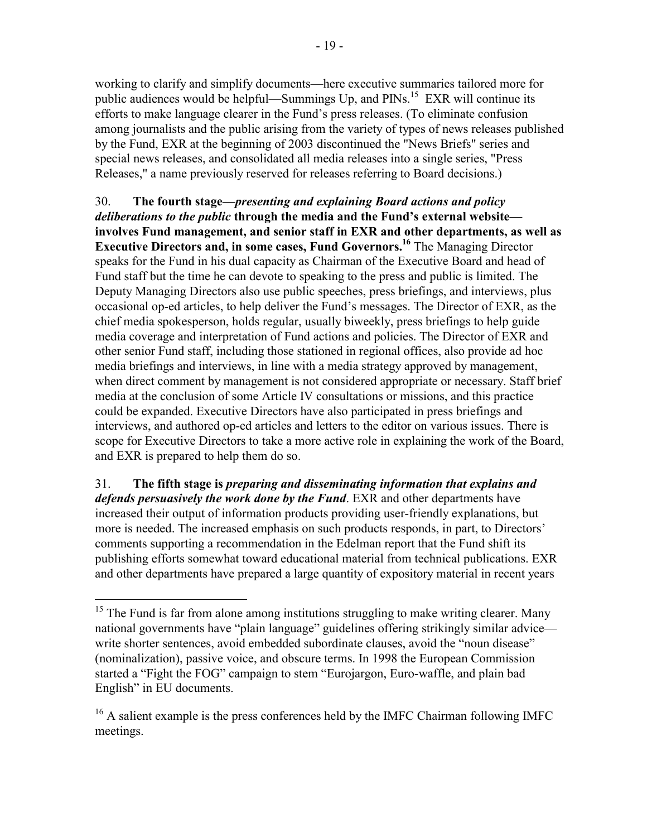working to clarify and simplify documents—here executive summaries tailored more for public audiences would be helpful—Summings Up, and  $PINs$ <sup>15</sup> EXR will continue its efforts to make language clearer in the Fund's press releases. (To eliminate confusion among journalists and the public arising from the variety of types of news releases published by the Fund, EXR at the beginning of 2003 discontinued the "News Briefs" series and special news releases, and consolidated all media releases into a single series, "Press Releases," a name previously reserved for releases referring to Board decisions.)

30. **The fourth stage—***presenting and explaining Board actions and policy deliberations to the public* **through the media and the Fund's external website involves Fund management, and senior staff in EXR and other departments, as well as Executive Directors and, in some cases, Fund Governors.16** The Managing Director speaks for the Fund in his dual capacity as Chairman of the Executive Board and head of Fund staff but the time he can devote to speaking to the press and public is limited. The Deputy Managing Directors also use public speeches, press briefings, and interviews, plus occasional op-ed articles, to help deliver the Fund's messages. The Director of EXR, as the chief media spokesperson, holds regular, usually biweekly, press briefings to help guide media coverage and interpretation of Fund actions and policies. The Director of EXR and other senior Fund staff, including those stationed in regional offices, also provide ad hoc media briefings and interviews, in line with a media strategy approved by management, when direct comment by management is not considered appropriate or necessary. Staff brief media at the conclusion of some Article IV consultations or missions, and this practice could be expanded. Executive Directors have also participated in press briefings and interviews, and authored op-ed articles and letters to the editor on various issues. There is scope for Executive Directors to take a more active role in explaining the work of the Board, and EXR is prepared to help them do so.

31. **The fifth stage is** *preparing and disseminating information that explains and defends persuasively the work done by the Fund*. EXR and other departments have increased their output of information products providing user-friendly explanations, but more is needed. The increased emphasis on such products responds, in part, to Directors' comments supporting a recommendation in the Edelman report that the Fund shift its publishing efforts somewhat toward educational material from technical publications. EXR and other departments have prepared a large quantity of expository material in recent years

 $\overline{a}$ 

 $15$  The Fund is far from alone among institutions struggling to make writing clearer. Many national governments have "plain language" guidelines offering strikingly similar advice write shorter sentences, avoid embedded subordinate clauses, avoid the "noun disease" (nominalization), passive voice, and obscure terms. In 1998 the European Commission started a "Fight the FOG" campaign to stem "Eurojargon, Euro-waffle, and plain bad English" in EU documents.

 $16$  A salient example is the press conferences held by the IMFC Chairman following IMFC meetings.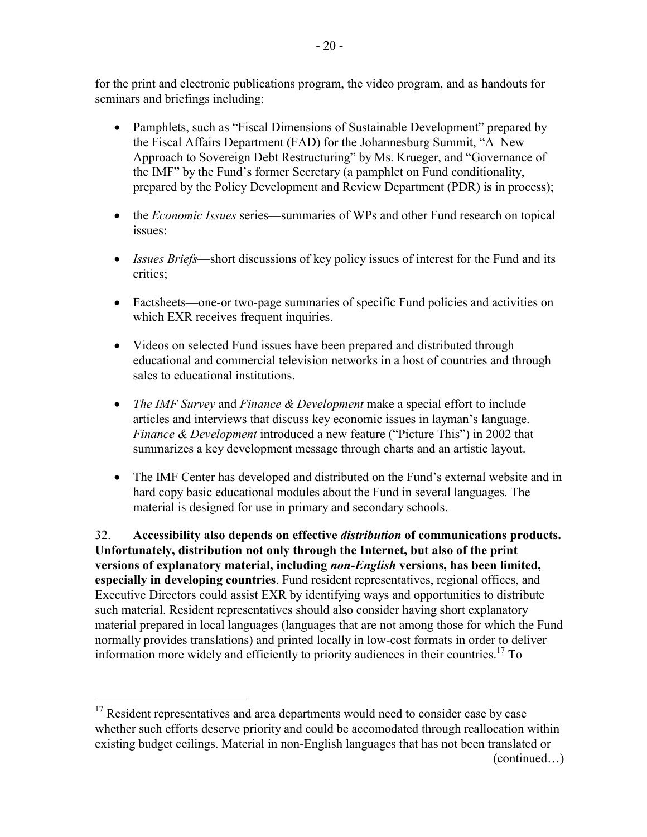for the print and electronic publications program, the video program, and as handouts for seminars and briefings including:

- Pamphlets, such as "Fiscal Dimensions of Sustainable Development" prepared by the Fiscal Affairs Department (FAD) for the Johannesburg Summit, "A New Approach to Sovereign Debt Restructuring" by Ms. Krueger, and "Governance of the IMF" by the Fund's former Secretary (a pamphlet on Fund conditionality, prepared by the Policy Development and Review Department (PDR) is in process);
- the *Economic Issues* series—summaries of WPs and other Fund research on topical issues:
- *Issues Briefs*—short discussions of key policy issues of interest for the Fund and its critics;
- Factsheets—one-or two-page summaries of specific Fund policies and activities on which EXR receives frequent inquiries.
- Videos on selected Fund issues have been prepared and distributed through educational and commercial television networks in a host of countries and through sales to educational institutions.
- *The IMF Survey* and *Finance & Development* make a special effort to include articles and interviews that discuss key economic issues in layman's language. *Finance & Development* introduced a new feature ("Picture This") in 2002 that summarizes a key development message through charts and an artistic layout.
- The IMF Center has developed and distributed on the Fund's external website and in hard copy basic educational modules about the Fund in several languages. The material is designed for use in primary and secondary schools.

32. **Accessibility also depends on effective** *distribution* **of communications products. Unfortunately, distribution not only through the Internet, but also of the print versions of explanatory material, including** *non-English* **versions, has been limited, especially in developing countries**. Fund resident representatives, regional offices, and Executive Directors could assist EXR by identifying ways and opportunities to distribute such material. Resident representatives should also consider having short explanatory material prepared in local languages (languages that are not among those for which the Fund normally provides translations) and printed locally in low-cost formats in order to deliver information more widely and efficiently to priority audiences in their countries.<sup>17</sup> To

 $\overline{a}$ 

<sup>&</sup>lt;sup>17</sup> Resident representatives and area departments would need to consider case by case whether such efforts deserve priority and could be accomodated through reallocation within existing budget ceilings. Material in non-English languages that has not been translated or

<sup>(</sup>continued…)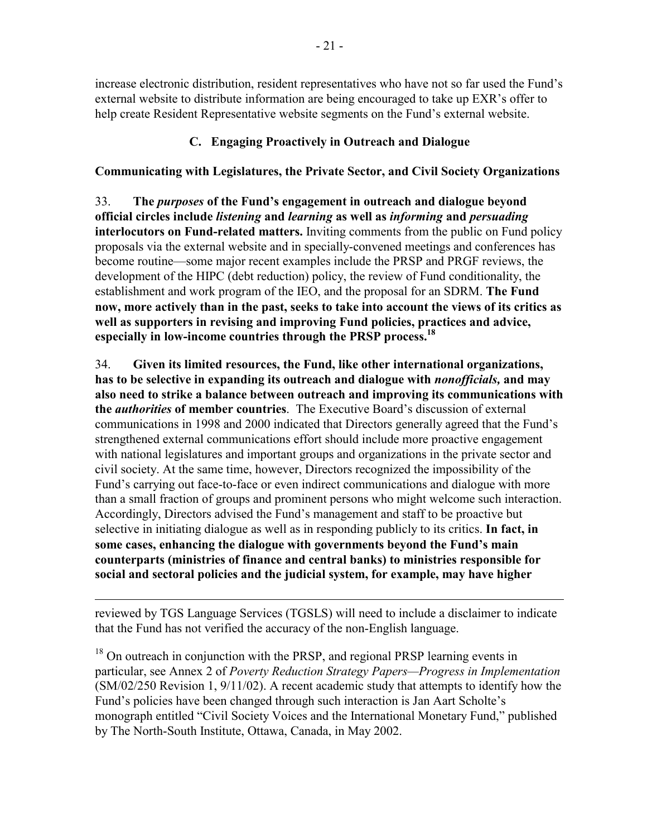increase electronic distribution, resident representatives who have not so far used the Fund's external website to distribute information are being encouraged to take up EXR's offer to help create Resident Representative website segments on the Fund's external website.

# **C. Engaging Proactively in Outreach and Dialogue**

# **Communicating with Legislatures, the Private Sector, and Civil Society Organizations**

33. **The** *purposes* **of the Fund's engagement in outreach and dialogue beyond official circles include** *listening* **and** *learning* **as well as** *informing* **and** *persuading* **interlocutors on Fund-related matters.** Inviting comments from the public on Fund policy proposals via the external website and in specially-convened meetings and conferences has become routine—some major recent examples include the PRSP and PRGF reviews, the development of the HIPC (debt reduction) policy, the review of Fund conditionality, the establishment and work program of the IEO, and the proposal for an SDRM. **The Fund now, more actively than in the past, seeks to take into account the views of its critics as well as supporters in revising and improving Fund policies, practices and advice, especially in low-income countries through the PRSP process.18**

34. **Given its limited resources, the Fund, like other international organizations, has to be selective in expanding its outreach and dialogue with** *nonofficials,* **and may also need to strike a balance between outreach and improving its communications with the** *authorities* **of member countries**. The Executive Board's discussion of external communications in 1998 and 2000 indicated that Directors generally agreed that the Fund's strengthened external communications effort should include more proactive engagement with national legislatures and important groups and organizations in the private sector and civil society. At the same time, however, Directors recognized the impossibility of the Fund's carrying out face-to-face or even indirect communications and dialogue with more than a small fraction of groups and prominent persons who might welcome such interaction. Accordingly, Directors advised the Fund's management and staff to be proactive but selective in initiating dialogue as well as in responding publicly to its critics. **In fact, in some cases, enhancing the dialogue with governments beyond the Fund's main counterparts (ministries of finance and central banks) to ministries responsible for social and sectoral policies and the judicial system, for example, may have higher** 

 $\overline{a}$ reviewed by TGS Language Services (TGSLS) will need to include a disclaimer to indicate that the Fund has not verified the accuracy of the non-English language.

 $18$  On outreach in conjunction with the PRSP, and regional PRSP learning events in particular, see Annex 2 of *Poverty Reduction Strategy Papers—Progress in Implementation* (SM/02/250 Revision 1, 9/11/02). A recent academic study that attempts to identify how the Fund's policies have been changed through such interaction is Jan Aart Scholte's monograph entitled "Civil Society Voices and the International Monetary Fund," published by The North-South Institute, Ottawa, Canada, in May 2002.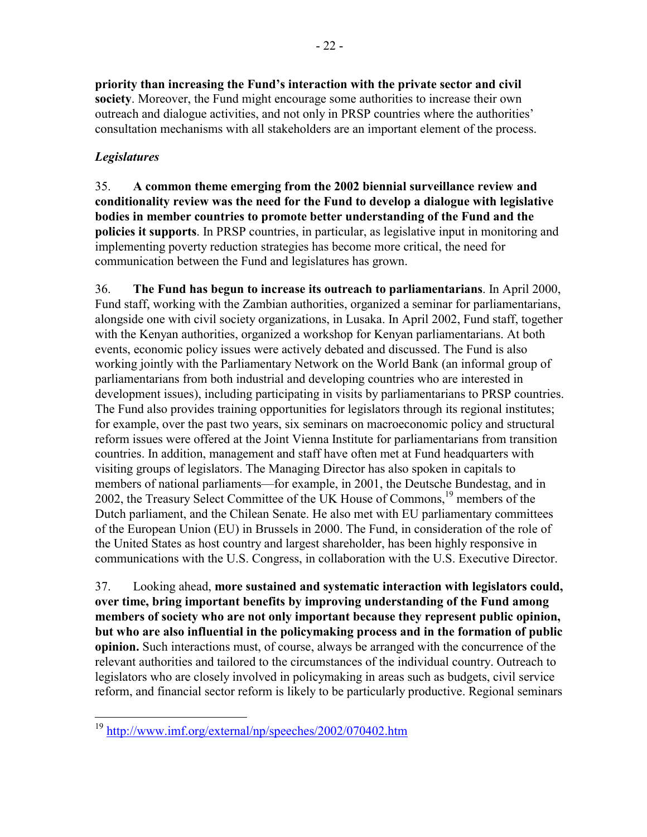**priority than increasing the Fund's interaction with the private sector and civil society**. Moreover, the Fund might encourage some authorities to increase their own outreach and dialogue activities, and not only in PRSP countries where the authorities' consultation mechanisms with all stakeholders are an important element of the process.

## *Legislatures*

 $\overline{a}$ 

35. **A common theme emerging from the 2002 biennial surveillance review and conditionality review was the need for the Fund to develop a dialogue with legislative bodies in member countries to promote better understanding of the Fund and the policies it supports**. In PRSP countries, in particular, as legislative input in monitoring and implementing poverty reduction strategies has become more critical, the need for communication between the Fund and legislatures has grown.

36. **The Fund has begun to increase its outreach to parliamentarians**. In April 2000, Fund staff, working with the Zambian authorities, organized a seminar for parliamentarians, alongside one with civil society organizations, in Lusaka. In April 2002, Fund staff, together with the Kenyan authorities, organized a workshop for Kenyan parliamentarians. At both events, economic policy issues were actively debated and discussed. The Fund is also working jointly with the Parliamentary Network on the World Bank (an informal group of parliamentarians from both industrial and developing countries who are interested in development issues), including participating in visits by parliamentarians to PRSP countries. The Fund also provides training opportunities for legislators through its regional institutes; for example, over the past two years, six seminars on macroeconomic policy and structural reform issues were offered at the Joint Vienna Institute for parliamentarians from transition countries. In addition, management and staff have often met at Fund headquarters with visiting groups of legislators. The Managing Director has also spoken in capitals to members of national parliaments—for example, in 2001, the Deutsche Bundestag, and in 2002, the Treasury Select Committee of the UK House of Commons,<sup>19</sup> members of the Dutch parliament, and the Chilean Senate. He also met with EU parliamentary committees of the European Union (EU) in Brussels in 2000. The Fund, in consideration of the role of the United States as host country and largest shareholder, has been highly responsive in communications with the U.S. Congress, in collaboration with the U.S. Executive Director.

37. Looking ahead, **more sustained and systematic interaction with legislators could, over time, bring important benefits by improving understanding of the Fund among members of society who are not only important because they represent public opinion, but who are also influential in the policymaking process and in the formation of public opinion.** Such interactions must, of course, always be arranged with the concurrence of the relevant authorities and tailored to the circumstances of the individual country. Outreach to legislators who are closely involved in policymaking in areas such as budgets, civil service reform, and financial sector reform is likely to be particularly productive. Regional seminars

<sup>19</sup> http://www.imf.org/external/np/speeches/2002/070402.htm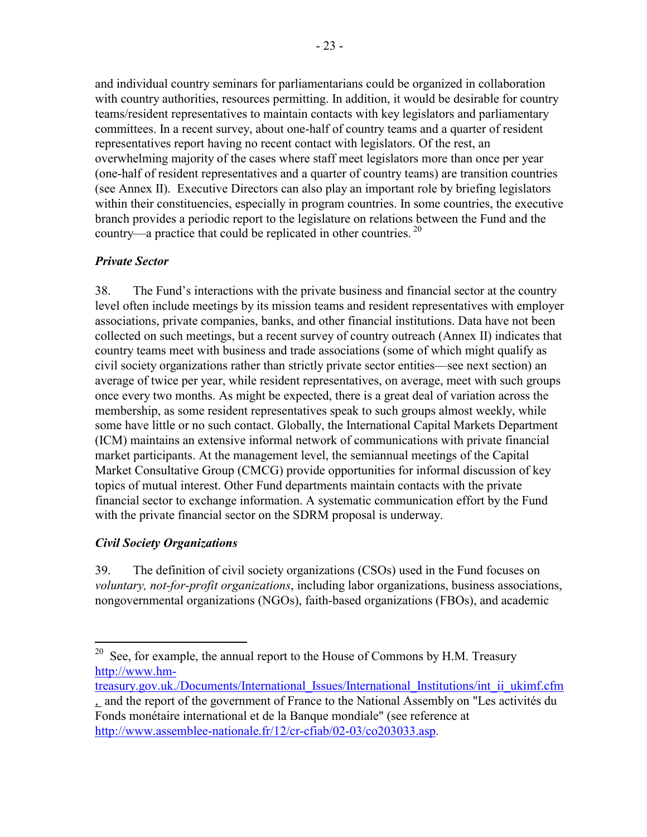and individual country seminars for parliamentarians could be organized in collaboration with country authorities, resources permitting. In addition, it would be desirable for country teams/resident representatives to maintain contacts with key legislators and parliamentary committees. In a recent survey, about one-half of country teams and a quarter of resident representatives report having no recent contact with legislators. Of the rest, an overwhelming majority of the cases where staff meet legislators more than once per year (one-half of resident representatives and a quarter of country teams) are transition countries (see Annex II). Executive Directors can also play an important role by briefing legislators within their constituencies, especially in program countries. In some countries, the executive branch provides a periodic report to the legislature on relations between the Fund and the country—a practice that could be replicated in other countries.  $^{20}$ 

#### *Private Sector*

38. The Fund's interactions with the private business and financial sector at the country level often include meetings by its mission teams and resident representatives with employer associations, private companies, banks, and other financial institutions. Data have not been collected on such meetings, but a recent survey of country outreach (Annex II) indicates that country teams meet with business and trade associations (some of which might qualify as civil society organizations rather than strictly private sector entities—see next section) an average of twice per year, while resident representatives, on average, meet with such groups once every two months. As might be expected, there is a great deal of variation across the membership, as some resident representatives speak to such groups almost weekly, while some have little or no such contact. Globally, the International Capital Markets Department (ICM) maintains an extensive informal network of communications with private financial market participants. At the management level, the semiannual meetings of the Capital Market Consultative Group (CMCG) provide opportunities for informal discussion of key topics of mutual interest. Other Fund departments maintain contacts with the private financial sector to exchange information. A systematic communication effort by the Fund with the private financial sector on the SDRM proposal is underway.

#### *Civil Society Organizations*

 $\overline{a}$ 

39. The definition of civil society organizations (CSOs) used in the Fund focuses on *voluntary, not-for-profit organizations*, including labor organizations, business associations, nongovernmental organizations (NGOs), faith-based organizations (FBOs), and academic

<sup>&</sup>lt;sup>20</sup> See, for example, the annual report to the House of Commons by H.M. Treasury http://www.hm-

treasury.gov.uk./Documents/International\_Issues/International\_Institutions/int\_ii\_ukimf.cfm  $\overline{\mathcal{L}}$  and the report of the government of France to the National Assembly on "Les activités du Fonds monétaire international et de la Banque mondiale" (see reference at http://www.assemblee-nationale.fr/12/cr-cfiab/02-03/co203033.asp.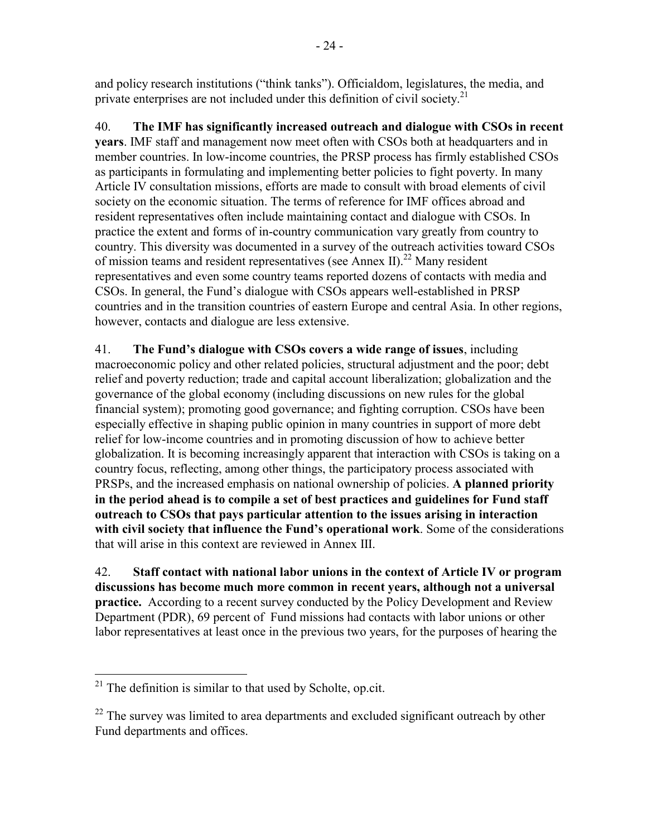and policy research institutions ("think tanks"). Officialdom, legislatures, the media, and private enterprises are not included under this definition of civil society.<sup>21</sup>

40. **The IMF has significantly increased outreach and dialogue with CSOs in recent years**. IMF staff and management now meet often with CSOs both at headquarters and in member countries. In low-income countries, the PRSP process has firmly established CSOs as participants in formulating and implementing better policies to fight poverty. In many Article IV consultation missions, efforts are made to consult with broad elements of civil society on the economic situation. The terms of reference for IMF offices abroad and resident representatives often include maintaining contact and dialogue with CSOs. In practice the extent and forms of in-country communication vary greatly from country to country. This diversity was documented in a survey of the outreach activities toward CSOs of mission teams and resident representatives (see Annex II).<sup>22</sup> Many resident representatives and even some country teams reported dozens of contacts with media and CSOs. In general, the Fund's dialogue with CSOs appears well-established in PRSP countries and in the transition countries of eastern Europe and central Asia. In other regions, however, contacts and dialogue are less extensive.

41. **The Fund's dialogue with CSOs covers a wide range of issues**, including macroeconomic policy and other related policies, structural adjustment and the poor; debt relief and poverty reduction; trade and capital account liberalization; globalization and the governance of the global economy (including discussions on new rules for the global financial system); promoting good governance; and fighting corruption. CSOs have been especially effective in shaping public opinion in many countries in support of more debt relief for low-income countries and in promoting discussion of how to achieve better globalization. It is becoming increasingly apparent that interaction with CSOs is taking on a country focus, reflecting, among other things, the participatory process associated with PRSPs, and the increased emphasis on national ownership of policies. **A planned priority in the period ahead is to compile a set of best practices and guidelines for Fund staff outreach to CSOs that pays particular attention to the issues arising in interaction with civil society that influence the Fund's operational work**. Some of the considerations that will arise in this context are reviewed in Annex III.

42. **Staff contact with national labor unions in the context of Article IV or program discussions has become much more common in recent years, although not a universal practice.** According to a recent survey conducted by the Policy Development and Review Department (PDR), 69 percent of Fund missions had contacts with labor unions or other labor representatives at least once in the previous two years, for the purposes of hearing the

 $\overline{a}$ 

 $21$ <sup>21</sup> The definition is similar to that used by Scholte, op.cit.

 $22$  The survey was limited to area departments and excluded significant outreach by other Fund departments and offices.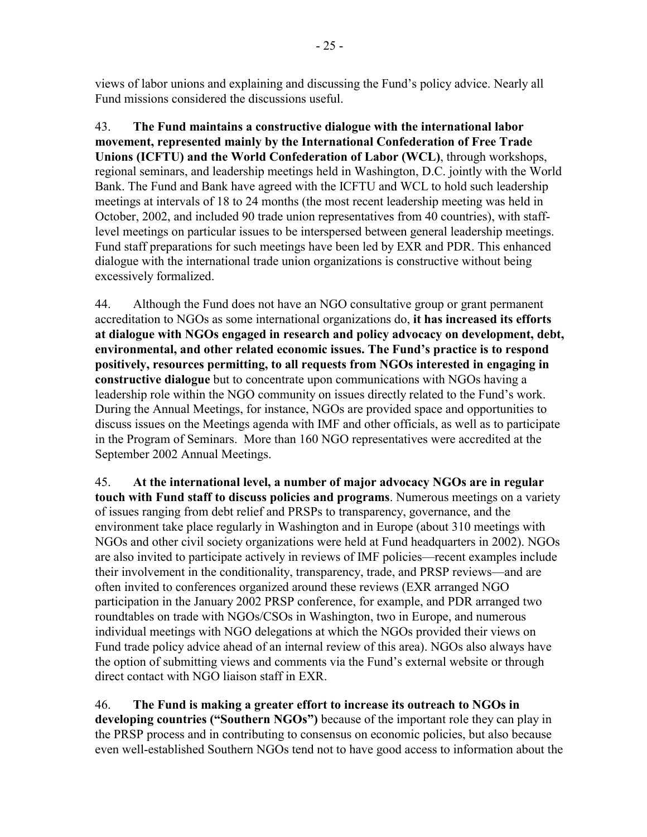views of labor unions and explaining and discussing the Fund's policy advice. Nearly all Fund missions considered the discussions useful.

43. **The Fund maintains a constructive dialogue with the international labor movement, represented mainly by the International Confederation of Free Trade Unions (ICFTU) and the World Confederation of Labor (WCL)**, through workshops, regional seminars, and leadership meetings held in Washington, D.C. jointly with the World Bank. The Fund and Bank have agreed with the ICFTU and WCL to hold such leadership meetings at intervals of 18 to 24 months (the most recent leadership meeting was held in October, 2002, and included 90 trade union representatives from 40 countries), with stafflevel meetings on particular issues to be interspersed between general leadership meetings. Fund staff preparations for such meetings have been led by EXR and PDR. This enhanced dialogue with the international trade union organizations is constructive without being excessively formalized.

44. Although the Fund does not have an NGO consultative group or grant permanent accreditation to NGOs as some international organizations do, **it has increased its efforts at dialogue with NGOs engaged in research and policy advocacy on development, debt, environmental, and other related economic issues. The Fund's practice is to respond positively, resources permitting, to all requests from NGOs interested in engaging in constructive dialogue** but to concentrate upon communications with NGOs having a leadership role within the NGO community on issues directly related to the Fund's work. During the Annual Meetings, for instance, NGOs are provided space and opportunities to discuss issues on the Meetings agenda with IMF and other officials, as well as to participate in the Program of Seminars. More than 160 NGO representatives were accredited at the September 2002 Annual Meetings.

45. **At the international level, a number of major advocacy NGOs are in regular touch with Fund staff to discuss policies and programs**. Numerous meetings on a variety of issues ranging from debt relief and PRSPs to transparency, governance, and the environment take place regularly in Washington and in Europe (about 310 meetings with NGOs and other civil society organizations were held at Fund headquarters in 2002). NGOs are also invited to participate actively in reviews of IMF policies—recent examples include their involvement in the conditionality, transparency, trade, and PRSP reviews—and are often invited to conferences organized around these reviews (EXR arranged NGO participation in the January 2002 PRSP conference, for example, and PDR arranged two roundtables on trade with NGOs/CSOs in Washington, two in Europe, and numerous individual meetings with NGO delegations at which the NGOs provided their views on Fund trade policy advice ahead of an internal review of this area). NGOs also always have the option of submitting views and comments via the Fund's external website or through direct contact with NGO liaison staff in EXR.

46. **The Fund is making a greater effort to increase its outreach to NGOs in developing countries ("Southern NGOs")** because of the important role they can play in the PRSP process and in contributing to consensus on economic policies, but also because even well-established Southern NGOs tend not to have good access to information about the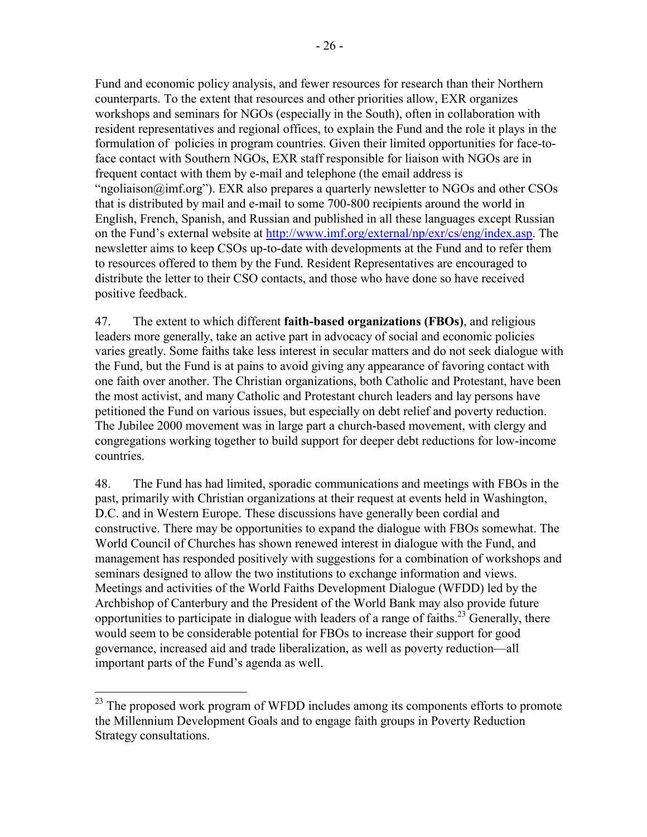Fund and economic policy analysis, and fewer resources for research than their Northern counterparts. To the extent that resources and other priorities allow, EXR organizes workshops and seminars for NGOs (especially in the South), often in collaboration with resident representatives and regional offices, to explain the Fund and the role it plays in the formulation of policies in program countries. Given their limited opportunities for face-toface contact with Southern NGOs, EXR staff responsible for liaison with NGOs are in frequent contact with them by e-mail and telephone (the email address is "ngoliaison $\omega$  imf.org"). EXR also prepares a quarterly newsletter to NGOs and other CSOs that is distributed by mail and e-mail to some 700-800 recipients around the world in English, French, Spanish, and Russian and published in all these languages except Russian on the Fund's external website at http://www.imf.org/external/np/exr/cs/eng/index.asp. The newsletter aims to keep CSOs up-to-date with developments at the Fund and to refer them to resources offered to them by the Fund. Resident Representatives are encouraged to distribute the letter to their CSO contacts, and those who have done so have received positive feedback.

47. The extent to which different **faith-based organizations (FBOs)**, and religious leaders more generally, take an active part in advocacy of social and economic policies varies greatly. Some faiths take less interest in secular matters and do not seek dialogue with the Fund, but the Fund is at pains to avoid giving any appearance of favoring contact with one faith over another. The Christian organizations, both Catholic and Protestant, have been the most activist, and many Catholic and Protestant church leaders and lay persons have petitioned the Fund on various issues, but especially on debt relief and poverty reduction. The Jubilee 2000 movement was in large part a church-based movement, with clergy and congregations working together to build support for deeper debt reductions for low-income countries.

48. The Fund has had limited, sporadic communications and meetings with FBOs in the past, primarily with Christian organizations at their request at events held in Washington, D.C. and in Western Europe. These discussions have generally been cordial and constructive. There may be opportunities to expand the dialogue with FBOs somewhat. The World Council of Churches has shown renewed interest in dialogue with the Fund, and management has responded positively with suggestions for a combination of workshops and seminars designed to allow the two institutions to exchange information and views. Meetings and activities of the World Faiths Development Dialogue (WFDD) led by the Archbishop of Canterbury and the President of the World Bank may also provide future opportunities to participate in dialogue with leaders of a range of faiths.<sup>23</sup> Generally, there would seem to be considerable potential for FBOs to increase their support for good governance, increased aid and trade liberalization, as well as poverty reduction—all important parts of the Fund's agenda as well.

1

 $23$  The proposed work program of WFDD includes among its components efforts to promote the Millennium Development Goals and to engage faith groups in Poverty Reduction Strategy consultations.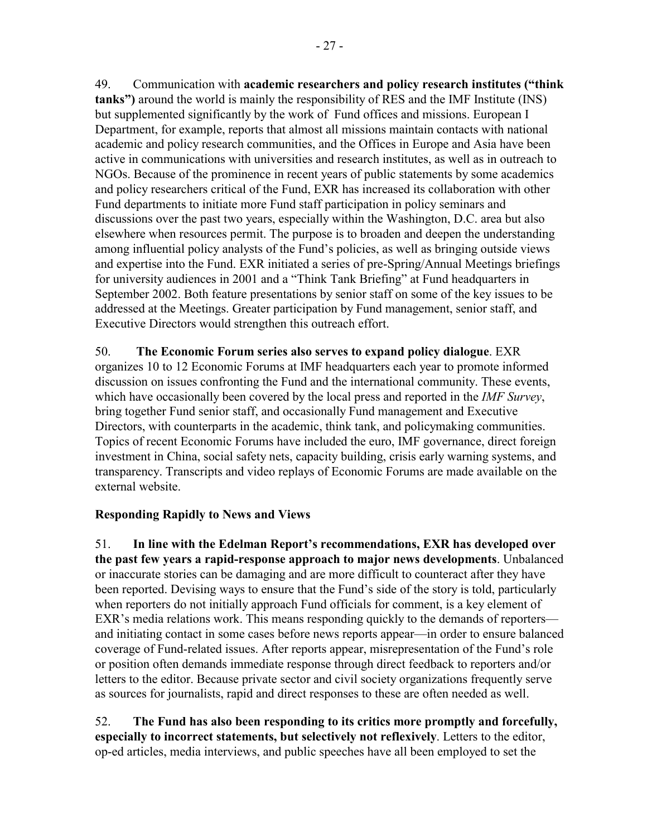49. Communication with **academic researchers and policy research institutes ("think tanks")** around the world is mainly the responsibility of RES and the IMF Institute (INS) but supplemented significantly by the work of Fund offices and missions. European I Department, for example, reports that almost all missions maintain contacts with national academic and policy research communities, and the Offices in Europe and Asia have been active in communications with universities and research institutes, as well as in outreach to NGOs. Because of the prominence in recent years of public statements by some academics and policy researchers critical of the Fund, EXR has increased its collaboration with other Fund departments to initiate more Fund staff participation in policy seminars and discussions over the past two years, especially within the Washington, D.C. area but also elsewhere when resources permit. The purpose is to broaden and deepen the understanding among influential policy analysts of the Fund's policies, as well as bringing outside views and expertise into the Fund. EXR initiated a series of pre-Spring/Annual Meetings briefings for university audiences in 2001 and a "Think Tank Briefing" at Fund headquarters in September 2002. Both feature presentations by senior staff on some of the key issues to be addressed at the Meetings. Greater participation by Fund management, senior staff, and Executive Directors would strengthen this outreach effort.

50. **The Economic Forum series also serves to expand policy dialogue**. EXR organizes 10 to 12 Economic Forums at IMF headquarters each year to promote informed discussion on issues confronting the Fund and the international community. These events, which have occasionally been covered by the local press and reported in the *IMF Survey*, bring together Fund senior staff, and occasionally Fund management and Executive Directors, with counterparts in the academic, think tank, and policymaking communities. Topics of recent Economic Forums have included the euro, IMF governance, direct foreign investment in China, social safety nets, capacity building, crisis early warning systems, and transparency. Transcripts and video replays of Economic Forums are made available on the external website.

#### **Responding Rapidly to News and Views**

51. **In line with the Edelman Report's recommendations, EXR has developed over the past few years a rapid-response approach to major news developments**. Unbalanced or inaccurate stories can be damaging and are more difficult to counteract after they have been reported. Devising ways to ensure that the Fund's side of the story is told, particularly when reporters do not initially approach Fund officials for comment, is a key element of EXR's media relations work. This means responding quickly to the demands of reporters and initiating contact in some cases before news reports appear—in order to ensure balanced coverage of Fund-related issues. After reports appear, misrepresentation of the Fund's role or position often demands immediate response through direct feedback to reporters and/or letters to the editor. Because private sector and civil society organizations frequently serve as sources for journalists, rapid and direct responses to these are often needed as well.

52. **The Fund has also been responding to its critics more promptly and forcefully, especially to incorrect statements, but selectively not reflexively**. Letters to the editor, op-ed articles, media interviews, and public speeches have all been employed to set the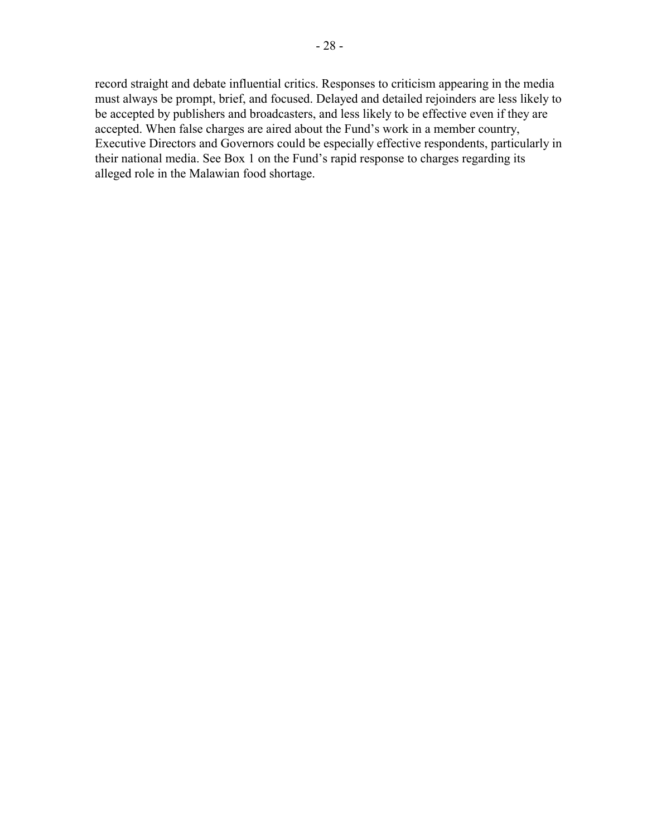record straight and debate influential critics. Responses to criticism appearing in the media must always be prompt, brief, and focused. Delayed and detailed rejoinders are less likely to be accepted by publishers and broadcasters, and less likely to be effective even if they are accepted. When false charges are aired about the Fund's work in a member country, Executive Directors and Governors could be especially effective respondents, particularly in their national media. See Box 1 on the Fund's rapid response to charges regarding its alleged role in the Malawian food shortage.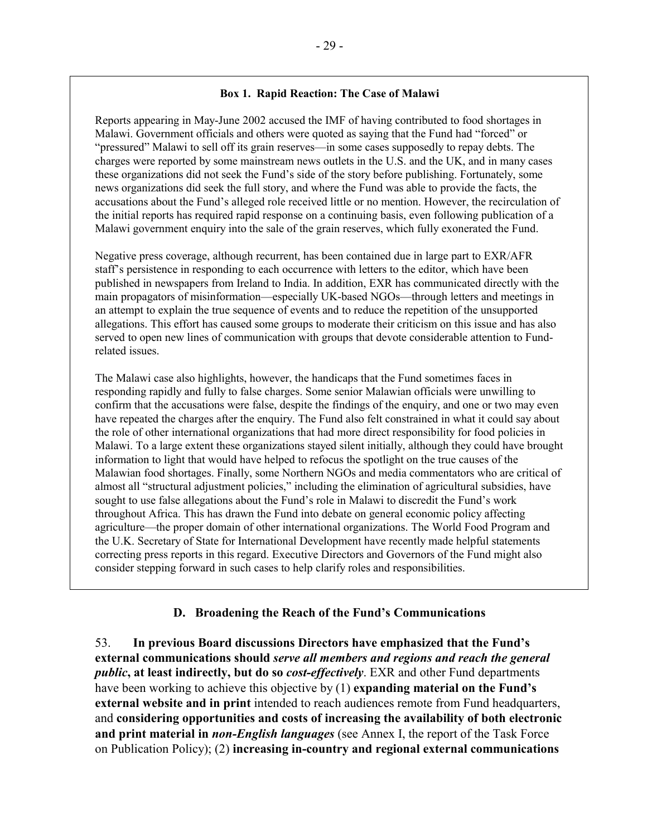#### **Box 1. Rapid Reaction: The Case of Malawi**

Reports appearing in May-June 2002 accused the IMF of having contributed to food shortages in Malawi. Government officials and others were quoted as saying that the Fund had "forced" or "pressured" Malawi to sell off its grain reserves—in some cases supposedly to repay debts. The charges were reported by some mainstream news outlets in the U.S. and the UK, and in many cases these organizations did not seek the Fund's side of the story before publishing. Fortunately, some news organizations did seek the full story, and where the Fund was able to provide the facts, the accusations about the Fund's alleged role received little or no mention. However, the recirculation of the initial reports has required rapid response on a continuing basis, even following publication of a Malawi government enquiry into the sale of the grain reserves, which fully exonerated the Fund.

Negative press coverage, although recurrent, has been contained due in large part to EXR/AFR staff's persistence in responding to each occurrence with letters to the editor, which have been published in newspapers from Ireland to India. In addition, EXR has communicated directly with the main propagators of misinformation—especially UK-based NGOs—through letters and meetings in an attempt to explain the true sequence of events and to reduce the repetition of the unsupported allegations. This effort has caused some groups to moderate their criticism on this issue and has also served to open new lines of communication with groups that devote considerable attention to Fundrelated issues.

The Malawi case also highlights, however, the handicaps that the Fund sometimes faces in responding rapidly and fully to false charges. Some senior Malawian officials were unwilling to confirm that the accusations were false, despite the findings of the enquiry, and one or two may even have repeated the charges after the enquiry. The Fund also felt constrained in what it could say about the role of other international organizations that had more direct responsibility for food policies in Malawi. To a large extent these organizations stayed silent initially, although they could have brought information to light that would have helped to refocus the spotlight on the true causes of the Malawian food shortages. Finally, some Northern NGOs and media commentators who are critical of almost all "structural adjustment policies," including the elimination of agricultural subsidies, have sought to use false allegations about the Fund's role in Malawi to discredit the Fund's work throughout Africa. This has drawn the Fund into debate on general economic policy affecting agriculture—the proper domain of other international organizations. The World Food Program and the U.K. Secretary of State for International Development have recently made helpful statements correcting press reports in this regard. Executive Directors and Governors of the Fund might also consider stepping forward in such cases to help clarify roles and responsibilities.

#### **D. Broadening the Reach of the Fund's Communications**

53. **In previous Board discussions Directors have emphasized that the Fund's external communications should** *serve all members and regions and reach the general public***, at least indirectly, but do so** *cost-effectively*. EXR and other Fund departments have been working to achieve this objective by (1) **expanding material on the Fund's external website and in print** intended to reach audiences remote from Fund headquarters, and **considering opportunities and costs of increasing the availability of both electronic and print material in** *non-English languages* (see Annex I, the report of the Task Force on Publication Policy); (2) **increasing in-country and regional external communications**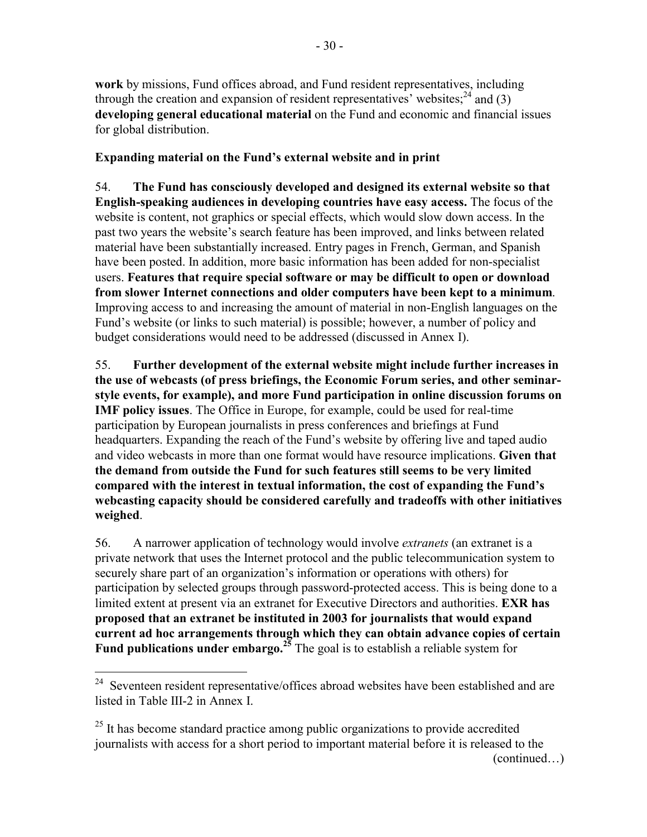**work** by missions, Fund offices abroad, and Fund resident representatives, including through the creation and expansion of resident representatives' websites;  $24$  and (3) **developing general educational material** on the Fund and economic and financial issues for global distribution.

# **Expanding material on the Fund's external website and in print**

54. **The Fund has consciously developed and designed its external website so that English-speaking audiences in developing countries have easy access.** The focus of the website is content, not graphics or special effects, which would slow down access. In the past two years the website's search feature has been improved, and links between related material have been substantially increased. Entry pages in French, German, and Spanish have been posted. In addition, more basic information has been added for non-specialist users. **Features that require special software or may be difficult to open or download from slower Internet connections and older computers have been kept to a minimum**. Improving access to and increasing the amount of material in non-English languages on the Fund's website (or links to such material) is possible; however, a number of policy and budget considerations would need to be addressed (discussed in Annex I).

55. **Further development of the external website might include further increases in the use of webcasts (of press briefings, the Economic Forum series, and other seminarstyle events, for example), and more Fund participation in online discussion forums on IMF policy issues**. The Office in Europe, for example, could be used for real-time participation by European journalists in press conferences and briefings at Fund headquarters. Expanding the reach of the Fund's website by offering live and taped audio and video webcasts in more than one format would have resource implications. **Given that the demand from outside the Fund for such features still seems to be very limited compared with the interest in textual information, the cost of expanding the Fund's webcasting capacity should be considered carefully and tradeoffs with other initiatives weighed**.

56. A narrower application of technology would involve *extranets* (an extranet is a private network that uses the Internet protocol and the public telecommunication system to securely share part of an organization's information or operations with others) for participation by selected groups through password-protected access. This is being done to a limited extent at present via an extranet for Executive Directors and authorities. **EXR has proposed that an extranet be instituted in 2003 for journalists that would expand current ad hoc arrangements through which they can obtain advance copies of certain Fund publications under embargo.**<sup>25</sup> The goal is to establish a reliable system for

 $\overline{a}$ 

<sup>&</sup>lt;sup>24</sup> Seventeen resident representative/offices abroad websites have been established and are listed in Table III-2 in Annex I.

 $^{25}$  It has become standard practice among public organizations to provide accredited journalists with access for a short period to important material before it is released to the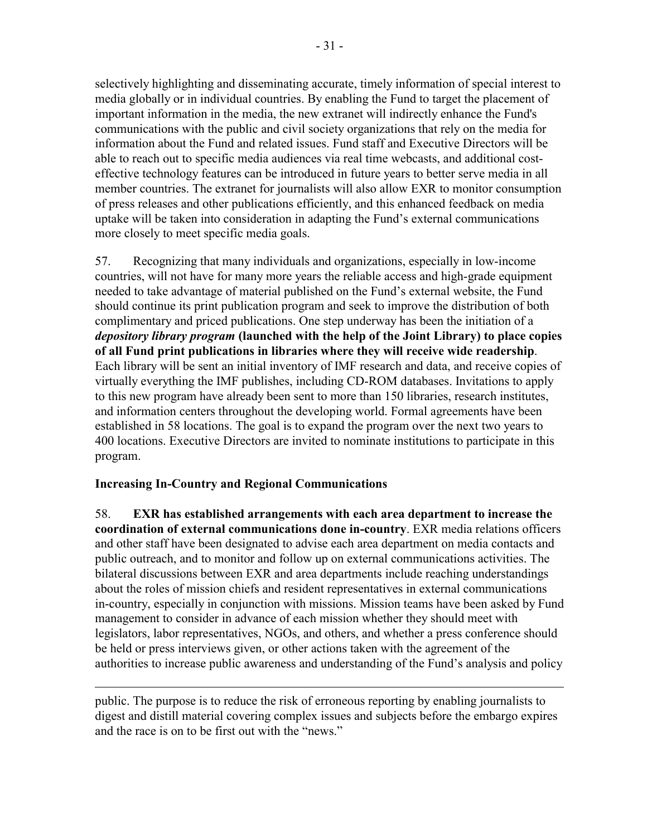selectively highlighting and disseminating accurate, timely information of special interest to media globally or in individual countries. By enabling the Fund to target the placement of important information in the media, the new extranet will indirectly enhance the Fund's communications with the public and civil society organizations that rely on the media for information about the Fund and related issues. Fund staff and Executive Directors will be able to reach out to specific media audiences via real time webcasts, and additional costeffective technology features can be introduced in future years to better serve media in all member countries. The extranet for journalists will also allow EXR to monitor consumption of press releases and other publications efficiently, and this enhanced feedback on media uptake will be taken into consideration in adapting the Fund's external communications more closely to meet specific media goals.

57. Recognizing that many individuals and organizations, especially in low-income countries, will not have for many more years the reliable access and high-grade equipment needed to take advantage of material published on the Fund's external website, the Fund should continue its print publication program and seek to improve the distribution of both complimentary and priced publications. One step underway has been the initiation of a *depository library program* **(launched with the help of the Joint Library) to place copies of all Fund print publications in libraries where they will receive wide readership**. Each library will be sent an initial inventory of IMF research and data, and receive copies of virtually everything the IMF publishes, including CD-ROM databases. Invitations to apply to this new program have already been sent to more than 150 libraries, research institutes, and information centers throughout the developing world. Formal agreements have been established in 58 locations. The goal is to expand the program over the next two years to 400 locations. Executive Directors are invited to nominate institutions to participate in this program.

#### **Increasing In-Country and Regional Communications**

 $\overline{a}$ 

58. **EXR has established arrangements with each area department to increase the coordination of external communications done in-country**. EXR media relations officers and other staff have been designated to advise each area department on media contacts and public outreach, and to monitor and follow up on external communications activities. The bilateral discussions between EXR and area departments include reaching understandings about the roles of mission chiefs and resident representatives in external communications in-country, especially in conjunction with missions. Mission teams have been asked by Fund management to consider in advance of each mission whether they should meet with legislators, labor representatives, NGOs, and others, and whether a press conference should be held or press interviews given, or other actions taken with the agreement of the authorities to increase public awareness and understanding of the Fund's analysis and policy

public. The purpose is to reduce the risk of erroneous reporting by enabling journalists to digest and distill material covering complex issues and subjects before the embargo expires and the race is on to be first out with the "news."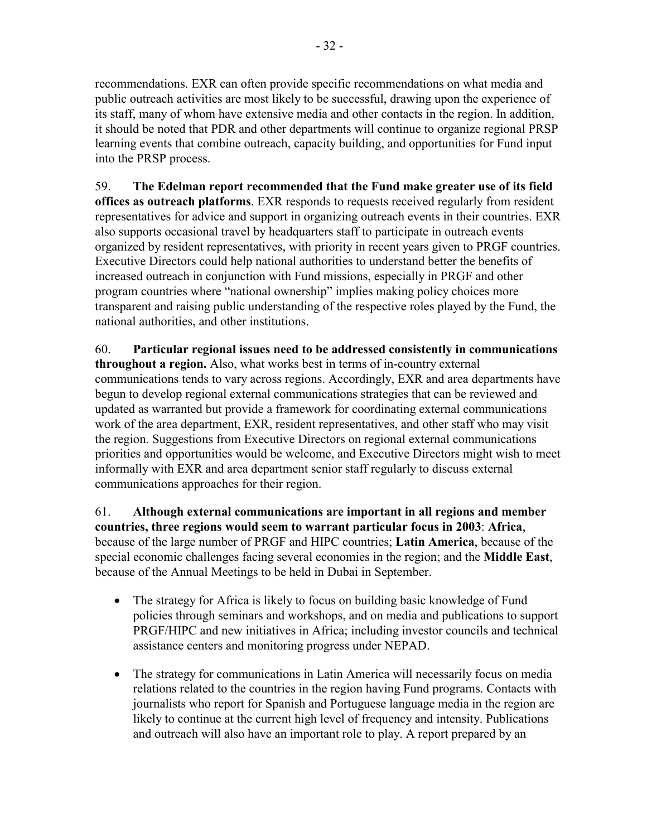recommendations. EXR can often provide specific recommendations on what media and public outreach activities are most likely to be successful, drawing upon the experience of its staff, many of whom have extensive media and other contacts in the region. In addition, it should be noted that PDR and other departments will continue to organize regional PRSP learning events that combine outreach, capacity building, and opportunities for Fund input into the PRSP process.

59. **The Edelman report recommended that the Fund make greater use of its field offices as outreach platforms**. EXR responds to requests received regularly from resident representatives for advice and support in organizing outreach events in their countries. EXR also supports occasional travel by headquarters staff to participate in outreach events organized by resident representatives, with priority in recent years given to PRGF countries. Executive Directors could help national authorities to understand better the benefits of increased outreach in conjunction with Fund missions, especially in PRGF and other program countries where "national ownership" implies making policy choices more transparent and raising public understanding of the respective roles played by the Fund, the national authorities, and other institutions.

60. **Particular regional issues need to be addressed consistently in communications throughout a region.** Also, what works best in terms of in-country external communications tends to vary across regions. Accordingly, EXR and area departments have begun to develop regional external communications strategies that can be reviewed and updated as warranted but provide a framework for coordinating external communications work of the area department, EXR, resident representatives, and other staff who may visit the region. Suggestions from Executive Directors on regional external communications priorities and opportunities would be welcome, and Executive Directors might wish to meet informally with EXR and area department senior staff regularly to discuss external communications approaches for their region.

61. **Although external communications are important in all regions and member countries, three regions would seem to warrant particular focus in 2003**: **Africa**, because of the large number of PRGF and HIPC countries; **Latin America**, because of the special economic challenges facing several economies in the region; and the **Middle East**, because of the Annual Meetings to be held in Dubai in September.

- The strategy for Africa is likely to focus on building basic knowledge of Fund policies through seminars and workshops, and on media and publications to support PRGF/HIPC and new initiatives in Africa; including investor councils and technical assistance centers and monitoring progress under NEPAD.
- The strategy for communications in Latin America will necessarily focus on media relations related to the countries in the region having Fund programs. Contacts with journalists who report for Spanish and Portuguese language media in the region are likely to continue at the current high level of frequency and intensity. Publications and outreach will also have an important role to play. A report prepared by an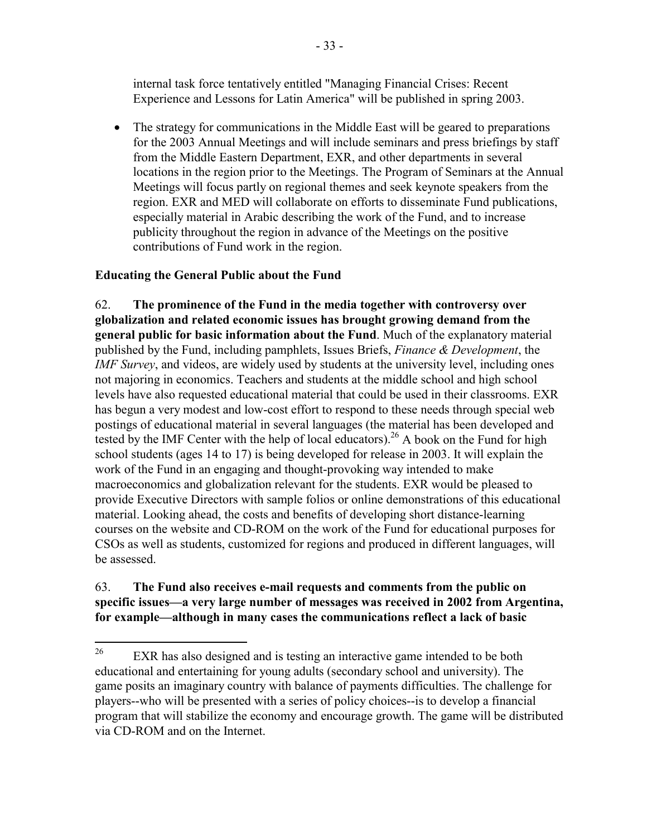internal task force tentatively entitled "Managing Financial Crises: Recent Experience and Lessons for Latin America" will be published in spring 2003.

• The strategy for communications in the Middle East will be geared to preparations for the 2003 Annual Meetings and will include seminars and press briefings by staff from the Middle Eastern Department, EXR, and other departments in several locations in the region prior to the Meetings. The Program of Seminars at the Annual Meetings will focus partly on regional themes and seek keynote speakers from the region. EXR and MED will collaborate on efforts to disseminate Fund publications, especially material in Arabic describing the work of the Fund, and to increase publicity throughout the region in advance of the Meetings on the positive contributions of Fund work in the region.

# **Educating the General Public about the Fund**

62. **The prominence of the Fund in the media together with controversy over globalization and related economic issues has brought growing demand from the general public for basic information about the Fund**. Much of the explanatory material published by the Fund, including pamphlets, Issues Briefs, *Finance & Development*, the *IMF Survey*, and videos, are widely used by students at the university level, including ones not majoring in economics. Teachers and students at the middle school and high school levels have also requested educational material that could be used in their classrooms. EXR has begun a very modest and low-cost effort to respond to these needs through special web postings of educational material in several languages (the material has been developed and tested by the IMF Center with the help of local educators).<sup>26</sup> A book on the Fund for high school students (ages 14 to 17) is being developed for release in 2003. It will explain the work of the Fund in an engaging and thought-provoking way intended to make macroeconomics and globalization relevant for the students. EXR would be pleased to provide Executive Directors with sample folios or online demonstrations of this educational material. Looking ahead, the costs and benefits of developing short distance-learning courses on the website and CD-ROM on the work of the Fund for educational purposes for CSOs as well as students, customized for regions and produced in different languages, will be assessed.

63. **The Fund also receives e-mail requests and comments from the public on specific issues—a very large number of messages was received in 2002 from Argentina, for example—although in many cases the communications reflect a lack of basic** 

<sup>26</sup> EXR has also designed and is testing an interactive game intended to be both educational and entertaining for young adults (secondary school and university). The game posits an imaginary country with balance of payments difficulties. The challenge for players--who will be presented with a series of policy choices--is to develop a financial program that will stabilize the economy and encourage growth. The game will be distributed via CD-ROM and on the Internet.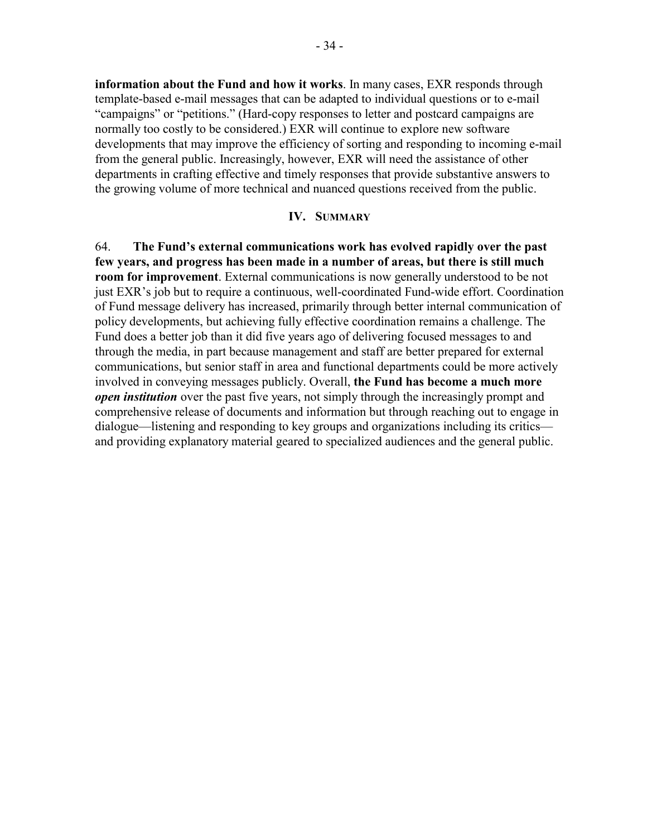**information about the Fund and how it works**. In many cases, EXR responds through template-based e-mail messages that can be adapted to individual questions or to e-mail "campaigns" or "petitions." (Hard-copy responses to letter and postcard campaigns are normally too costly to be considered.) EXR will continue to explore new software developments that may improve the efficiency of sorting and responding to incoming e-mail from the general public. Increasingly, however, EXR will need the assistance of other departments in crafting effective and timely responses that provide substantive answers to the growing volume of more technical and nuanced questions received from the public.

#### **IV. SUMMARY**

64. **The Fund's external communications work has evolved rapidly over the past few years, and progress has been made in a number of areas, but there is still much room for improvement**. External communications is now generally understood to be not just EXR's job but to require a continuous, well-coordinated Fund-wide effort. Coordination of Fund message delivery has increased, primarily through better internal communication of policy developments, but achieving fully effective coordination remains a challenge. The Fund does a better job than it did five years ago of delivering focused messages to and through the media, in part because management and staff are better prepared for external communications, but senior staff in area and functional departments could be more actively involved in conveying messages publicly. Overall, **the Fund has become a much more**  *open institution* over the past five years, not simply through the increasingly prompt and comprehensive release of documents and information but through reaching out to engage in dialogue—listening and responding to key groups and organizations including its critics and providing explanatory material geared to specialized audiences and the general public.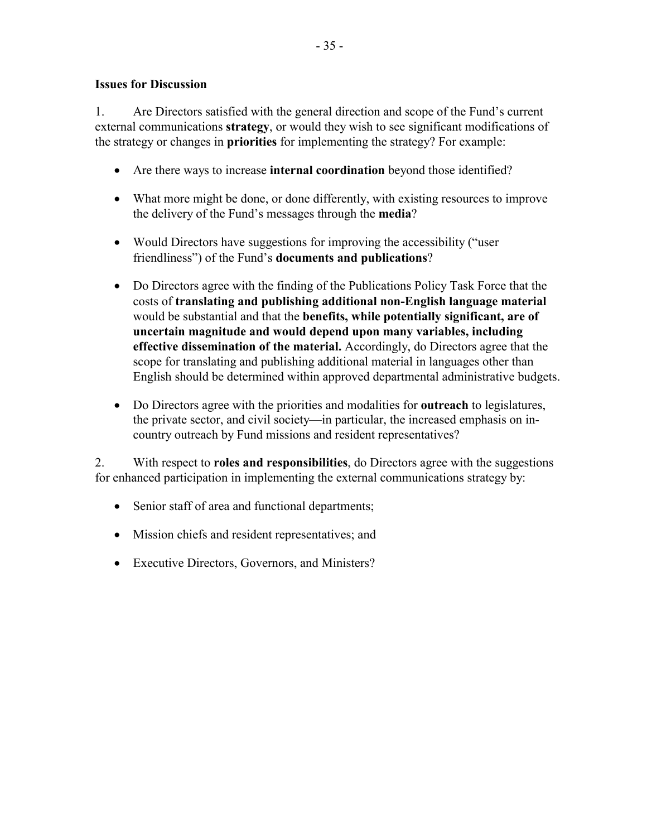#### **Issues for Discussion**

1. Are Directors satisfied with the general direction and scope of the Fund's current external communications **strategy**, or would they wish to see significant modifications of the strategy or changes in **priorities** for implementing the strategy? For example:

- Are there ways to increase **internal coordination** beyond those identified?
- What more might be done, or done differently, with existing resources to improve the delivery of the Fund's messages through the **media**?
- Would Directors have suggestions for improving the accessibility ("user friendliness") of the Fund's **documents and publications**?
- Do Directors agree with the finding of the Publications Policy Task Force that the costs of **translating and publishing additional non-English language material** would be substantial and that the **benefits, while potentially significant, are of uncertain magnitude and would depend upon many variables, including effective dissemination of the material.** Accordingly, do Directors agree that the scope for translating and publishing additional material in languages other than English should be determined within approved departmental administrative budgets.
- Do Directors agree with the priorities and modalities for **outreach** to legislatures, the private sector, and civil society—in particular, the increased emphasis on incountry outreach by Fund missions and resident representatives?

2. With respect to **roles and responsibilities**, do Directors agree with the suggestions for enhanced participation in implementing the external communications strategy by:

- Senior staff of area and functional departments;
- Mission chiefs and resident representatives; and
- Executive Directors, Governors, and Ministers?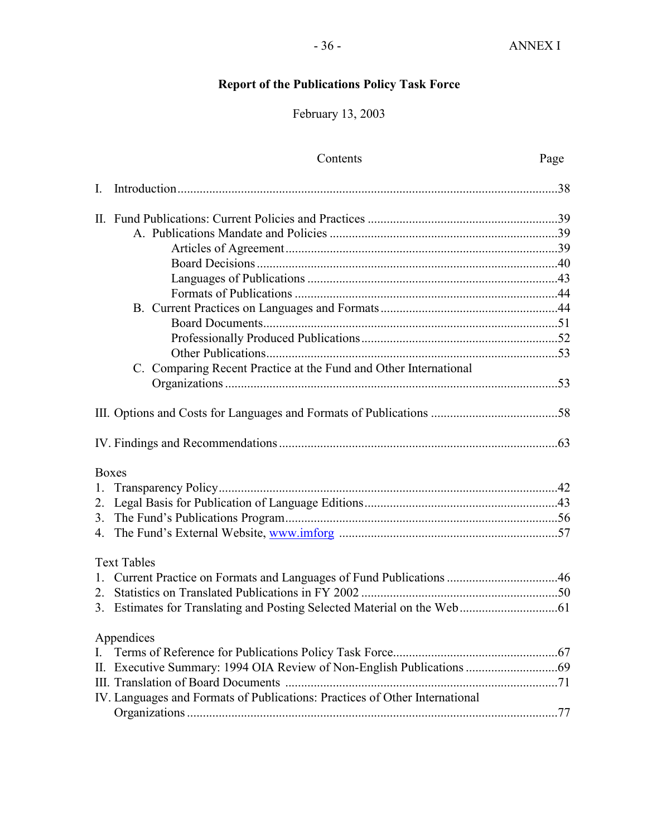# **Report of the Publications Policy Task Force**

# February 13, 2003

|    | Contents                                                                    | Page |
|----|-----------------------------------------------------------------------------|------|
| I. |                                                                             |      |
|    |                                                                             |      |
|    |                                                                             |      |
|    |                                                                             |      |
|    |                                                                             |      |
|    |                                                                             |      |
|    |                                                                             |      |
|    |                                                                             |      |
|    |                                                                             |      |
|    |                                                                             |      |
|    |                                                                             |      |
|    | C. Comparing Recent Practice at the Fund and Other International            |      |
|    |                                                                             |      |
|    |                                                                             |      |
|    |                                                                             |      |
|    | <b>Boxes</b>                                                                |      |
| 1. |                                                                             |      |
|    |                                                                             |      |
|    |                                                                             |      |
|    |                                                                             |      |
|    | <b>Text Tables</b>                                                          |      |
|    |                                                                             |      |
|    |                                                                             |      |
|    |                                                                             |      |
|    | Appendices                                                                  |      |
| I. |                                                                             |      |
|    |                                                                             |      |
|    |                                                                             |      |
|    | IV. Languages and Formats of Publications: Practices of Other International |      |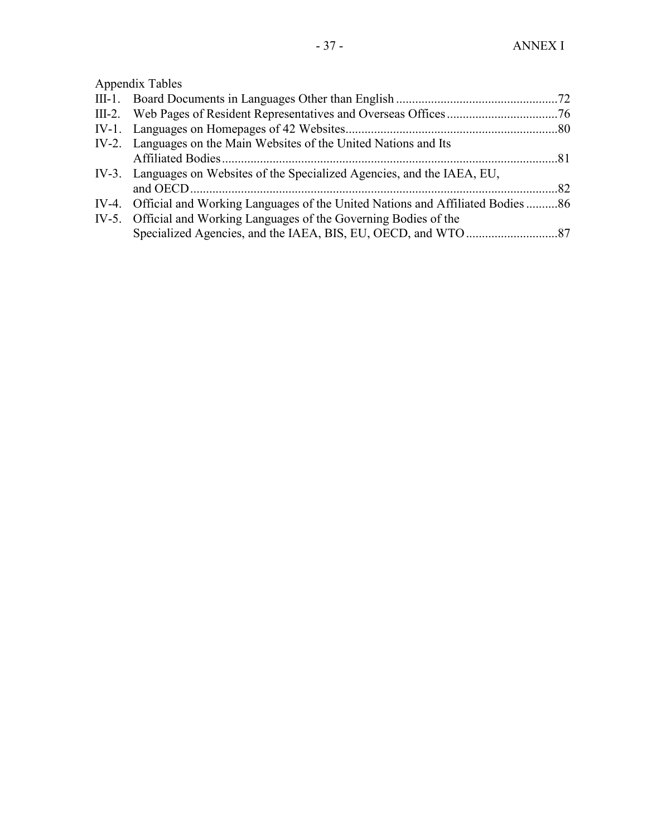Appendix Tables

| IV-2. Languages on the Main Websites of the United Nations and Its                  |  |
|-------------------------------------------------------------------------------------|--|
|                                                                                     |  |
| IV-3. Languages on Websites of the Specialized Agencies, and the IAEA, EU,          |  |
|                                                                                     |  |
| IV-4. Official and Working Languages of the United Nations and Affiliated Bodies 86 |  |
| IV-5. Official and Working Languages of the Governing Bodies of the                 |  |
|                                                                                     |  |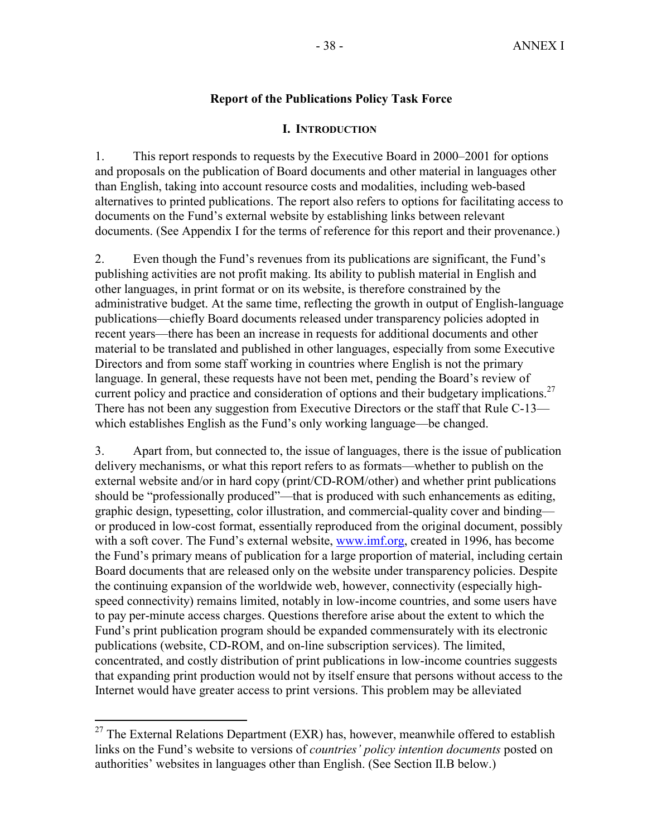## **Report of the Publications Policy Task Force**

### **I. INTRODUCTION**

1. This report responds to requests by the Executive Board in 2000–2001 for options and proposals on the publication of Board documents and other material in languages other than English, taking into account resource costs and modalities, including web-based alternatives to printed publications. The report also refers to options for facilitating access to documents on the Fund's external website by establishing links between relevant documents. (See Appendix I for the terms of reference for this report and their provenance.)

2. Even though the Fund's revenues from its publications are significant, the Fund's publishing activities are not profit making. Its ability to publish material in English and other languages, in print format or on its website, is therefore constrained by the administrative budget. At the same time, reflecting the growth in output of English-language publications—chiefly Board documents released under transparency policies adopted in recent years—there has been an increase in requests for additional documents and other material to be translated and published in other languages, especially from some Executive Directors and from some staff working in countries where English is not the primary language. In general, these requests have not been met, pending the Board's review of current policy and practice and consideration of options and their budgetary implications.<sup>27</sup> There has not been any suggestion from Executive Directors or the staff that Rule C-13 which establishes English as the Fund's only working language—be changed.

3. Apart from, but connected to, the issue of languages, there is the issue of publication delivery mechanisms, or what this report refers to as formats—whether to publish on the external website and/or in hard copy (print/CD-ROM/other) and whether print publications should be "professionally produced"—that is produced with such enhancements as editing, graphic design, typesetting, color illustration, and commercial-quality cover and binding or produced in low-cost format, essentially reproduced from the original document, possibly with a soft cover. The Fund's external website, www.imf.org, created in 1996, has become the Fund's primary means of publication for a large proportion of material, including certain Board documents that are released only on the website under transparency policies. Despite the continuing expansion of the worldwide web, however, connectivity (especially highspeed connectivity) remains limited, notably in low-income countries, and some users have to pay per-minute access charges. Questions therefore arise about the extent to which the Fund's print publication program should be expanded commensurately with its electronic publications (website, CD-ROM, and on-line subscription services). The limited, concentrated, and costly distribution of print publications in low-income countries suggests that expanding print production would not by itself ensure that persons without access to the Internet would have greater access to print versions. This problem may be alleviated

 $27$  The External Relations Department (EXR) has, however, meanwhile offered to establish links on the Fund's website to versions of *countries' policy intention documents* posted on authorities' websites in languages other than English. (See Section II.B below.)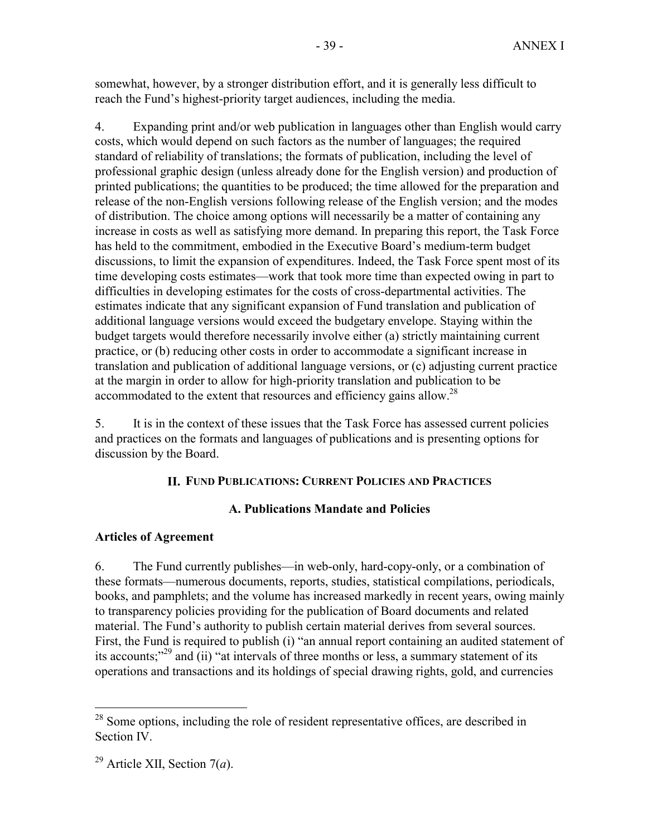somewhat, however, by a stronger distribution effort, and it is generally less difficult to reach the Fund's highest-priority target audiences, including the media.

4. Expanding print and/or web publication in languages other than English would carry costs, which would depend on such factors as the number of languages; the required standard of reliability of translations; the formats of publication, including the level of professional graphic design (unless already done for the English version) and production of printed publications; the quantities to be produced; the time allowed for the preparation and release of the non-English versions following release of the English version; and the modes of distribution. The choice among options will necessarily be a matter of containing any increase in costs as well as satisfying more demand. In preparing this report, the Task Force has held to the commitment, embodied in the Executive Board's medium-term budget discussions, to limit the expansion of expenditures. Indeed, the Task Force spent most of its time developing costs estimates—work that took more time than expected owing in part to difficulties in developing estimates for the costs of cross-departmental activities. The estimates indicate that any significant expansion of Fund translation and publication of additional language versions would exceed the budgetary envelope. Staying within the budget targets would therefore necessarily involve either (a) strictly maintaining current practice, or (b) reducing other costs in order to accommodate a significant increase in translation and publication of additional language versions, or (c) adjusting current practice at the margin in order to allow for high-priority translation and publication to be accommodated to the extent that resources and efficiency gains allow.<sup>28</sup>

5. It is in the context of these issues that the Task Force has assessed current policies and practices on the formats and languages of publications and is presenting options for discussion by the Board.

# **II. FUND PUBLICATIONS: CURRENT POLICIES AND PRACTICES**

# **A. Publications Mandate and Policies**

# **Articles of Agreement**

6. The Fund currently publishes—in web-only, hard-copy-only, or a combination of these formats—numerous documents, reports, studies, statistical compilations, periodicals, books, and pamphlets; and the volume has increased markedly in recent years, owing mainly to transparency policies providing for the publication of Board documents and related material. The Fund's authority to publish certain material derives from several sources. First, the Fund is required to publish (i) "an annual report containing an audited statement of its accounts;"29 and (ii) "at intervals of three months or less, a summary statement of its operations and transactions and its holdings of special drawing rights, gold, and currencies

 $28$  Some options, including the role of resident representative offices, are described in Section IV.

<sup>29</sup> Article XII, Section 7(*a*).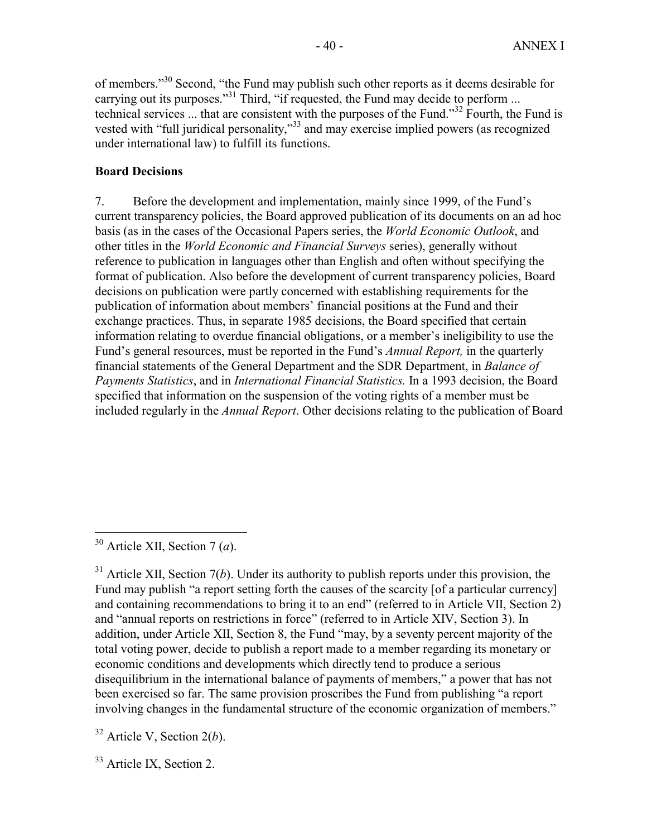of members."30 Second, "the Fund may publish such other reports as it deems desirable for carrying out its purposes."<sup>31</sup> Third, "if requested, the Fund may decide to perform ... technical services ... that are consistent with the purposes of the Fund."<sup>32</sup> Fourth, the Fund is vested with "full juridical personality,"33 and may exercise implied powers (as recognized under international law) to fulfill its functions.

# **Board Decisions**

7. Before the development and implementation, mainly since 1999, of the Fund's current transparency policies, the Board approved publication of its documents on an ad hoc basis (as in the cases of the Occasional Papers series, the *World Economic Outlook*, and other titles in the *World Economic and Financial Surveys* series), generally without reference to publication in languages other than English and often without specifying the format of publication. Also before the development of current transparency policies, Board decisions on publication were partly concerned with establishing requirements for the publication of information about members' financial positions at the Fund and their exchange practices. Thus, in separate 1985 decisions, the Board specified that certain information relating to overdue financial obligations, or a member's ineligibility to use the Fund's general resources, must be reported in the Fund's *Annual Report,* in the quarterly financial statements of the General Department and the SDR Department, in *Balance of Payments Statistics*, and in *International Financial Statistics.* In a 1993 decision, the Board specified that information on the suspension of the voting rights of a member must be included regularly in the *Annual Report*. Other decisions relating to the publication of Board

1

32 Article V, Section 2(*b*).

<sup>33</sup> Article IX, Section 2.

<sup>30</sup> Article XII, Section 7 (*a*).

 $31$  Article XII, Section 7(*b*). Under its authority to publish reports under this provision, the Fund may publish "a report setting forth the causes of the scarcity [of a particular currency] and containing recommendations to bring it to an end" (referred to in Article VII, Section 2) and "annual reports on restrictions in force" (referred to in Article XIV, Section 3). In addition, under Article XII, Section 8, the Fund "may, by a seventy percent majority of the total voting power, decide to publish a report made to a member regarding its monetary or economic conditions and developments which directly tend to produce a serious disequilibrium in the international balance of payments of members," a power that has not been exercised so far. The same provision proscribes the Fund from publishing "a report involving changes in the fundamental structure of the economic organization of members."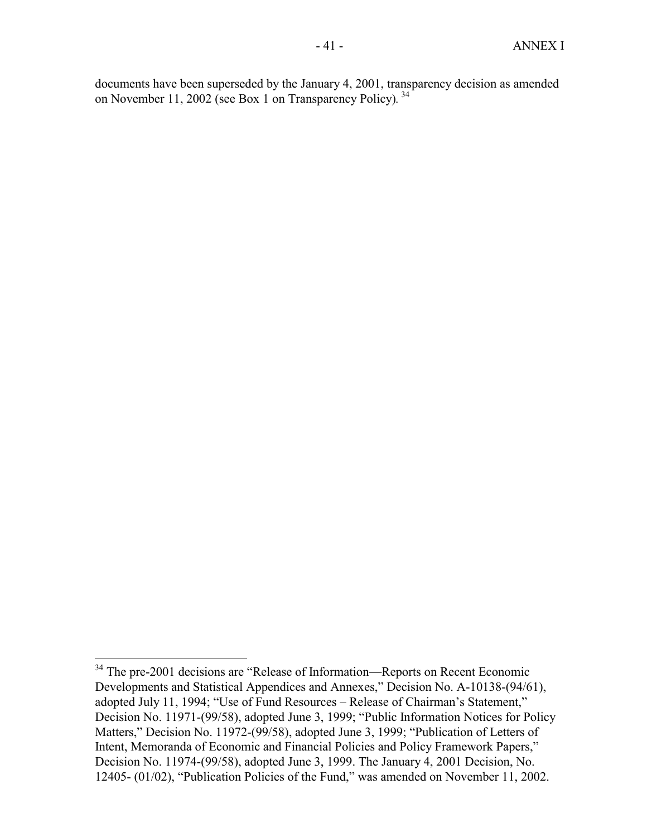documents have been superseded by the January 4, 2001, transparency decision as amended on November 11, 2002 (see Box 1 on Transparency Policy)*.* 34

<sup>&</sup>lt;sup>34</sup> The pre-2001 decisions are "Release of Information—Reports on Recent Economic Developments and Statistical Appendices and Annexes," Decision No. A-10138-(94/61), adopted July 11, 1994; "Use of Fund Resources – Release of Chairman's Statement," Decision No. 11971-(99/58), adopted June 3, 1999; "Public Information Notices for Policy Matters," Decision No. 11972-(99/58), adopted June 3, 1999; "Publication of Letters of Intent, Memoranda of Economic and Financial Policies and Policy Framework Papers," Decision No. 11974-(99/58), adopted June 3, 1999. The January 4, 2001 Decision, No. 12405- (01/02), "Publication Policies of the Fund," was amended on November 11, 2002.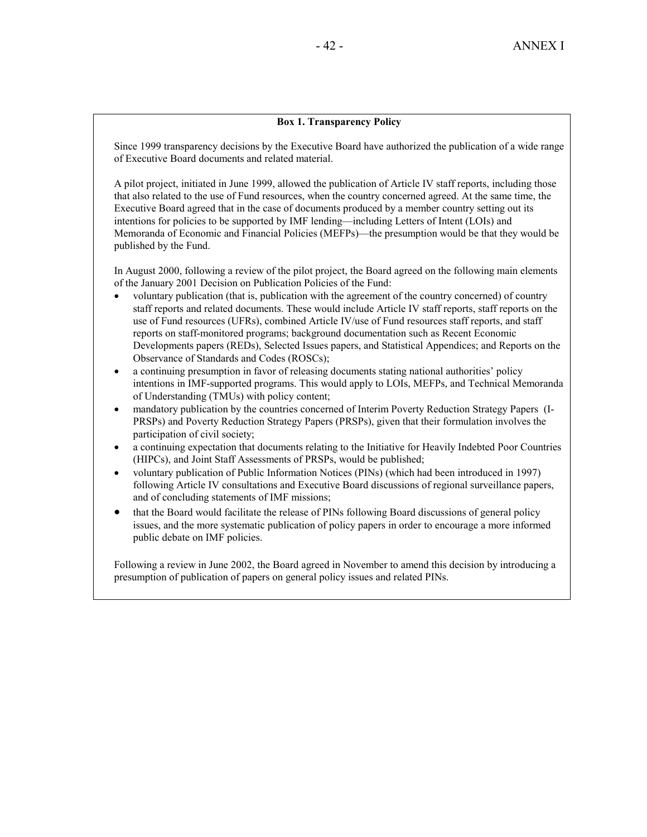### **Box 1. Transparency Policy**

Since 1999 transparency decisions by the Executive Board have authorized the publication of a wide range of Executive Board documents and related material.

A pilot project, initiated in June 1999, allowed the publication of Article IV staff reports, including those that also related to the use of Fund resources, when the country concerned agreed. At the same time, the Executive Board agreed that in the case of documents produced by a member country setting out its intentions for policies to be supported by IMF lending—including Letters of Intent (LOIs) and Memoranda of Economic and Financial Policies (MEFPs)—the presumption would be that they would be published by the Fund.

In August 2000, following a review of the pilot project, the Board agreed on the following main elements of the January 2001 Decision on Publication Policies of the Fund:

- voluntary publication (that is, publication with the agreement of the country concerned) of country staff reports and related documents. These would include Article IV staff reports, staff reports on the use of Fund resources (UFRs), combined Article IV/use of Fund resources staff reports, and staff reports on staff-monitored programs; background documentation such as Recent Economic Developments papers (REDs), Selected Issues papers, and Statistical Appendices; and Reports on the Observance of Standards and Codes (ROSCs);
- a continuing presumption in favor of releasing documents stating national authorities' policy intentions in IMF-supported programs. This would apply to LOIs, MEFPs, and Technical Memoranda of Understanding (TMUs) with policy content;
- mandatory publication by the countries concerned of Interim Poverty Reduction Strategy Papers (I-PRSPs) and Poverty Reduction Strategy Papers (PRSPs), given that their formulation involves the participation of civil society;
- a continuing expectation that documents relating to the Initiative for Heavily Indebted Poor Countries (HIPCs), and Joint Staff Assessments of PRSPs, would be published;
- voluntary publication of Public Information Notices (PINs) (which had been introduced in 1997) following Article IV consultations and Executive Board discussions of regional surveillance papers, and of concluding statements of IMF missions;
- that the Board would facilitate the release of PINs following Board discussions of general policy issues, and the more systematic publication of policy papers in order to encourage a more informed public debate on IMF policies.

Following a review in June 2002, the Board agreed in November to amend this decision by introducing a presumption of publication of papers on general policy issues and related PINs.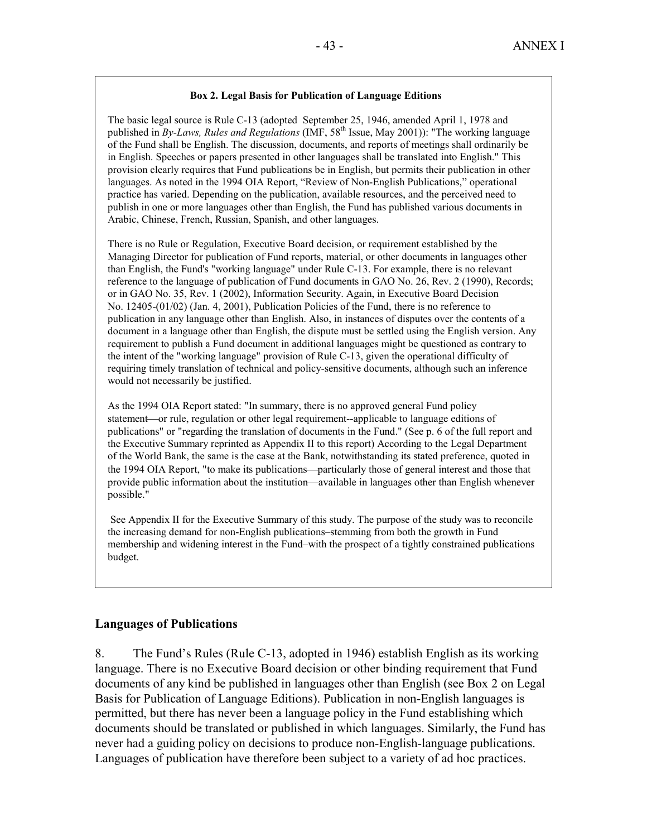## **Box 2. Legal Basis for Publication of Language Editions**

The basic legal source is Rule C-13 (adopted September 25, 1946, amended April 1, 1978 and published in *By-Laws, Rules and Regulations* (IMF, 58<sup>th</sup> Issue, May 2001)): "The working language of the Fund shall be English. The discussion, documents, and reports of meetings shall ordinarily be in English. Speeches or papers presented in other languages shall be translated into English." This provision clearly requires that Fund publications be in English, but permits their publication in other languages. As noted in the 1994 OIA Report, "Review of Non-English Publications," operational practice has varied. Depending on the publication, available resources, and the perceived need to publish in one or more languages other than English, the Fund has published various documents in Arabic, Chinese, French, Russian, Spanish, and other languages.

There is no Rule or Regulation, Executive Board decision, or requirement established by the Managing Director for publication of Fund reports, material, or other documents in languages other than English, the Fund's "working language" under Rule C-13. For example, there is no relevant reference to the language of publication of Fund documents in GAO No. 26, Rev. 2 (1990), Records; or in GAO No. 35, Rev. 1 (2002), Information Security. Again, in Executive Board Decision No. 12405-(01/02) (Jan. 4, 2001), Publication Policies of the Fund, there is no reference to publication in any language other than English. Also, in instances of disputes over the contents of a document in a language other than English, the dispute must be settled using the English version. Any requirement to publish a Fund document in additional languages might be questioned as contrary to the intent of the "working language" provision of Rule C-13, given the operational difficulty of requiring timely translation of technical and policy-sensitive documents, although such an inference would not necessarily be justified.

As the 1994 OIA Report stated: "In summary, there is no approved general Fund policy statement—or rule, regulation or other legal requirement--applicable to language editions of publications" or "regarding the translation of documents in the Fund." (See p. 6 of the full report and the Executive Summary reprinted as Appendix II to this report) According to the Legal Department of the World Bank, the same is the case at the Bank, notwithstanding its stated preference, quoted in the 1994 OIA Report, "to make its publications—particularly those of general interest and those that provide public information about the institution—available in languages other than English whenever possible."

 See Appendix II for the Executive Summary of this study. The purpose of the study was to reconcile the increasing demand for non-English publications–stemming from both the growth in Fund membership and widening interest in the Fund–with the prospect of a tightly constrained publications budget.

## **Languages of Publications**

8. The Fund's Rules (Rule C-13, adopted in 1946) establish English as its working language. There is no Executive Board decision or other binding requirement that Fund documents of any kind be published in languages other than English (see Box 2 on Legal Basis for Publication of Language Editions). Publication in non-English languages is permitted, but there has never been a language policy in the Fund establishing which documents should be translated or published in which languages. Similarly, the Fund has never had a guiding policy on decisions to produce non-English-language publications. Languages of publication have therefore been subject to a variety of ad hoc practices.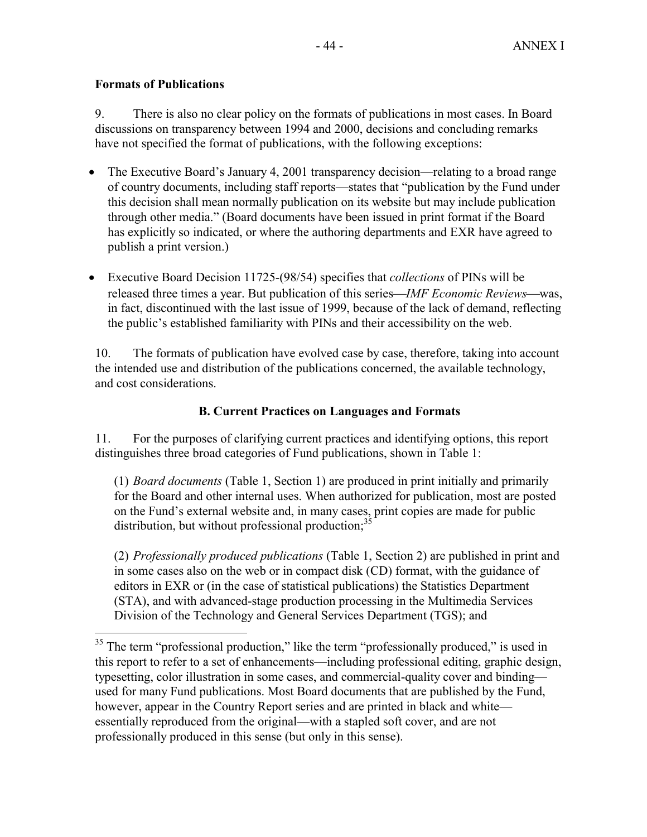# **Formats of Publications**

 $\overline{a}$ 

9. There is also no clear policy on the formats of publications in most cases. In Board discussions on transparency between 1994 and 2000, decisions and concluding remarks have not specified the format of publications, with the following exceptions:

- The Executive Board's January 4, 2001 transparency decision—relating to a broad range of country documents, including staff reports—states that "publication by the Fund under this decision shall mean normally publication on its website but may include publication through other media." (Board documents have been issued in print format if the Board has explicitly so indicated, or where the authoring departments and EXR have agreed to publish a print version.)
- Executive Board Decision 11725-(98/54) specifies that *collections* of PINs will be released three times a year. But publication of this series—*IMF Economic Reviews*—was, in fact, discontinued with the last issue of 1999, because of the lack of demand, reflecting the public's established familiarity with PINs and their accessibility on the web.

10. The formats of publication have evolved case by case, therefore, taking into account the intended use and distribution of the publications concerned, the available technology, and cost considerations.

# **B. Current Practices on Languages and Formats**

11. For the purposes of clarifying current practices and identifying options, this report distinguishes three broad categories of Fund publications, shown in Table 1:

(1) *Board documents* (Table 1, Section 1) are produced in print initially and primarily for the Board and other internal uses. When authorized for publication, most are posted on the Fund's external website and, in many cases, print copies are made for public distribution, but without professional production; $35$ 

(2) *Professionally produced publications* (Table 1, Section 2) are published in print and in some cases also on the web or in compact disk (CD) format, with the guidance of editors in EXR or (in the case of statistical publications) the Statistics Department (STA), and with advanced-stage production processing in the Multimedia Services Division of the Technology and General Services Department (TGS); and

<sup>&</sup>lt;sup>35</sup> The term "professional production," like the term "professionally produced," is used in this report to refer to a set of enhancements—including professional editing, graphic design, typesetting, color illustration in some cases, and commercial-quality cover and binding used for many Fund publications. Most Board documents that are published by the Fund, however, appear in the Country Report series and are printed in black and white essentially reproduced from the original—with a stapled soft cover, and are not professionally produced in this sense (but only in this sense).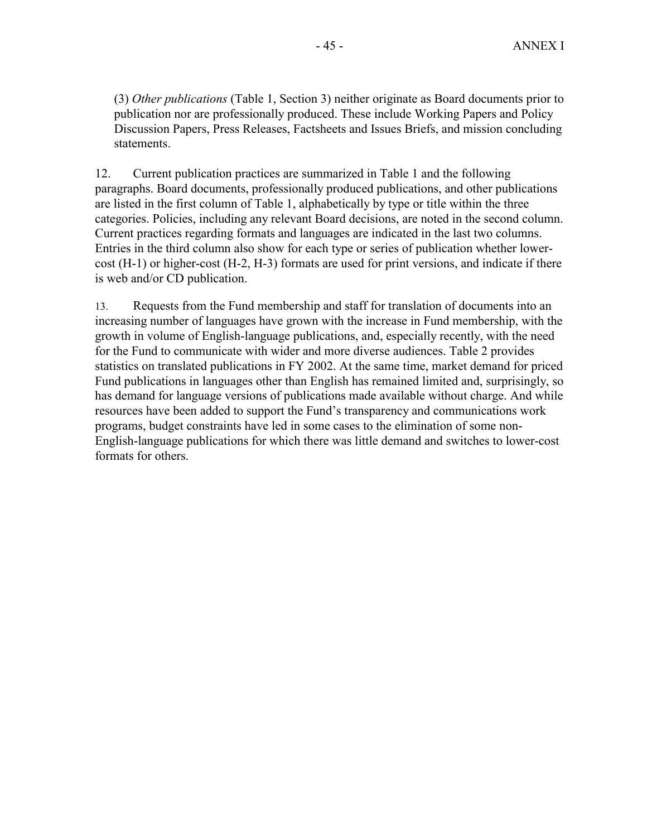(3) *Other publications* (Table 1, Section 3) neither originate as Board documents prior to publication nor are professionally produced. These include Working Papers and Policy Discussion Papers, Press Releases, Factsheets and Issues Briefs, and mission concluding statements.

12. Current publication practices are summarized in Table 1 and the following paragraphs. Board documents, professionally produced publications, and other publications are listed in the first column of Table 1, alphabetically by type or title within the three categories. Policies, including any relevant Board decisions, are noted in the second column. Current practices regarding formats and languages are indicated in the last two columns. Entries in the third column also show for each type or series of publication whether lowercost (H-1) or higher-cost (H-2, H-3) formats are used for print versions, and indicate if there is web and/or CD publication.

13. Requests from the Fund membership and staff for translation of documents into an increasing number of languages have grown with the increase in Fund membership, with the growth in volume of English-language publications, and, especially recently, with the need for the Fund to communicate with wider and more diverse audiences. Table 2 provides statistics on translated publications in FY 2002. At the same time, market demand for priced Fund publications in languages other than English has remained limited and, surprisingly, so has demand for language versions of publications made available without charge. And while resources have been added to support the Fund's transparency and communications work programs, budget constraints have led in some cases to the elimination of some non-English-language publications for which there was little demand and switches to lower-cost formats for others.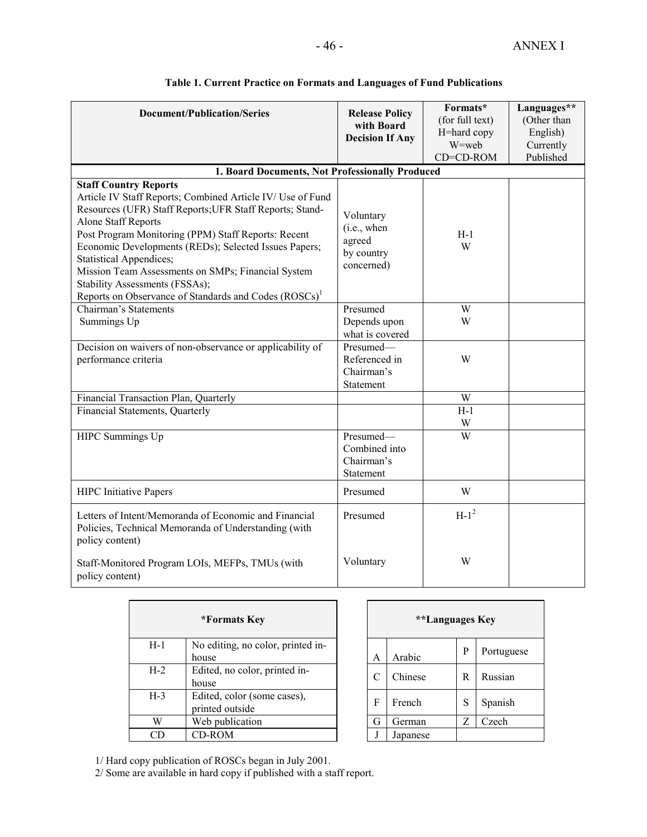| <b>Document/Publication/Series</b>                                                                                                                                                                                                                                                                                                                                                                                             | <b>Release Policy</b>                                          | Formats*<br>(for full text) | Languages**<br>(Other than |
|--------------------------------------------------------------------------------------------------------------------------------------------------------------------------------------------------------------------------------------------------------------------------------------------------------------------------------------------------------------------------------------------------------------------------------|----------------------------------------------------------------|-----------------------------|----------------------------|
|                                                                                                                                                                                                                                                                                                                                                                                                                                | with Board<br><b>Decision If Any</b>                           | H=hard copy                 | English)                   |
|                                                                                                                                                                                                                                                                                                                                                                                                                                |                                                                | W=web                       | Currently                  |
|                                                                                                                                                                                                                                                                                                                                                                                                                                |                                                                | CD=CD-ROM                   | Published                  |
| 1. Board Documents, Not Professionally Produced                                                                                                                                                                                                                                                                                                                                                                                |                                                                |                             |                            |
| <b>Staff Country Reports</b><br>Article IV Staff Reports; Combined Article IV/ Use of Fund<br>Resources (UFR) Staff Reports; UFR Staff Reports; Stand-<br><b>Alone Staff Reports</b><br>Post Program Monitoring (PPM) Staff Reports: Recent<br>Economic Developments (REDs); Selected Issues Papers;<br><b>Statistical Appendices;</b><br>Mission Team Assessments on SMPs; Financial System<br>Stability Assessments (FSSAs); | Voluntary<br>(i.e., when<br>agreed<br>by country<br>concerned) | $H-1$<br>W                  |                            |
| Reports on Observance of Standards and Codes (ROSCs) <sup>1</sup><br>Chairman's Statements                                                                                                                                                                                                                                                                                                                                     | Presumed                                                       | W                           |                            |
|                                                                                                                                                                                                                                                                                                                                                                                                                                | Depends upon                                                   | W                           |                            |
| Summings Up                                                                                                                                                                                                                                                                                                                                                                                                                    | what is covered                                                |                             |                            |
| Decision on waivers of non-observance or applicability of                                                                                                                                                                                                                                                                                                                                                                      | Presumed-                                                      |                             |                            |
| performance criteria                                                                                                                                                                                                                                                                                                                                                                                                           | Referenced in                                                  | W                           |                            |
|                                                                                                                                                                                                                                                                                                                                                                                                                                | Chairman's                                                     |                             |                            |
|                                                                                                                                                                                                                                                                                                                                                                                                                                | Statement                                                      |                             |                            |
| Financial Transaction Plan, Quarterly                                                                                                                                                                                                                                                                                                                                                                                          |                                                                | W                           |                            |
| Financial Statements, Quarterly                                                                                                                                                                                                                                                                                                                                                                                                |                                                                | $H-1$                       |                            |
|                                                                                                                                                                                                                                                                                                                                                                                                                                |                                                                | W                           |                            |
| HIPC Summings Up                                                                                                                                                                                                                                                                                                                                                                                                               | Presumed-                                                      | W                           |                            |
|                                                                                                                                                                                                                                                                                                                                                                                                                                | Combined into                                                  |                             |                            |
|                                                                                                                                                                                                                                                                                                                                                                                                                                | Chairman's                                                     |                             |                            |
|                                                                                                                                                                                                                                                                                                                                                                                                                                | Statement                                                      |                             |                            |
| <b>HIPC</b> Initiative Papers                                                                                                                                                                                                                                                                                                                                                                                                  | Presumed                                                       | W                           |                            |
| Letters of Intent/Memoranda of Economic and Financial<br>Policies, Technical Memoranda of Understanding (with<br>policy content)                                                                                                                                                                                                                                                                                               | Presumed                                                       | $H-1^2$                     |                            |
| Staff-Monitored Program LOIs, MEFPs, TMUs (with<br>policy content)                                                                                                                                                                                                                                                                                                                                                             | Voluntary                                                      | W                           |                            |

# **Table 1. Current Practice on Formats and Languages of Fund Publications**

| *Formats Key |                                                |   | <i>**</i> Languages Key |   |               |
|--------------|------------------------------------------------|---|-------------------------|---|---------------|
| $H-1$        | No editing, no color, printed in-<br>house     | A | Arabic                  | P | Portug        |
| $H-2$        | Edited, no color, printed in-<br>house         | C | Chinese                 | R | Russia        |
| $H-3$        | Edited, color (some cases),<br>printed outside | F | French                  | S | <b>Spanis</b> |
| W            | Web publication                                | G | German                  | Z | Czech         |
| CD           | CD-ROM                                         |   | Japanese                |   |               |

| *Formats Key                                   | **Languages Key |   |          |   |            |
|------------------------------------------------|-----------------|---|----------|---|------------|
| No editing, no color, printed in-<br>house     |                 | A | Arabic   | P | Portuguese |
| Edited, no color, printed in-<br>house         |                 |   | Chinese  | R | Russian    |
| Edited, color (some cases),<br>printed outside |                 | F | French   | S | Spanish    |
| Web publication                                |                 | G | German   | Z | Czech      |
| CD-ROM                                         |                 |   | Japanese |   |            |

1/ Hard copy publication of ROSCs began in July 2001.

 $\blacksquare$ 

2/ Some are available in hard copy if published with a staff report.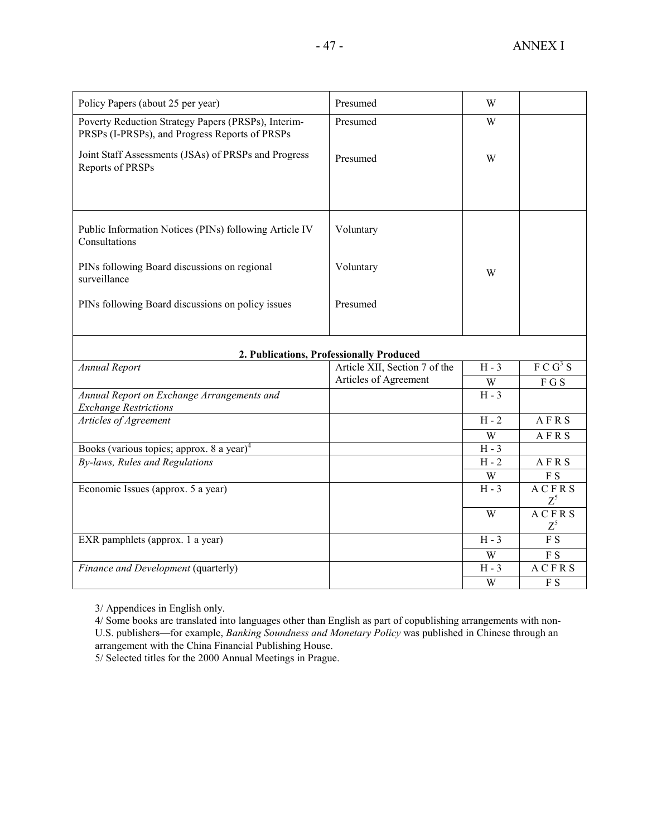| Policy Papers (about 25 per year)                                                                     | Presumed                                 | W              |                             |
|-------------------------------------------------------------------------------------------------------|------------------------------------------|----------------|-----------------------------|
| Poverty Reduction Strategy Papers (PRSPs), Interim-<br>PRSPs (I-PRSPs), and Progress Reports of PRSPs | Presumed                                 | W              |                             |
| Joint Staff Assessments (JSAs) of PRSPs and Progress<br>Reports of PRSPs                              | Presumed                                 | W              |                             |
|                                                                                                       |                                          |                |                             |
| Public Information Notices (PINs) following Article IV<br>Consultations                               | Voluntary                                |                |                             |
| PINs following Board discussions on regional<br>surveillance                                          | Voluntary                                | W              |                             |
| PINs following Board discussions on policy issues                                                     | Presumed                                 |                |                             |
|                                                                                                       |                                          |                |                             |
|                                                                                                       | 2. Publications, Professionally Produced |                |                             |
| <b>Annual Report</b>                                                                                  | Article XII, Section 7 of the            | $H - 3$        | F C G <sup>3</sup> S        |
|                                                                                                       | Articles of Agreement                    | W              | FGS                         |
| Annual Report on Exchange Arrangements and<br><b>Exchange Restrictions</b>                            |                                          | $H - 3$        |                             |
| Articles of Agreement                                                                                 |                                          | $H - 2$        | AFRS                        |
|                                                                                                       |                                          | $\overline{W}$ | AFRS                        |
| Books (various topics; approx. 8 a year) <sup>4</sup>                                                 |                                          | $H - 3$        |                             |
| By-laws, Rules and Regulations                                                                        |                                          | $H - 2$        | AFRS                        |
|                                                                                                       |                                          | W              | F S                         |
| Economic Issues (approx. 5 a year)                                                                    |                                          | $H - 3$        | <b>ACFRS</b><br>$Z^5$       |
|                                                                                                       |                                          | $\overline{W}$ | <b>ACFRS</b>                |
|                                                                                                       |                                          |                | $Z^5$                       |
| EXR pamphlets (approx. 1 a year)                                                                      |                                          | $H - 3$        | $\overline{FS}$             |
|                                                                                                       |                                          | W              | F <sub>S</sub>              |
| Finance and Development (quarterly)                                                                   |                                          | $H - 3$        | ACFRS                       |
|                                                                                                       |                                          | W              | $\boldsymbol{\mathrm{F}}$ S |

3/ Appendices in English only.

4/ Some books are translated into languages other than English as part of copublishing arrangements with non-U.S. publishers—for example, *Banking Soundness and Monetary Policy* was published in Chinese through an arrangement with the China Financial Publishing House.

5/ Selected titles for the 2000 Annual Meetings in Prague.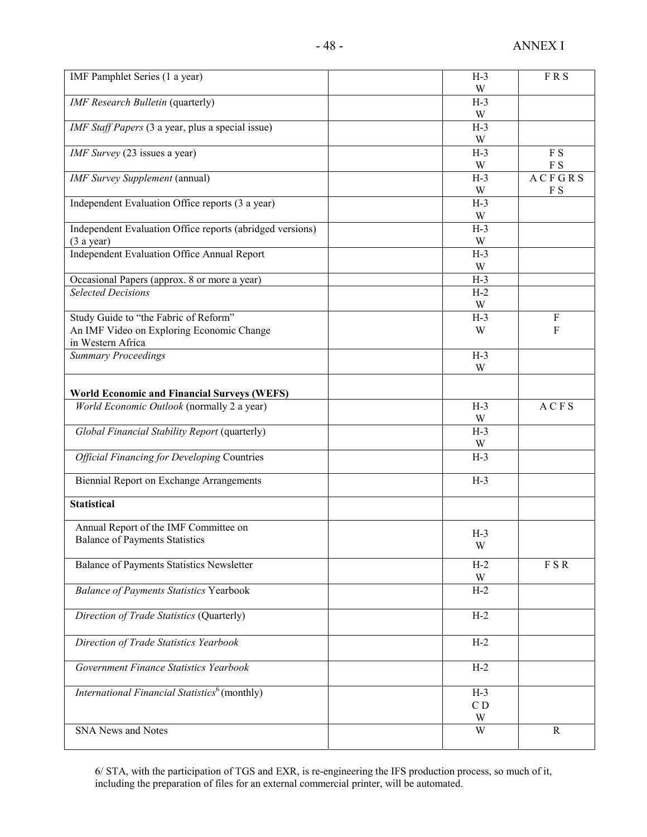| IMF Pamphlet Series (1 a year)                            | $H-3$          | <b>FRS</b>                  |
|-----------------------------------------------------------|----------------|-----------------------------|
|                                                           | W              |                             |
| <b>IMF</b> Research Bulletin (quarterly)                  | $H-3$          |                             |
|                                                           | W              |                             |
| IMF Staff Papers (3 a year, plus a special issue)         | $H-3$          |                             |
|                                                           | W              |                             |
| IMF Survey (23 issues a year)                             | $H-3$          | F S                         |
|                                                           | W              | $\boldsymbol{\mathrm{F}}$ S |
| <b>IMF</b> Survey Supplement (annual)                     | $H-3$          | <b>ACFGRS</b>               |
|                                                           | W              | F S                         |
| Independent Evaluation Office reports (3 a year)          | $H-3$          |                             |
|                                                           | W              |                             |
| Independent Evaluation Office reports (abridged versions) | $H-3$          |                             |
| $(3$ a year)                                              | W              |                             |
| Independent Evaluation Office Annual Report               | $H-3$          |                             |
|                                                           | W              |                             |
| Occasional Papers (approx. 8 or more a year)              | $H-3$          |                             |
| <b>Selected Decisions</b>                                 | $H-2$          |                             |
|                                                           | W              |                             |
| Study Guide to "the Fabric of Reform"                     | $H-3$          | ${\bf F}$                   |
| An IMF Video on Exploring Economic Change                 | W              | $\mathbf{F}$                |
| in Western Africa                                         |                |                             |
| <b>Summary Proceedings</b>                                | $H-3$          |                             |
|                                                           | W              |                             |
| <b>World Economic and Financial Surveys (WEFS)</b>        |                |                             |
| World Economic Outlook (normally 2 a year)                | $H-3$          | <b>ACFS</b>                 |
|                                                           | W              |                             |
| Global Financial Stability Report (quarterly)             | $H-3$          |                             |
|                                                           | W              |                             |
| <b>Official Financing for Developing Countries</b>        | $H-3$          |                             |
|                                                           |                |                             |
| Biennial Report on Exchange Arrangements                  | $H-3$          |                             |
|                                                           |                |                             |
| <b>Statistical</b>                                        |                |                             |
|                                                           |                |                             |
| Annual Report of the IMF Committee on                     | $H-3$          |                             |
| <b>Balance of Payments Statistics</b>                     | W              |                             |
|                                                           |                |                             |
| <b>Balance of Payments Statistics Newsletter</b>          | $H-2$          | F S R                       |
|                                                           | W              |                             |
| <b>Balance of Payments Statistics Yearbook</b>            | $H-2$          |                             |
|                                                           | $H-2$          |                             |
| Direction of Trade Statistics (Quarterly)                 |                |                             |
| Direction of Trade Statistics Yearbook                    | $H-2$          |                             |
|                                                           |                |                             |
| Government Finance Statistics Yearbook                    | $H-2$          |                             |
|                                                           |                |                             |
| International Financial Statistics <sup>6</sup> (monthly) | $H-3$          |                             |
|                                                           | C <sub>D</sub> |                             |
|                                                           | W              |                             |
| <b>SNA News and Notes</b>                                 | W              | $\mathbf R$                 |
|                                                           |                |                             |
|                                                           |                |                             |

6/ STA, with the participation of TGS and EXR, is re-engineering the IFS production process, so much of it, including the preparation of files for an external commercial printer, will be automated.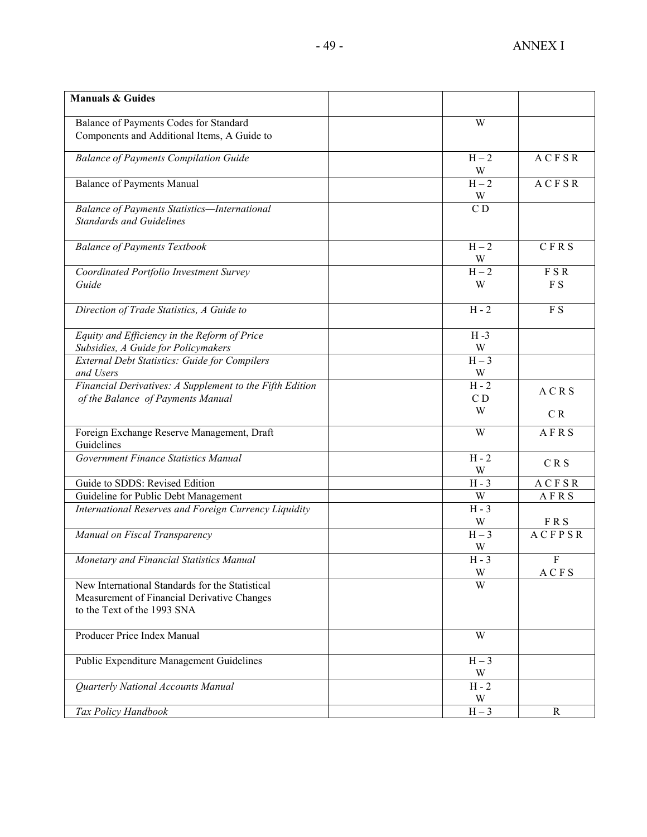| <b>Manuals &amp; Guides</b>                                                                                                   |                                |                   |
|-------------------------------------------------------------------------------------------------------------------------------|--------------------------------|-------------------|
| Balance of Payments Codes for Standard<br>Components and Additional Items, A Guide to                                         | W                              |                   |
| <b>Balance of Payments Compilation Guide</b>                                                                                  | $H - 2$<br>W                   | ACFSR             |
| <b>Balance of Payments Manual</b>                                                                                             | $H-2$<br>W                     | ACFSR             |
| <b>Balance of Payments Statistics-International</b><br><b>Standards and Guidelines</b>                                        | $\overline{C}$                 |                   |
| <b>Balance of Payments Textbook</b>                                                                                           | $H - 2$                        | CFRS              |
| Coordinated Portfolio Investment Survey<br>Guide                                                                              | $\frac{W}{H-2}$<br>W           | FSR<br>F S        |
| Direction of Trade Statistics, A Guide to                                                                                     | $H - 2$                        | F S               |
| Equity and Efficiency in the Reform of Price<br>Subsidies, A Guide for Policymakers                                           | $H - 3$<br>W                   |                   |
| External Debt Statistics: Guide for Compilers<br>and Users                                                                    | $H-3$<br>W                     |                   |
| Financial Derivatives: A Supplement to the Fifth Edition<br>of the Balance of Payments Manual                                 | $H - 2$<br>C <sub>D</sub><br>W | ACRS              |
|                                                                                                                               | W                              | CR<br>AFRS        |
| Foreign Exchange Reserve Management, Draft<br>Guidelines                                                                      |                                |                   |
| Government Finance Statistics Manual                                                                                          | $H - 2$<br>W                   | <b>CRS</b>        |
| Guide to SDDS: Revised Edition                                                                                                | $H - 3$                        | ACFSR             |
| Guideline for Public Debt Management                                                                                          | W                              | AFRS              |
| International Reserves and Foreign Currency Liquidity                                                                         | $H - 3$<br>W                   | <b>FRS</b>        |
| Manual on Fiscal Transparency                                                                                                 | $H-3$<br>W                     | <b>ACFPSR</b>     |
| Monetary and Financial Statistics Manual                                                                                      | $H - 3$<br>W                   | ${\bf F}$<br>ACFS |
| New International Standards for the Statistical<br>Measurement of Financial Derivative Changes<br>to the Text of the 1993 SNA | W                              |                   |
| Producer Price Index Manual                                                                                                   | W                              |                   |
| Public Expenditure Management Guidelines                                                                                      | $H-3$<br>W                     |                   |
| Quarterly National Accounts Manual                                                                                            | $H - 2$<br>W                   |                   |
| Tax Policy Handbook                                                                                                           | $H-3$                          | R                 |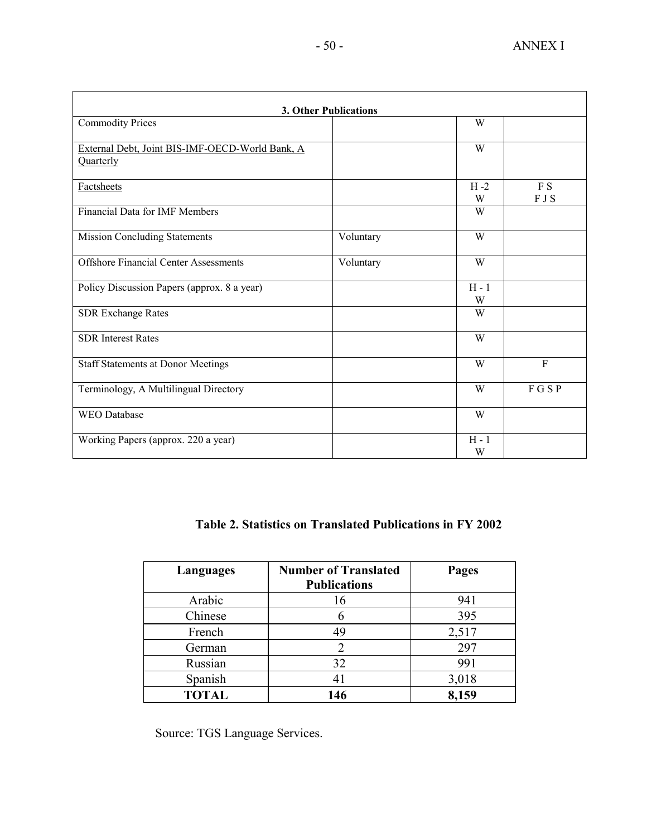|                                                 | <b>3. Other Publications</b> |         |              |
|-------------------------------------------------|------------------------------|---------|--------------|
| <b>Commodity Prices</b>                         |                              | W       |              |
|                                                 |                              |         |              |
| External Debt, Joint BIS-IMF-OECD-World Bank, A |                              | W       |              |
| Quarterly                                       |                              |         |              |
| <b>Factsheets</b>                               |                              | $H - 2$ | F S          |
|                                                 |                              | W       | F J S        |
| <b>Financial Data for IMF Members</b>           |                              | W       |              |
| <b>Mission Concluding Statements</b>            | Voluntary                    | W       |              |
| <b>Offshore Financial Center Assessments</b>    | Voluntary                    | W       |              |
|                                                 |                              |         |              |
| Policy Discussion Papers (approx. 8 a year)     |                              | $H - 1$ |              |
|                                                 |                              | W       |              |
| <b>SDR Exchange Rates</b>                       |                              | W       |              |
| <b>SDR</b> Interest Rates                       |                              | W       |              |
| <b>Staff Statements at Donor Meetings</b>       |                              | W       | $\mathbf{F}$ |
|                                                 |                              |         |              |
| Terminology, A Multilingual Directory           |                              | W       | FGSP         |
| <b>WEO</b> Database                             |                              | W       |              |
| Working Papers (approx. 220 a year)             |                              | $H - 1$ |              |
|                                                 |                              | W       |              |

# **Table 2. Statistics on Translated Publications in FY 2002**

| Languages    | <b>Number of Translated</b><br><b>Publications</b> | Pages |
|--------------|----------------------------------------------------|-------|
| Arabic       | 16                                                 | 941   |
| Chinese      |                                                    | 395   |
| French       | 49                                                 | 2,517 |
| German       | っ                                                  | 297   |
| Russian      | 32                                                 | 991   |
| Spanish      | 41                                                 | 3,018 |
| <b>TOTAL</b> | 146                                                | 8,159 |

Source: TGS Language Services.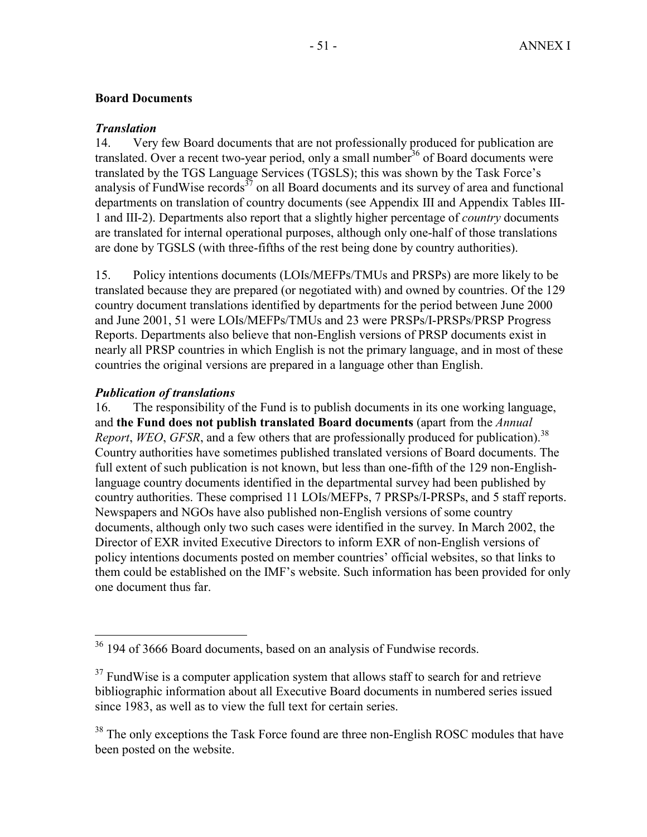# **Board Documents**

# *Translation*

14. Very few Board documents that are not professionally produced for publication are translated. Over a recent two-year period, only a small number  $36$  of Board documents were translated by the TGS Language Services (TGSLS); this was shown by the Task Force's analysis of FundWise records $37$  on all Board documents and its survey of area and functional departments on translation of country documents (see Appendix III and Appendix Tables III-1 and III-2). Departments also report that a slightly higher percentage of *country* documents are translated for internal operational purposes, although only one-half of those translations are done by TGSLS (with three-fifths of the rest being done by country authorities).

15. Policy intentions documents (LOIs/MEFPs/TMUs and PRSPs) are more likely to be translated because they are prepared (or negotiated with) and owned by countries. Of the 129 country document translations identified by departments for the period between June 2000 and June 2001, 51 were LOIs/MEFPs/TMUs and 23 were PRSPs/I-PRSPs/PRSP Progress Reports. Departments also believe that non-English versions of PRSP documents exist in nearly all PRSP countries in which English is not the primary language, and in most of these countries the original versions are prepared in a language other than English.

# *Publication of translations*

 $\overline{a}$ 

16. The responsibility of the Fund is to publish documents in its one working language, and **the Fund does not publish translated Board documents** (apart from the *Annual Report, WEO, GFSR,* and a few others that are professionally produced for publication).<sup>38</sup> Country authorities have sometimes published translated versions of Board documents. The full extent of such publication is not known, but less than one-fifth of the 129 non-Englishlanguage country documents identified in the departmental survey had been published by country authorities. These comprised 11 LOIs/MEFPs, 7 PRSPs/I-PRSPs, and 5 staff reports. Newspapers and NGOs have also published non-English versions of some country documents, although only two such cases were identified in the survey. In March 2002, the Director of EXR invited Executive Directors to inform EXR of non-English versions of policy intentions documents posted on member countries' official websites, so that links to them could be established on the IMF's website. Such information has been provided for only one document thus far.

 $36$  194 of 3666 Board documents, based on an analysis of Fundwise records.

 $37$  FundWise is a computer application system that allows staff to search for and retrieve bibliographic information about all Executive Board documents in numbered series issued since 1983, as well as to view the full text for certain series.

<sup>&</sup>lt;sup>38</sup> The only exceptions the Task Force found are three non-English ROSC modules that have been posted on the website.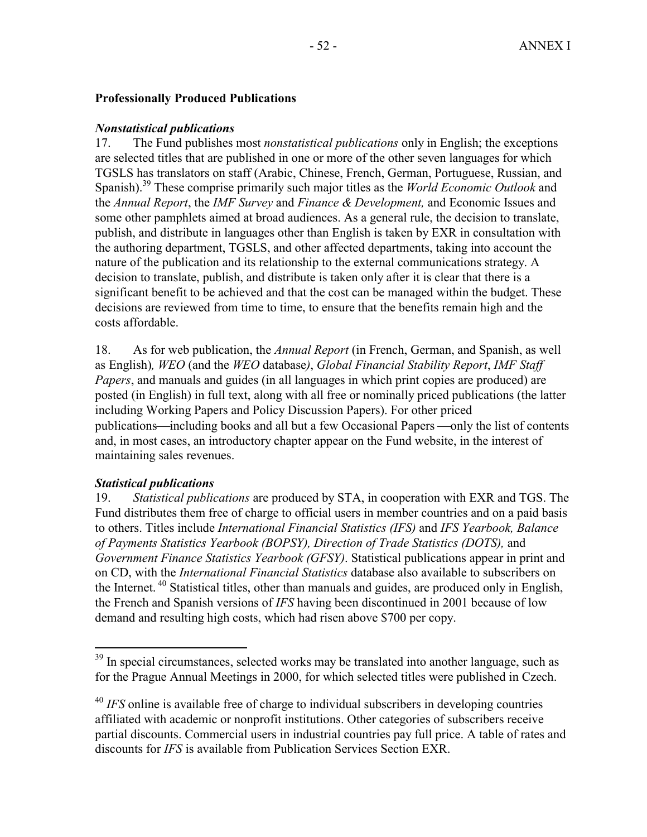# **Professionally Produced Publications**

## *Nonstatistical publications*

17. The Fund publishes most *nonstatistical publications* only in English; the exceptions are selected titles that are published in one or more of the other seven languages for which TGSLS has translators on staff (Arabic, Chinese, French, German, Portuguese, Russian, and Spanish).39 These comprise primarily such major titles as the *World Economic Outlook* and the *Annual Report*, the *IMF Survey* and *Finance & Development,* and Economic Issues and some other pamphlets aimed at broad audiences. As a general rule, the decision to translate, publish, and distribute in languages other than English is taken by EXR in consultation with the authoring department, TGSLS, and other affected departments, taking into account the nature of the publication and its relationship to the external communications strategy. A decision to translate, publish, and distribute is taken only after it is clear that there is a significant benefit to be achieved and that the cost can be managed within the budget. These decisions are reviewed from time to time, to ensure that the benefits remain high and the costs affordable.

18. As for web publication, the *Annual Report* (in French, German, and Spanish, as well as English)*, WEO* (and the *WEO* database*)*, *Global Financial Stability Report*, *IMF Staff Papers*, and manuals and guides (in all languages in which print copies are produced) are posted (in English) in full text, along with all free or nominally priced publications (the latter including Working Papers and Policy Discussion Papers). For other priced publications—including books and all but a few Occasional Papers —only the list of contents and, in most cases, an introductory chapter appear on the Fund website, in the interest of maintaining sales revenues.

# *Statistical publications*

 $\overline{a}$ 

19. *Statistical publications* are produced by STA, in cooperation with EXR and TGS. The Fund distributes them free of charge to official users in member countries and on a paid basis to others. Titles include *International Financial Statistics (IFS)* and *IFS Yearbook, Balance of Payments Statistics Yearbook (BOPSY), Direction of Trade Statistics (DOTS),* and *Government Finance Statistics Yearbook (GFSY)*. Statistical publications appear in print and on CD, with the *International Financial Statistics* database also available to subscribers on the Internet. 40 Statistical titles, other than manuals and guides, are produced only in English, the French and Spanish versions of *IFS* having been discontinued in 2001 because of low demand and resulting high costs, which had risen above \$700 per copy.

 $39$  In special circumstances, selected works may be translated into another language, such as for the Prague Annual Meetings in 2000, for which selected titles were published in Czech.

<sup>&</sup>lt;sup>40</sup> *IFS* online is available free of charge to individual subscribers in developing countries affiliated with academic or nonprofit institutions. Other categories of subscribers receive partial discounts. Commercial users in industrial countries pay full price. A table of rates and discounts for *IFS* is available from Publication Services Section EXR.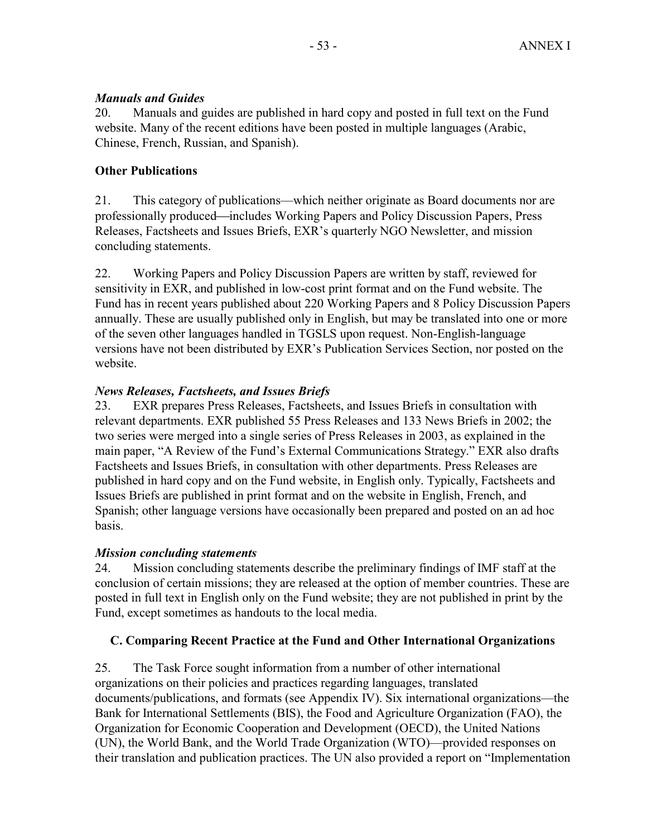# *Manuals and Guides*

20. Manuals and guides are published in hard copy and posted in full text on the Fund website. Many of the recent editions have been posted in multiple languages (Arabic, Chinese, French, Russian, and Spanish).

# **Other Publications**

21. This category of publications—which neither originate as Board documents nor are professionally produced—includes Working Papers and Policy Discussion Papers, Press Releases, Factsheets and Issues Briefs, EXR's quarterly NGO Newsletter, and mission concluding statements.

22. Working Papers and Policy Discussion Papers are written by staff, reviewed for sensitivity in EXR, and published in low-cost print format and on the Fund website. The Fund has in recent years published about 220 Working Papers and 8 Policy Discussion Papers annually. These are usually published only in English, but may be translated into one or more of the seven other languages handled in TGSLS upon request. Non-English-language versions have not been distributed by EXR's Publication Services Section, nor posted on the website.

# *News Releases, Factsheets, and Issues Briefs*

23. EXR prepares Press Releases, Factsheets, and Issues Briefs in consultation with relevant departments. EXR published 55 Press Releases and 133 News Briefs in 2002; the two series were merged into a single series of Press Releases in 2003, as explained in the main paper, "A Review of the Fund's External Communications Strategy." EXR also drafts Factsheets and Issues Briefs, in consultation with other departments. Press Releases are published in hard copy and on the Fund website, in English only. Typically, Factsheets and Issues Briefs are published in print format and on the website in English, French, and Spanish; other language versions have occasionally been prepared and posted on an ad hoc basis.

# *Mission concluding statements*

24. Mission concluding statements describe the preliminary findings of IMF staff at the conclusion of certain missions; they are released at the option of member countries. These are posted in full text in English only on the Fund website; they are not published in print by the Fund, except sometimes as handouts to the local media.

# **C. Comparing Recent Practice at the Fund and Other International Organizations**

25. The Task Force sought information from a number of other international organizations on their policies and practices regarding languages, translated documents/publications, and formats (see Appendix IV). Six international organizations—the Bank for International Settlements (BIS), the Food and Agriculture Organization (FAO), the Organization for Economic Cooperation and Development (OECD), the United Nations (UN), the World Bank, and the World Trade Organization (WTO)—provided responses on their translation and publication practices. The UN also provided a report on "Implementation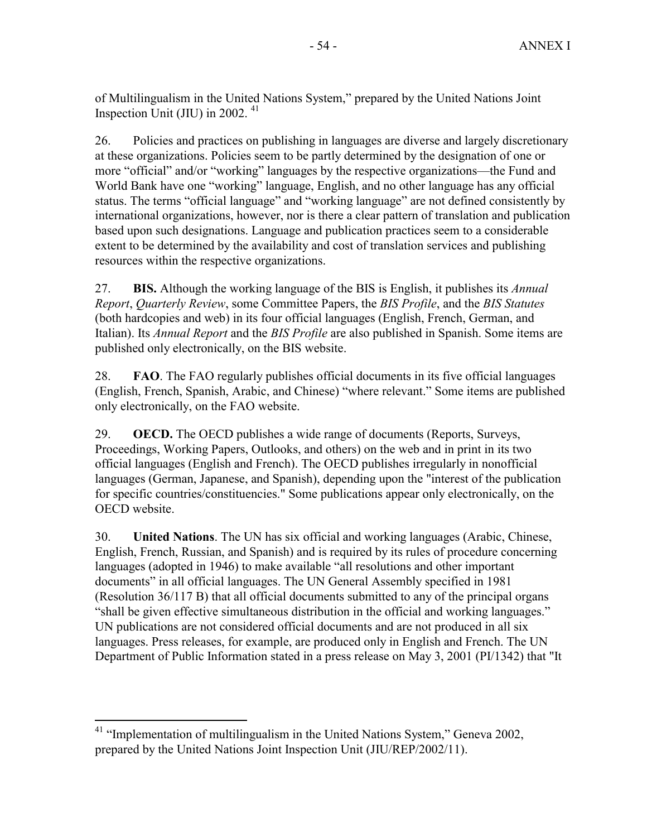of Multilingualism in the United Nations System," prepared by the United Nations Joint Inspection Unit (JIU) in 2002.  $41$ 

26. Policies and practices on publishing in languages are diverse and largely discretionary at these organizations. Policies seem to be partly determined by the designation of one or more "official" and/or "working" languages by the respective organizations—the Fund and World Bank have one "working" language, English, and no other language has any official status. The terms "official language" and "working language" are not defined consistently by international organizations, however, nor is there a clear pattern of translation and publication based upon such designations. Language and publication practices seem to a considerable extent to be determined by the availability and cost of translation services and publishing resources within the respective organizations.

27. **BIS.** Although the working language of the BIS is English, it publishes its *Annual Report*, *Quarterly Review*, some Committee Papers, the *BIS Profile*, and the *BIS Statutes* (both hardcopies and web) in its four official languages (English, French, German, and Italian). Its *Annual Report* and the *BIS Profile* are also published in Spanish. Some items are published only electronically, on the BIS website.

28. **FAO**. The FAO regularly publishes official documents in its five official languages (English, French, Spanish, Arabic, and Chinese) "where relevant." Some items are published only electronically, on the FAO website.

29. **OECD.** The OECD publishes a wide range of documents (Reports, Surveys, Proceedings, Working Papers, Outlooks, and others) on the web and in print in its two official languages (English and French). The OECD publishes irregularly in nonofficial languages (German, Japanese, and Spanish), depending upon the "interest of the publication for specific countries/constituencies." Some publications appear only electronically, on the OECD website.

30. **United Nations**. The UN has six official and working languages (Arabic, Chinese, English, French, Russian, and Spanish) and is required by its rules of procedure concerning languages (adopted in 1946) to make available "all resolutions and other important documents" in all official languages. The UN General Assembly specified in 1981 (Resolution 36/117 B) that all official documents submitted to any of the principal organs "shall be given effective simultaneous distribution in the official and working languages." UN publications are not considered official documents and are not produced in all six languages. Press releases, for example, are produced only in English and French. The UN Department of Public Information stated in a press release on May 3, 2001 (PI/1342) that "It

<sup>&</sup>lt;sup>41</sup> "Implementation of multilingualism in the United Nations System," Geneva 2002, prepared by the United Nations Joint Inspection Unit (JIU/REP/2002/11).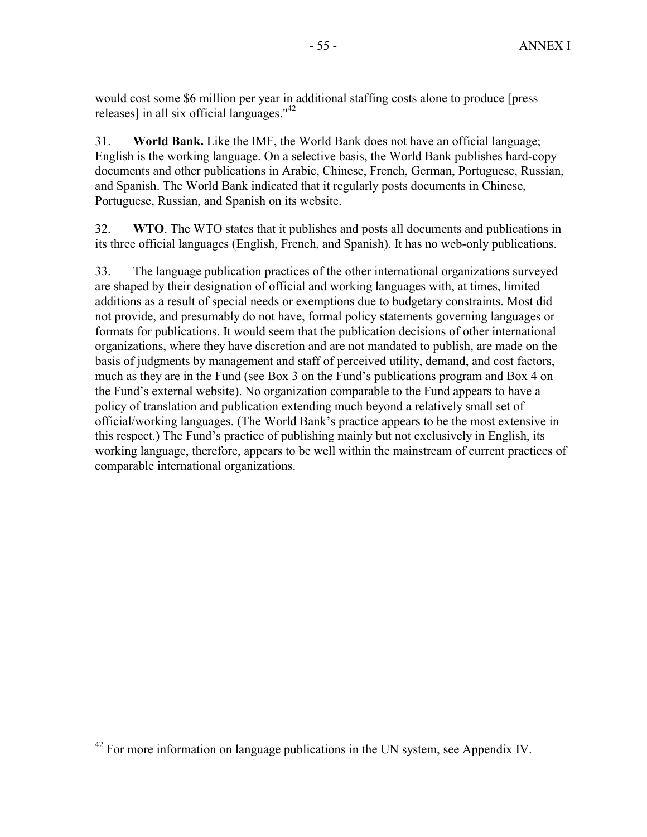would cost some \$6 million per year in additional staffing costs alone to produce [press releases] in all six official languages."42

31. **World Bank.** Like the IMF, the World Bank does not have an official language; English is the working language. On a selective basis, the World Bank publishes hard-copy documents and other publications in Arabic, Chinese, French, German, Portuguese, Russian, and Spanish. The World Bank indicated that it regularly posts documents in Chinese, Portuguese, Russian, and Spanish on its website.

32. **WTO**. The WTO states that it publishes and posts all documents and publications in its three official languages (English, French, and Spanish). It has no web-only publications.

33. The language publication practices of the other international organizations surveyed are shaped by their designation of official and working languages with, at times, limited additions as a result of special needs or exemptions due to budgetary constraints. Most did not provide, and presumably do not have, formal policy statements governing languages or formats for publications. It would seem that the publication decisions of other international organizations, where they have discretion and are not mandated to publish, are made on the basis of judgments by management and staff of perceived utility, demand, and cost factors, much as they are in the Fund (see Box 3 on the Fund's publications program and Box 4 on the Fund's external website). No organization comparable to the Fund appears to have a policy of translation and publication extending much beyond a relatively small set of official/working languages. (The World Bank's practice appears to be the most extensive in this respect.) The Fund's practice of publishing mainly but not exclusively in English, its working language, therefore, appears to be well within the mainstream of current practices of comparable international organizations.

<sup>1</sup>  $42$  For more information on language publications in the UN system, see Appendix IV.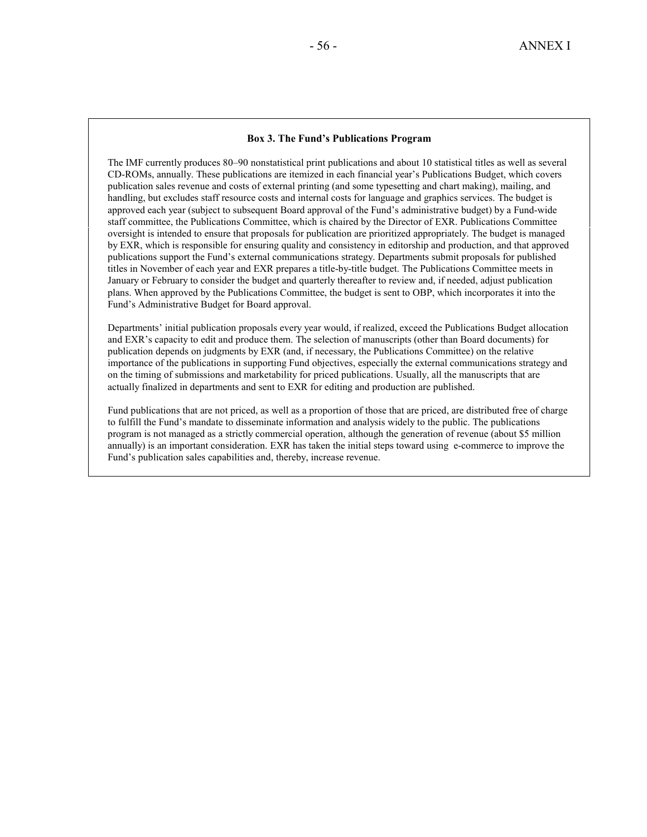#### **Box 3. The Fund's Publications Program**

The IMF currently produces 80–90 nonstatistical print publications and about 10 statistical titles as well as several CD-ROMs, annually. These publications are itemized in each financial year's Publications Budget, which covers publication sales revenue and costs of external printing (and some typesetting and chart making), mailing, and handling, but excludes staff resource costs and internal costs for language and graphics services. The budget is approved each year (subject to subsequent Board approval of the Fund's administrative budget) by a Fund-wide staff committee, the Publications Committee, which is chaired by the Director of EXR. Publications Committee oversight is intended to ensure that proposals for publication are prioritized appropriately. The budget is managed by EXR, which is responsible for ensuring quality and consistency in editorship and production, and that approved publications support the Fund's external communications strategy. Departments submit proposals for published titles in November of each year and EXR prepares a title-by-title budget. The Publications Committee meets in January or February to consider the budget and quarterly thereafter to review and, if needed, adjust publication plans. When approved by the Publications Committee, the budget is sent to OBP, which incorporates it into the Fund's Administrative Budget for Board approval.

Departments' initial publication proposals every year would, if realized, exceed the Publications Budget allocation and EXR's capacity to edit and produce them. The selection of manuscripts (other than Board documents) for publication depends on judgments by EXR (and, if necessary, the Publications Committee) on the relative importance of the publications in supporting Fund objectives, especially the external communications strategy and on the timing of submissions and marketability for priced publications. Usually, all the manuscripts that are actually finalized in departments and sent to EXR for editing and production are published.

Fund publications that are not priced, as well as a proportion of those that are priced, are distributed free of charge to fulfill the Fund's mandate to disseminate information and analysis widely to the public. The publications program is not managed as a strictly commercial operation, although the generation of revenue (about \$5 million annually) is an important consideration. EXR has taken the initial steps toward using e-commerce to improve the Fund's publication sales capabilities and, thereby, increase revenue.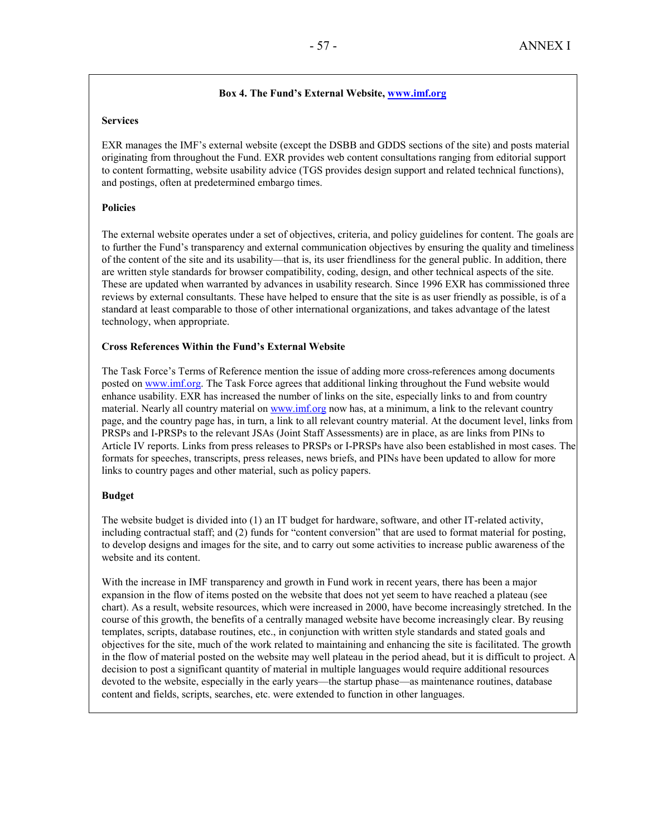## **Box 4. The Fund's External Website, www.imf.org**

#### **Services**

EXR manages the IMF's external website (except the DSBB and GDDS sections of the site) and posts material originating from throughout the Fund. EXR provides web content consultations ranging from editorial support to content formatting, website usability advice (TGS provides design support and related technical functions), and postings, often at predetermined embargo times.

## **Policies**

The external website operates under a set of objectives, criteria, and policy guidelines for content. The goals are to further the Fund's transparency and external communication objectives by ensuring the quality and timeliness of the content of the site and its usability—that is, its user friendliness for the general public. In addition, there are written style standards for browser compatibility, coding, design, and other technical aspects of the site. These are updated when warranted by advances in usability research. Since 1996 EXR has commissioned three reviews by external consultants. These have helped to ensure that the site is as user friendly as possible, is of a standard at least comparable to those of other international organizations, and takes advantage of the latest technology, when appropriate.

### **Cross References Within the Fund's External Website**

The Task Force's Terms of Reference mention the issue of adding more cross-references among documents posted on www.imf.org. The Task Force agrees that additional linking throughout the Fund website would enhance usability. EXR has increased the number of links on the site, especially links to and from country material. Nearly all country material on www.imf.org now has, at a minimum, a link to the relevant country page, and the country page has, in turn, a link to all relevant country material. At the document level, links from PRSPs and I-PRSPs to the relevant JSAs (Joint Staff Assessments) are in place, as are links from PINs to Article IV reports. Links from press releases to PRSPs or I-PRSPs have also been established in most cases. The formats for speeches, transcripts, press releases, news briefs, and PINs have been updated to allow for more links to country pages and other material, such as policy papers.

#### **Budget**

The website budget is divided into (1) an IT budget for hardware, software, and other IT-related activity, including contractual staff; and (2) funds for "content conversion" that are used to format material for posting, to develop designs and images for the site, and to carry out some activities to increase public awareness of the website and its content.

With the increase in IMF transparency and growth in Fund work in recent years, there has been a major expansion in the flow of items posted on the website that does not yet seem to have reached a plateau (see chart). As a result, website resources, which were increased in 2000, have become increasingly stretched. In the course of this growth, the benefits of a centrally managed website have become increasingly clear. By reusing templates, scripts, database routines, etc., in conjunction with written style standards and stated goals and objectives for the site, much of the work related to maintaining and enhancing the site is facilitated. The growth in the flow of material posted on the website may well plateau in the period ahead, but it is difficult to project. A decision to post a significant quantity of material in multiple languages would require additional resources devoted to the website, especially in the early years—the startup phase—as maintenance routines, database content and fields, scripts, searches, etc. were extended to function in other languages.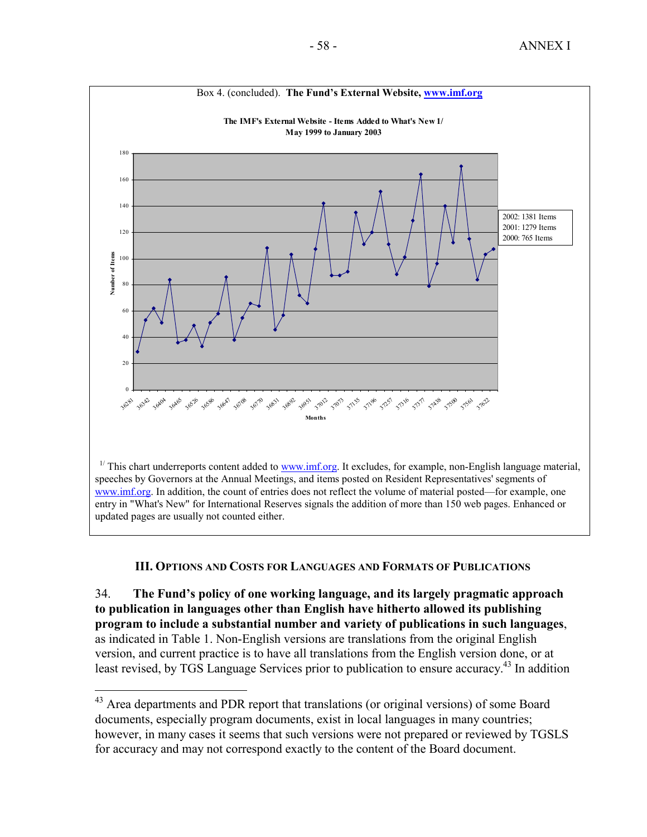

# **III. OPTIONS AND COSTS FOR LANGUAGES AND FORMATS OF PUBLICATIONS**

34. **The Fund's policy of one working language, and its largely pragmatic approach to publication in languages other than English have hitherto allowed its publishing program to include a substantial number and variety of publications in such languages**, as indicated in Table 1. Non-English versions are translations from the original English version, and current practice is to have all translations from the English version done, or at least revised, by TGS Language Services prior to publication to ensure accuracy.<sup>43</sup> In addition

<sup>&</sup>lt;sup>43</sup> Area departments and PDR report that translations (or original versions) of some Board documents, especially program documents, exist in local languages in many countries; however, in many cases it seems that such versions were not prepared or reviewed by TGSLS for accuracy and may not correspond exactly to the content of the Board document.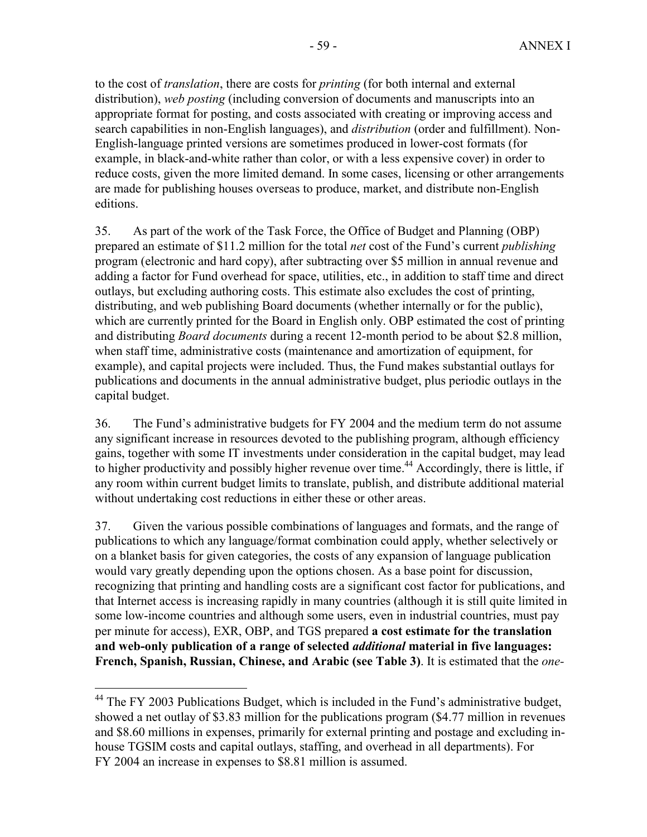to the cost of *translation*, there are costs for *printing* (for both internal and external distribution), *web posting* (including conversion of documents and manuscripts into an appropriate format for posting, and costs associated with creating or improving access and search capabilities in non-English languages), and *distribution* (order and fulfillment). Non-English-language printed versions are sometimes produced in lower-cost formats (for example, in black-and-white rather than color, or with a less expensive cover) in order to reduce costs, given the more limited demand. In some cases, licensing or other arrangements are made for publishing houses overseas to produce, market, and distribute non-English editions.

35. As part of the work of the Task Force, the Office of Budget and Planning (OBP) prepared an estimate of \$11.2 million for the total *net* cost of the Fund's current *publishing* program (electronic and hard copy), after subtracting over \$5 million in annual revenue and adding a factor for Fund overhead for space, utilities, etc., in addition to staff time and direct outlays, but excluding authoring costs. This estimate also excludes the cost of printing, distributing, and web publishing Board documents (whether internally or for the public), which are currently printed for the Board in English only. OBP estimated the cost of printing and distributing *Board documents* during a recent 12-month period to be about \$2.8 million, when staff time, administrative costs (maintenance and amortization of equipment, for example), and capital projects were included. Thus, the Fund makes substantial outlays for publications and documents in the annual administrative budget, plus periodic outlays in the capital budget.

36. The Fund's administrative budgets for FY 2004 and the medium term do not assume any significant increase in resources devoted to the publishing program, although efficiency gains, together with some IT investments under consideration in the capital budget, may lead to higher productivity and possibly higher revenue over time.<sup>44</sup> Accordingly, there is little, if any room within current budget limits to translate, publish, and distribute additional material without undertaking cost reductions in either these or other areas.

37. Given the various possible combinations of languages and formats, and the range of publications to which any language/format combination could apply, whether selectively or on a blanket basis for given categories, the costs of any expansion of language publication would vary greatly depending upon the options chosen. As a base point for discussion, recognizing that printing and handling costs are a significant cost factor for publications, and that Internet access is increasing rapidly in many countries (although it is still quite limited in some low-income countries and although some users, even in industrial countries, must pay per minute for access), EXR, OBP, and TGS prepared **a cost estimate for the translation and web-only publication of a range of selected** *additional* **material in five languages: French, Spanish, Russian, Chinese, and Arabic (see Table 3)**. It is estimated that the *one-*

<u>.</u>

<sup>&</sup>lt;sup>44</sup> The FY 2003 Publications Budget, which is included in the Fund's administrative budget, showed a net outlay of \$3.83 million for the publications program (\$4.77 million in revenues and \$8.60 millions in expenses, primarily for external printing and postage and excluding inhouse TGSIM costs and capital outlays, staffing, and overhead in all departments). For FY 2004 an increase in expenses to \$8.81 million is assumed.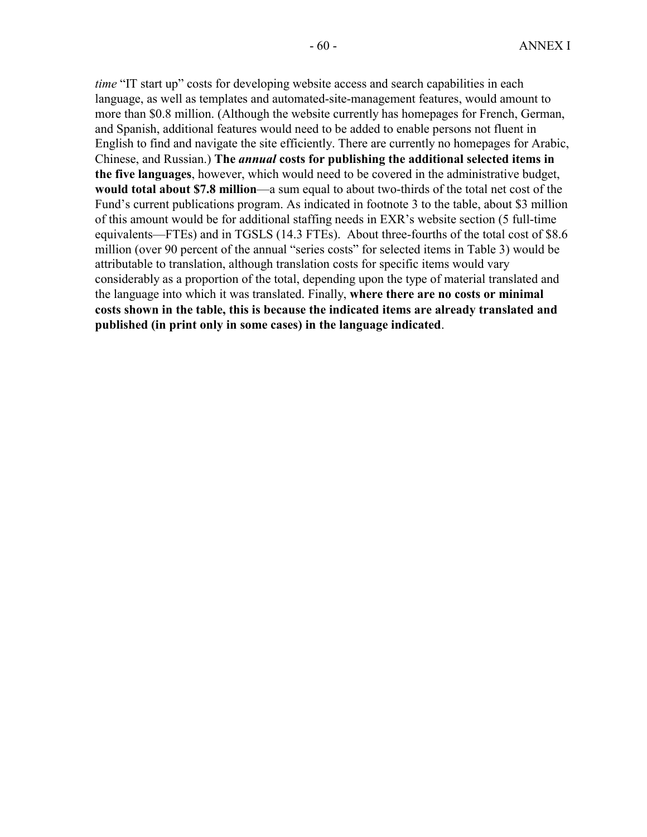*time* "IT start up" costs for developing website access and search capabilities in each language, as well as templates and automated-site-management features, would amount to more than \$0.8 million. (Although the website currently has homepages for French, German, and Spanish, additional features would need to be added to enable persons not fluent in English to find and navigate the site efficiently. There are currently no homepages for Arabic, Chinese, and Russian.) **The** *annual* **costs for publishing the additional selected items in the five languages**, however, which would need to be covered in the administrative budget, **would total about \$7.8 million**—a sum equal to about two-thirds of the total net cost of the Fund's current publications program. As indicated in footnote 3 to the table, about \$3 million of this amount would be for additional staffing needs in EXR's website section (5 full-time equivalents—FTEs) and in TGSLS (14.3 FTEs). About three-fourths of the total cost of \$8.6 million (over 90 percent of the annual "series costs" for selected items in Table 3) would be attributable to translation, although translation costs for specific items would vary considerably as a proportion of the total, depending upon the type of material translated and the language into which it was translated. Finally, **where there are no costs or minimal costs shown in the table, this is because the indicated items are already translated and published (in print only in some cases) in the language indicated**.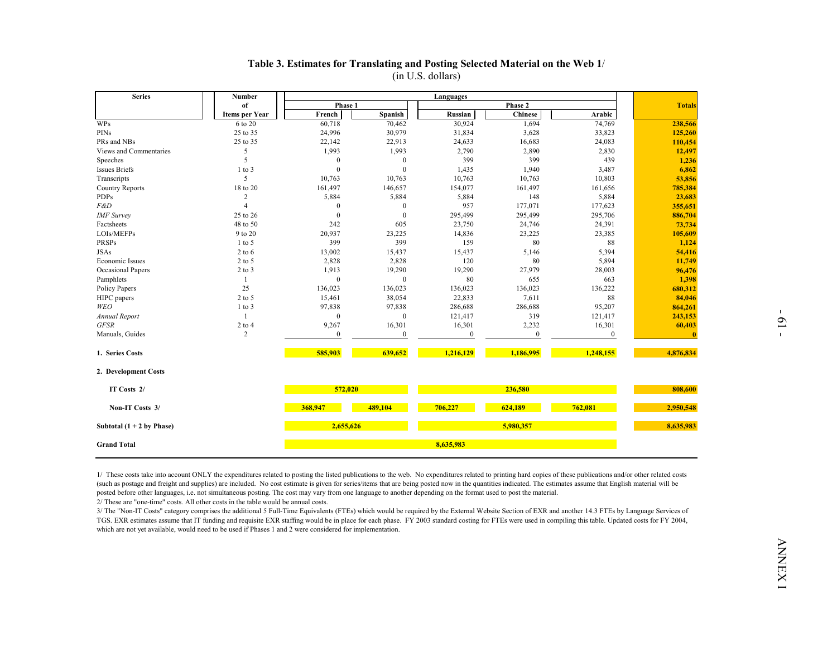| <b>Series</b>                | Number                           |                   |                   | Languages         |                         |                  |                   |  |  |
|------------------------------|----------------------------------|-------------------|-------------------|-------------------|-------------------------|------------------|-------------------|--|--|
|                              | of                               | Phase 1           |                   |                   | Phase 2                 |                  | <b>Totals</b>     |  |  |
| <b>WPs</b>                   | Items per Year<br>6 to 20        | French<br>60,718  | Spanish<br>70,462 | Russian<br>30,924 | <b>Chinese</b><br>1,694 | Arabic<br>74,769 | 238,566           |  |  |
| PINs                         | 25 to 35                         | 24,996            | 30,979            | 31,834            | 3,628                   | 33,823           | 125,260           |  |  |
| PRs and NBs                  | 25 to 35                         | 22,142            | 22,913            | 24,633            | 16,683                  | 24,083           | 110,454           |  |  |
| Views and Commentaries       | 5                                | 1,993             | 1,993             | 2,790             | 2,890                   | 2,830            | 12,497            |  |  |
| Speeches                     | 5                                | $\theta$          | $\theta$          | 399               | 399                     | 439              | 1,236             |  |  |
| <b>Issues Briefs</b>         | $1$ to $3$                       | $\theta$          | $\theta$          | 1,435             | 1,940                   | 3,487            | 6,862             |  |  |
| Transcripts                  | 5                                | 10,763            | 10,763            | 10,763            | 10,763                  | 10,803           | 53,856            |  |  |
| <b>Country Reports</b>       | 18 to 20                         | 161,497           | 146,657           | 154,077           | 161,497                 | 161,656          | 785,384           |  |  |
|                              | $\overline{c}$<br>$\overline{4}$ | 5,884<br>$\theta$ | 5,884<br>$\theta$ | 5,884<br>957      | 148<br>177,071          | 5,884<br>177,623 | 23,683<br>355,651 |  |  |
| <b>IMF</b> Survey            | 25 to 26                         | $\theta$          | $\mathbf{0}$      | 295,499           | 295,499                 | 295,706          | 886,704           |  |  |
| Factsheets                   | 48 to 50                         | 242               | 605               | 23,750            | 24,746                  | 24,391           | 73,734            |  |  |
| LOIs/MEFPs                   | 9 to 20                          | 20,937            | 23,225            | 14,836            | 23,225                  | 23,385           | 105,609           |  |  |
| PRSPs                        | $1$ to 5                         | 399               | 399               | 159               | 80                      | 88               | 1,124             |  |  |
|                              | $2$ to 6                         | 13,002            | 15,437            | 15,437            | 5,146                   | 5,394            | 54,416            |  |  |
| Economic Issues              | $2$ to 5                         | 2,828             | 2,828             | 120               | 80                      | 5,894            | 11,749            |  |  |
| Occasional Papers            | $2$ to $3$                       | 1,913             | 19,290            | 19,290            | 27,979                  | 28,003           | 96,476            |  |  |
| Pamphlets                    | -1                               | $\mathbf{0}$      | $\mathbf{0}$      | 80                | 655                     | 663              | 1,398             |  |  |
| Policy Papers                | 25                               | 136,023           | 136,023           | 136,023           | 136,023                 | 136,222          | 680,312           |  |  |
| HIPC papers                  | $2$ to 5<br>$1$ to $3$           | 15,461<br>97,838  | 38,054<br>97,838  | 22,833<br>286,688 | 7,611<br>286,688        | 88<br>95,207     | 84,046<br>864,261 |  |  |
| Annual Report                | -1                               | $\theta$          | $\mathbf{0}$      | 121,417           | 319                     | 121,417          | 243,153           |  |  |
|                              | $2$ to $4$                       | 9,267             | 16,301            | 16,301            | 2,232                   | 16,301           | 60,403            |  |  |
| Manuals, Guides              | 2                                | $\bf{0}$          | $\mathbf{0}$      | $\boldsymbol{0}$  | $\mathbf{0}$            | $\boldsymbol{0}$ | -0                |  |  |
| 1. Series Costs              |                                  | 585,903           | 639,652           | 1,216,129         | 1,186,995               | 1,248,155        | 4,876,834         |  |  |
| 2. Development Costs         |                                  |                   |                   |                   |                         |                  |                   |  |  |
| IT Costs 2/                  |                                  | 572,020           |                   |                   | 236,580                 |                  | 808,600           |  |  |
| Non-IT Costs 3/              |                                  | 368,947           | 489,104           | 706,227           | 624,189                 | 762,081          | 2,950,548         |  |  |
| Subtotal $(1 + 2)$ by Phase) |                                  | 2,655,626         |                   |                   | 5,980,357               |                  | 8,635,983         |  |  |
| <b>Grand Total</b>           |                                  |                   |                   | 8,635,983         |                         |                  |                   |  |  |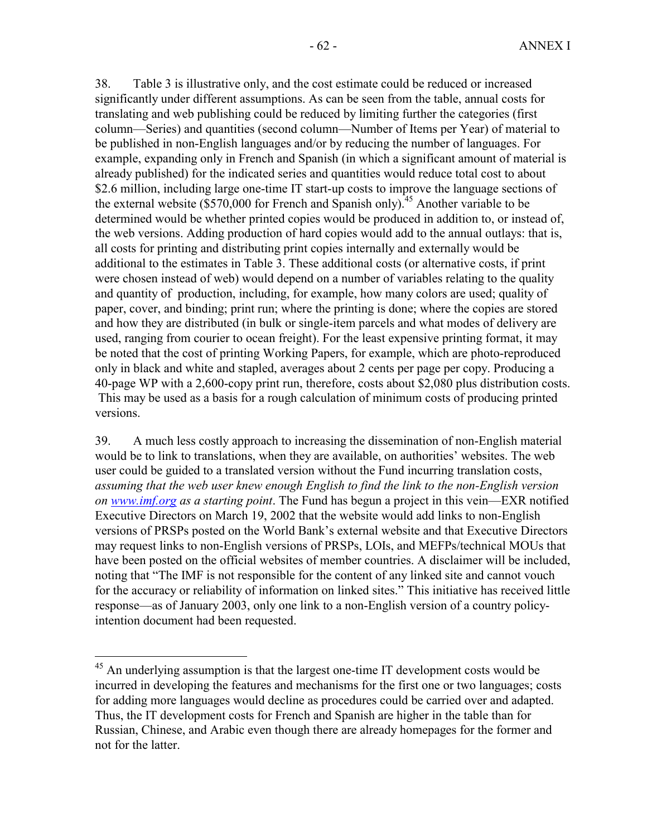38. Table 3 is illustrative only, and the cost estimate could be reduced or increased significantly under different assumptions. As can be seen from the table, annual costs for translating and web publishing could be reduced by limiting further the categories (first column—Series) and quantities (second column—Number of Items per Year) of material to be published in non-English languages and/or by reducing the number of languages. For example, expanding only in French and Spanish (in which a significant amount of material is already published) for the indicated series and quantities would reduce total cost to about \$2.6 million, including large one-time IT start-up costs to improve the language sections of the external website (\$570,000 for French and Spanish only).<sup>45</sup> Another variable to be determined would be whether printed copies would be produced in addition to, or instead of, the web versions. Adding production of hard copies would add to the annual outlays: that is, all costs for printing and distributing print copies internally and externally would be additional to the estimates in Table 3. These additional costs (or alternative costs, if print were chosen instead of web) would depend on a number of variables relating to the quality and quantity of production, including, for example, how many colors are used; quality of paper, cover, and binding; print run; where the printing is done; where the copies are stored and how they are distributed (in bulk or single-item parcels and what modes of delivery are used, ranging from courier to ocean freight). For the least expensive printing format, it may be noted that the cost of printing Working Papers, for example, which are photo-reproduced only in black and white and stapled, averages about 2 cents per page per copy. Producing a 40-page WP with a 2,600-copy print run, therefore, costs about \$2,080 plus distribution costs. This may be used as a basis for a rough calculation of minimum costs of producing printed versions.

39. A much less costly approach to increasing the dissemination of non-English material would be to link to translations, when they are available, on authorities' websites. The web user could be guided to a translated version without the Fund incurring translation costs, *assuming that the web user knew enough English to find the link to the non-English version on www.imf.org as a starting point*. The Fund has begun a project in this vein—EXR notified Executive Directors on March 19, 2002 that the website would add links to non-English versions of PRSPs posted on the World Bank's external website and that Executive Directors may request links to non-English versions of PRSPs, LOIs, and MEFPs/technical MOUs that have been posted on the official websites of member countries. A disclaimer will be included, noting that "The IMF is not responsible for the content of any linked site and cannot vouch for the accuracy or reliability of information on linked sites." This initiative has received little response—as of January 2003, only one link to a non-English version of a country policyintention document had been requested.

<sup>&</sup>lt;sup>45</sup> An underlying assumption is that the largest one-time IT development costs would be incurred in developing the features and mechanisms for the first one or two languages; costs for adding more languages would decline as procedures could be carried over and adapted. Thus, the IT development costs for French and Spanish are higher in the table than for Russian, Chinese, and Arabic even though there are already homepages for the former and not for the latter.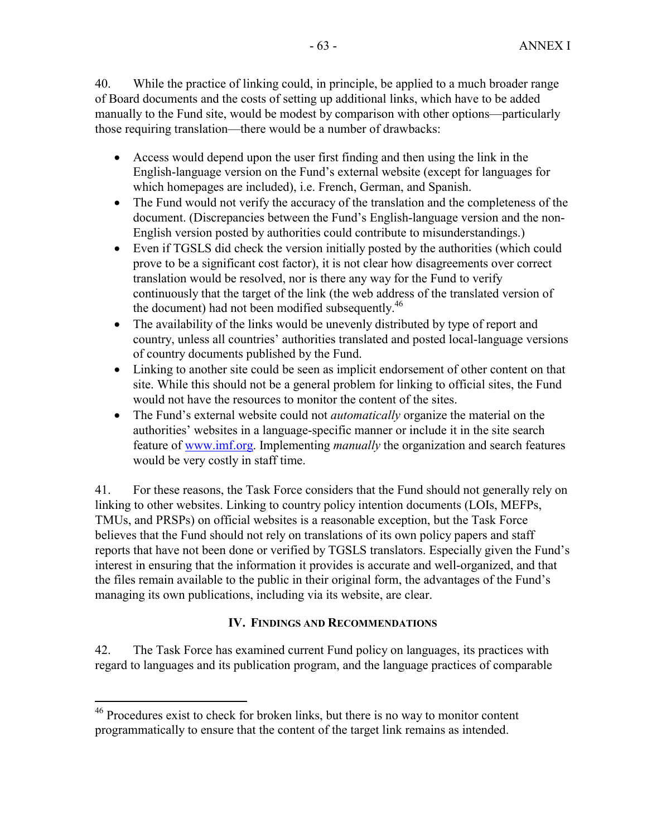40. While the practice of linking could, in principle, be applied to a much broader range of Board documents and the costs of setting up additional links, which have to be added manually to the Fund site, would be modest by comparison with other options—particularly those requiring translation—there would be a number of drawbacks:

- Access would depend upon the user first finding and then using the link in the English-language version on the Fund's external website (except for languages for which homepages are included), i.e. French, German, and Spanish.
- The Fund would not verify the accuracy of the translation and the completeness of the document. (Discrepancies between the Fund's English-language version and the non-English version posted by authorities could contribute to misunderstandings.)
- Even if TGSLS did check the version initially posted by the authorities (which could prove to be a significant cost factor), it is not clear how disagreements over correct translation would be resolved, nor is there any way for the Fund to verify continuously that the target of the link (the web address of the translated version of the document) had not been modified subsequently.<sup>46</sup>
- The availability of the links would be unevenly distributed by type of report and country, unless all countries' authorities translated and posted local-language versions of country documents published by the Fund.
- Linking to another site could be seen as implicit endorsement of other content on that site. While this should not be a general problem for linking to official sites, the Fund would not have the resources to monitor the content of the sites.
- The Fund's external website could not *automatically* organize the material on the authorities' websites in a language-specific manner or include it in the site search feature of www.imf.org. Implementing *manually* the organization and search features would be very costly in staff time.

41. For these reasons, the Task Force considers that the Fund should not generally rely on linking to other websites. Linking to country policy intention documents (LOIs, MEFPs, TMUs, and PRSPs) on official websites is a reasonable exception, but the Task Force believes that the Fund should not rely on translations of its own policy papers and staff reports that have not been done or verified by TGSLS translators. Especially given the Fund's interest in ensuring that the information it provides is accurate and well-organized, and that the files remain available to the public in their original form, the advantages of the Fund's managing its own publications, including via its website, are clear.

# **IV. FINDINGS AND RECOMMENDATIONS**

42. The Task Force has examined current Fund policy on languages, its practices with regard to languages and its publication program, and the language practices of comparable

<sup>&</sup>lt;sup>46</sup> Procedures exist to check for broken links, but there is no way to monitor content programmatically to ensure that the content of the target link remains as intended.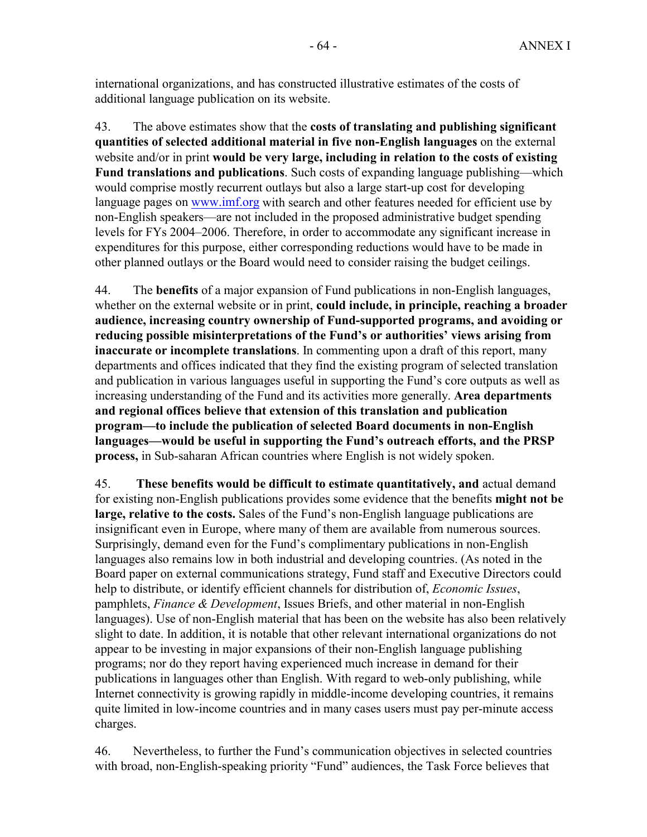international organizations, and has constructed illustrative estimates of the costs of additional language publication on its website.

43. The above estimates show that the **costs of translating and publishing significant quantities of selected additional material in five non-English languages** on the external website and/or in print **would be very large, including in relation to the costs of existing Fund translations and publications**. Such costs of expanding language publishing—which would comprise mostly recurrent outlays but also a large start-up cost for developing language pages on www.imf.org with search and other features needed for efficient use by non-English speakers—are not included in the proposed administrative budget spending levels for FYs 2004–2006. Therefore, in order to accommodate any significant increase in expenditures for this purpose, either corresponding reductions would have to be made in other planned outlays or the Board would need to consider raising the budget ceilings.

44. The **benefits** of a major expansion of Fund publications in non-English languages, whether on the external website or in print, **could include, in principle, reaching a broader audience, increasing country ownership of Fund-supported programs, and avoiding or reducing possible misinterpretations of the Fund's or authorities' views arising from inaccurate or incomplete translations**. In commenting upon a draft of this report, many departments and offices indicated that they find the existing program of selected translation and publication in various languages useful in supporting the Fund's core outputs as well as increasing understanding of the Fund and its activities more generally. **Area departments and regional offices believe that extension of this translation and publication program—to include the publication of selected Board documents in non-English languages—would be useful in supporting the Fund's outreach efforts, and the PRSP process,** in Sub-saharan African countries where English is not widely spoken.

45. **These benefits would be difficult to estimate quantitatively, and** actual demand for existing non-English publications provides some evidence that the benefits **might not be large, relative to the costs.** Sales of the Fund's non-English language publications are insignificant even in Europe, where many of them are available from numerous sources. Surprisingly, demand even for the Fund's complimentary publications in non-English languages also remains low in both industrial and developing countries. (As noted in the Board paper on external communications strategy, Fund staff and Executive Directors could help to distribute, or identify efficient channels for distribution of, *Economic Issues*, pamphlets, *Finance & Development*, Issues Briefs, and other material in non-English languages). Use of non-English material that has been on the website has also been relatively slight to date. In addition, it is notable that other relevant international organizations do not appear to be investing in major expansions of their non-English language publishing programs; nor do they report having experienced much increase in demand for their publications in languages other than English. With regard to web-only publishing, while Internet connectivity is growing rapidly in middle-income developing countries, it remains quite limited in low-income countries and in many cases users must pay per-minute access charges.

46. Nevertheless, to further the Fund's communication objectives in selected countries with broad, non-English-speaking priority "Fund" audiences, the Task Force believes that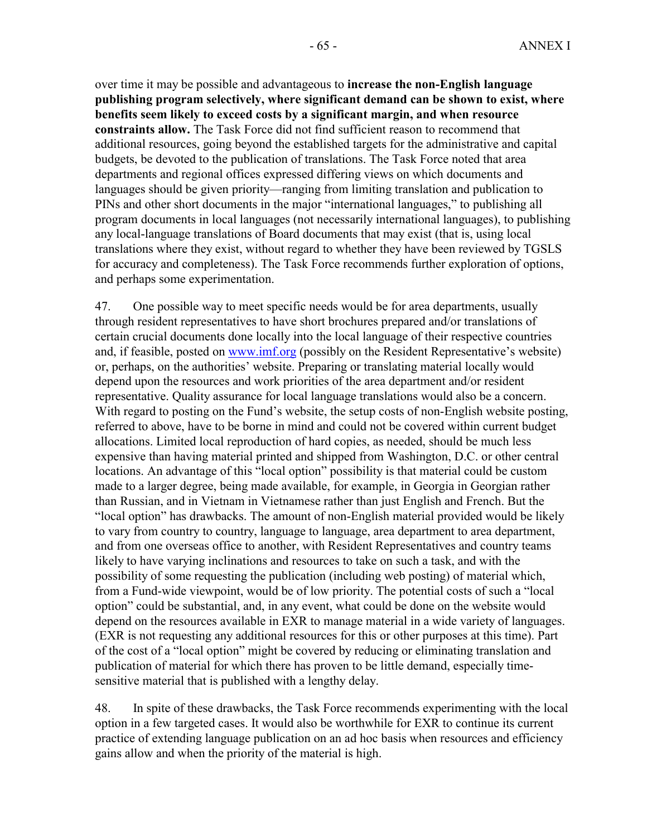over time it may be possible and advantageous to **increase the non-English language publishing program selectively, where significant demand can be shown to exist, where benefits seem likely to exceed costs by a significant margin, and when resource constraints allow.** The Task Force did not find sufficient reason to recommend that additional resources, going beyond the established targets for the administrative and capital budgets, be devoted to the publication of translations. The Task Force noted that area departments and regional offices expressed differing views on which documents and languages should be given priority—ranging from limiting translation and publication to PINs and other short documents in the major "international languages," to publishing all program documents in local languages (not necessarily international languages), to publishing any local-language translations of Board documents that may exist (that is, using local translations where they exist, without regard to whether they have been reviewed by TGSLS for accuracy and completeness). The Task Force recommends further exploration of options, and perhaps some experimentation.

47. One possible way to meet specific needs would be for area departments, usually through resident representatives to have short brochures prepared and/or translations of certain crucial documents done locally into the local language of their respective countries and, if feasible, posted on www.imf.org (possibly on the Resident Representative's website) or, perhaps, on the authorities' website. Preparing or translating material locally would depend upon the resources and work priorities of the area department and/or resident representative. Quality assurance for local language translations would also be a concern. With regard to posting on the Fund's website, the setup costs of non-English website posting, referred to above, have to be borne in mind and could not be covered within current budget allocations. Limited local reproduction of hard copies, as needed, should be much less expensive than having material printed and shipped from Washington, D.C. or other central locations. An advantage of this "local option" possibility is that material could be custom made to a larger degree, being made available, for example, in Georgia in Georgian rather than Russian, and in Vietnam in Vietnamese rather than just English and French. But the "local option" has drawbacks. The amount of non-English material provided would be likely to vary from country to country, language to language, area department to area department, and from one overseas office to another, with Resident Representatives and country teams likely to have varying inclinations and resources to take on such a task, and with the possibility of some requesting the publication (including web posting) of material which, from a Fund-wide viewpoint, would be of low priority. The potential costs of such a "local option" could be substantial, and, in any event, what could be done on the website would depend on the resources available in EXR to manage material in a wide variety of languages. (EXR is not requesting any additional resources for this or other purposes at this time). Part of the cost of a "local option" might be covered by reducing or eliminating translation and publication of material for which there has proven to be little demand, especially timesensitive material that is published with a lengthy delay.

48. In spite of these drawbacks, the Task Force recommends experimenting with the local option in a few targeted cases. It would also be worthwhile for EXR to continue its current practice of extending language publication on an ad hoc basis when resources and efficiency gains allow and when the priority of the material is high.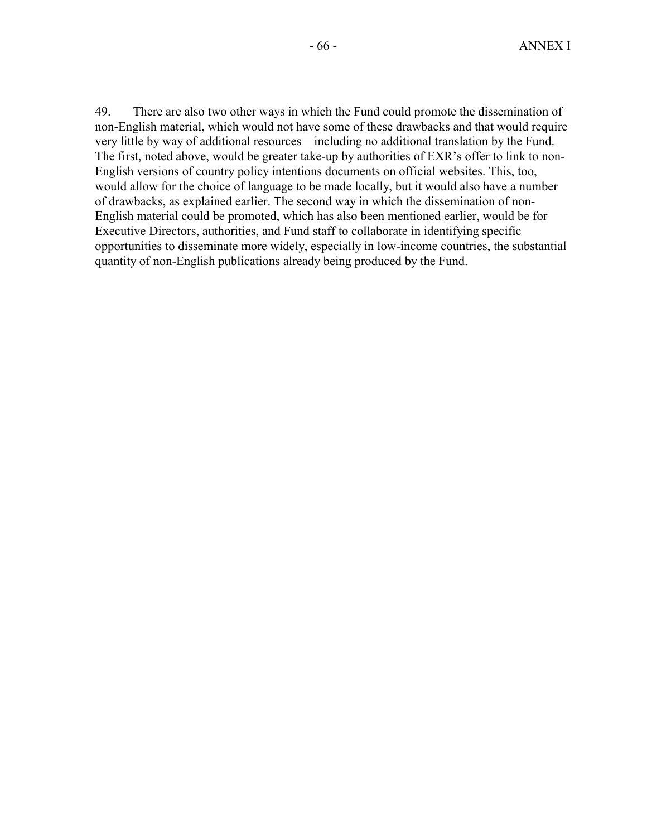49. There are also two other ways in which the Fund could promote the dissemination of non-English material, which would not have some of these drawbacks and that would require very little by way of additional resources—including no additional translation by the Fund. The first, noted above, would be greater take-up by authorities of EXR's offer to link to non-English versions of country policy intentions documents on official websites. This, too, would allow for the choice of language to be made locally, but it would also have a number of drawbacks, as explained earlier. The second way in which the dissemination of non-English material could be promoted, which has also been mentioned earlier, would be for Executive Directors, authorities, and Fund staff to collaborate in identifying specific opportunities to disseminate more widely, especially in low-income countries, the substantial quantity of non-English publications already being produced by the Fund.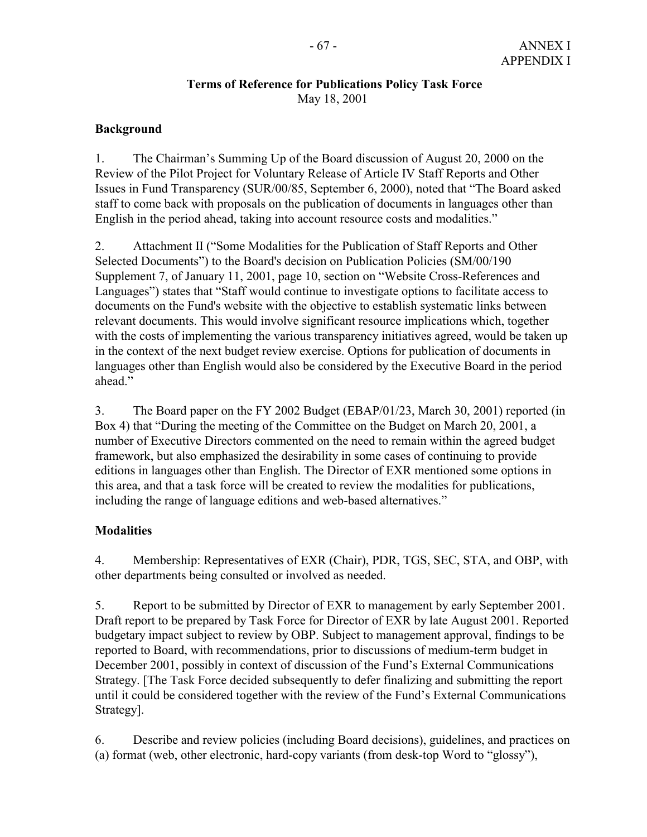## **Terms of Reference for Publications Policy Task Force**  May 18, 2001

# **Background**

1. The Chairman's Summing Up of the Board discussion of August 20, 2000 on the Review of the Pilot Project for Voluntary Release of Article IV Staff Reports and Other Issues in Fund Transparency (SUR/00/85, September 6, 2000), noted that "The Board asked staff to come back with proposals on the publication of documents in languages other than English in the period ahead, taking into account resource costs and modalities."

2. Attachment II ("Some Modalities for the Publication of Staff Reports and Other Selected Documents") to the Board's decision on Publication Policies (SM/00/190 Supplement 7, of January 11, 2001, page 10, section on "Website Cross-References and Languages") states that "Staff would continue to investigate options to facilitate access to documents on the Fund's website with the objective to establish systematic links between relevant documents. This would involve significant resource implications which, together with the costs of implementing the various transparency initiatives agreed, would be taken up in the context of the next budget review exercise. Options for publication of documents in languages other than English would also be considered by the Executive Board in the period ahead."

3. The Board paper on the FY 2002 Budget (EBAP/01/23, March 30, 2001) reported (in Box 4) that "During the meeting of the Committee on the Budget on March 20, 2001, a number of Executive Directors commented on the need to remain within the agreed budget framework, but also emphasized the desirability in some cases of continuing to provide editions in languages other than English. The Director of EXR mentioned some options in this area, and that a task force will be created to review the modalities for publications, including the range of language editions and web-based alternatives."

# **Modalities**

4. Membership: Representatives of EXR (Chair), PDR, TGS, SEC, STA, and OBP, with other departments being consulted or involved as needed.

5. Report to be submitted by Director of EXR to management by early September 2001. Draft report to be prepared by Task Force for Director of EXR by late August 2001. Reported budgetary impact subject to review by OBP. Subject to management approval, findings to be reported to Board, with recommendations, prior to discussions of medium-term budget in December 2001, possibly in context of discussion of the Fund's External Communications Strategy. [The Task Force decided subsequently to defer finalizing and submitting the report until it could be considered together with the review of the Fund's External Communications Strategy].

6. Describe and review policies (including Board decisions), guidelines, and practices on (a) format (web, other electronic, hard-copy variants (from desk-top Word to "glossy"),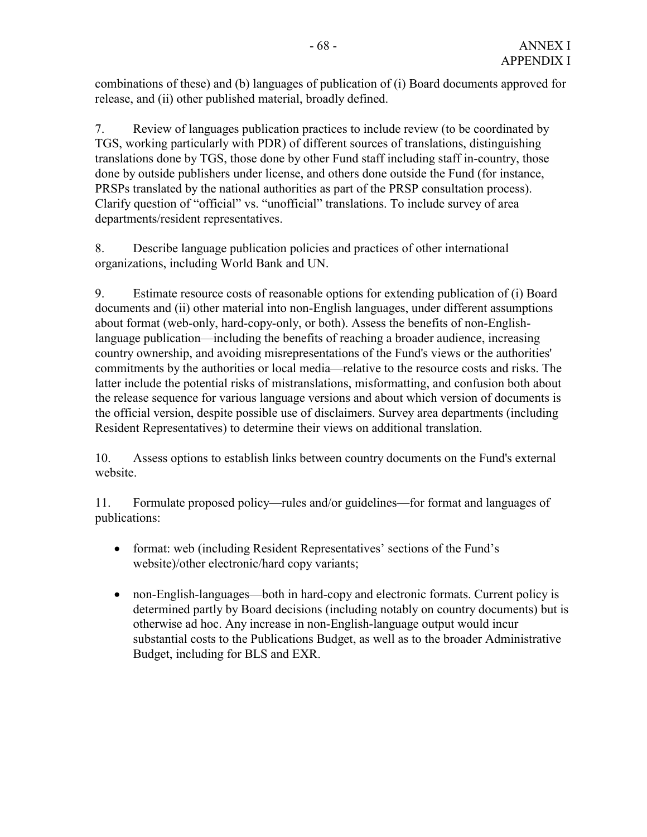combinations of these) and (b) languages of publication of (i) Board documents approved for release, and (ii) other published material, broadly defined.

7. Review of languages publication practices to include review (to be coordinated by TGS, working particularly with PDR) of different sources of translations, distinguishing translations done by TGS, those done by other Fund staff including staff in-country, those done by outside publishers under license, and others done outside the Fund (for instance, PRSPs translated by the national authorities as part of the PRSP consultation process). Clarify question of "official" vs. "unofficial" translations. To include survey of area departments/resident representatives.

8. Describe language publication policies and practices of other international organizations, including World Bank and UN.

9. Estimate resource costs of reasonable options for extending publication of (i) Board documents and (ii) other material into non-English languages, under different assumptions about format (web-only, hard-copy-only, or both). Assess the benefits of non-Englishlanguage publication—including the benefits of reaching a broader audience, increasing country ownership, and avoiding misrepresentations of the Fund's views or the authorities' commitments by the authorities or local media—relative to the resource costs and risks. The latter include the potential risks of mistranslations, misformatting, and confusion both about the release sequence for various language versions and about which version of documents is the official version, despite possible use of disclaimers. Survey area departments (including Resident Representatives) to determine their views on additional translation.

10. Assess options to establish links between country documents on the Fund's external website.

11. Formulate proposed policy—rules and/or guidelines—for format and languages of publications:

- format: web (including Resident Representatives' sections of the Fund's website)/other electronic/hard copy variants;
- non-English-languages—both in hard-copy and electronic formats. Current policy is determined partly by Board decisions (including notably on country documents) but is otherwise ad hoc. Any increase in non-English-language output would incur substantial costs to the Publications Budget, as well as to the broader Administrative Budget, including for BLS and EXR.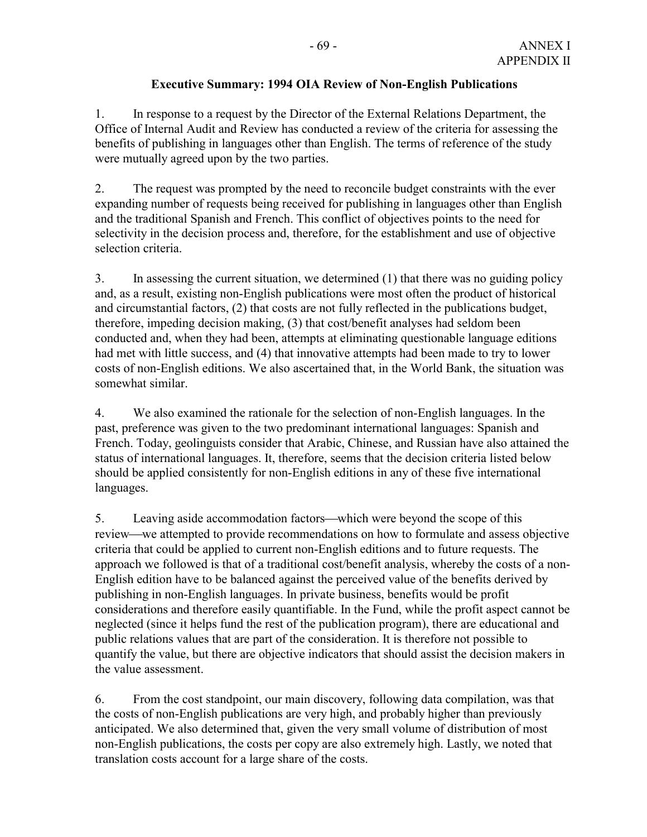# **Executive Summary: 1994 OIA Review of Non-English Publications**

1. In response to a request by the Director of the External Relations Department, the Office of Internal Audit and Review has conducted a review of the criteria for assessing the benefits of publishing in languages other than English. The terms of reference of the study were mutually agreed upon by the two parties.

2. The request was prompted by the need to reconcile budget constraints with the ever expanding number of requests being received for publishing in languages other than English and the traditional Spanish and French. This conflict of objectives points to the need for selectivity in the decision process and, therefore, for the establishment and use of objective selection criteria.

3. In assessing the current situation, we determined (1) that there was no guiding policy and, as a result, existing non-English publications were most often the product of historical and circumstantial factors, (2) that costs are not fully reflected in the publications budget, therefore, impeding decision making, (3) that cost/benefit analyses had seldom been conducted and, when they had been, attempts at eliminating questionable language editions had met with little success, and (4) that innovative attempts had been made to try to lower costs of non-English editions. We also ascertained that, in the World Bank, the situation was somewhat similar.

4. We also examined the rationale for the selection of non-English languages. In the past, preference was given to the two predominant international languages: Spanish and French. Today, geolinguists consider that Arabic, Chinese, and Russian have also attained the status of international languages. It, therefore, seems that the decision criteria listed below should be applied consistently for non-English editions in any of these five international languages.

5. Leaving aside accommodation factors—which were beyond the scope of this review—we attempted to provide recommendations on how to formulate and assess objective criteria that could be applied to current non-English editions and to future requests. The approach we followed is that of a traditional cost/benefit analysis, whereby the costs of a non-English edition have to be balanced against the perceived value of the benefits derived by publishing in non-English languages. In private business, benefits would be profit considerations and therefore easily quantifiable. In the Fund, while the profit aspect cannot be neglected (since it helps fund the rest of the publication program), there are educational and public relations values that are part of the consideration. It is therefore not possible to quantify the value, but there are objective indicators that should assist the decision makers in the value assessment.

6. From the cost standpoint, our main discovery, following data compilation, was that the costs of non-English publications are very high, and probably higher than previously anticipated. We also determined that, given the very small volume of distribution of most non-English publications, the costs per copy are also extremely high. Lastly, we noted that translation costs account for a large share of the costs.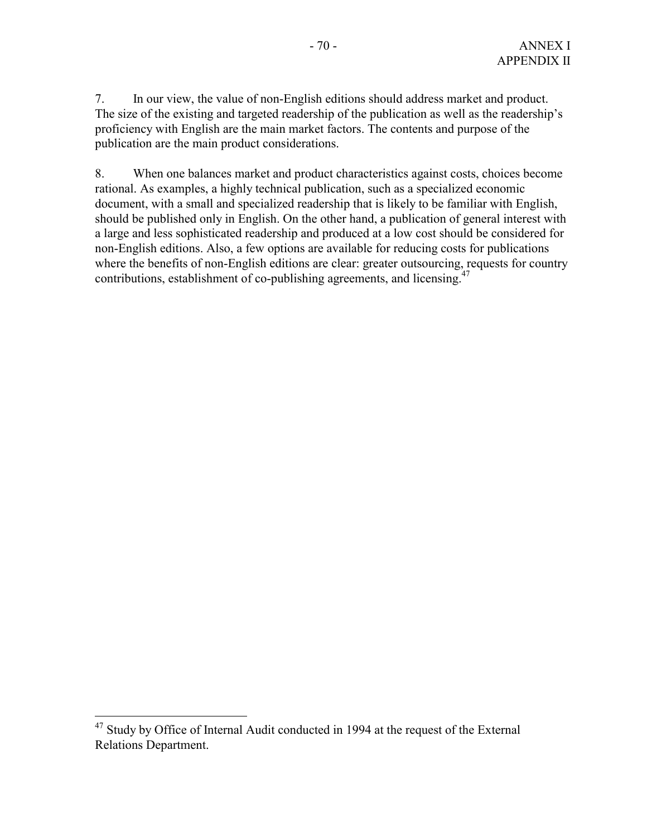7. In our view, the value of non-English editions should address market and product. The size of the existing and targeted readership of the publication as well as the readership's proficiency with English are the main market factors. The contents and purpose of the publication are the main product considerations.

8. When one balances market and product characteristics against costs, choices become rational. As examples, a highly technical publication, such as a specialized economic document, with a small and specialized readership that is likely to be familiar with English, should be published only in English. On the other hand, a publication of general interest with a large and less sophisticated readership and produced at a low cost should be considered for non-English editions. Also, a few options are available for reducing costs for publications where the benefits of non-English editions are clear: greater outsourcing, requests for country contributions, establishment of co-publishing agreements, and licensing.<sup>47</sup>

 $47$  Study by Office of Internal Audit conducted in 1994 at the request of the External Relations Department.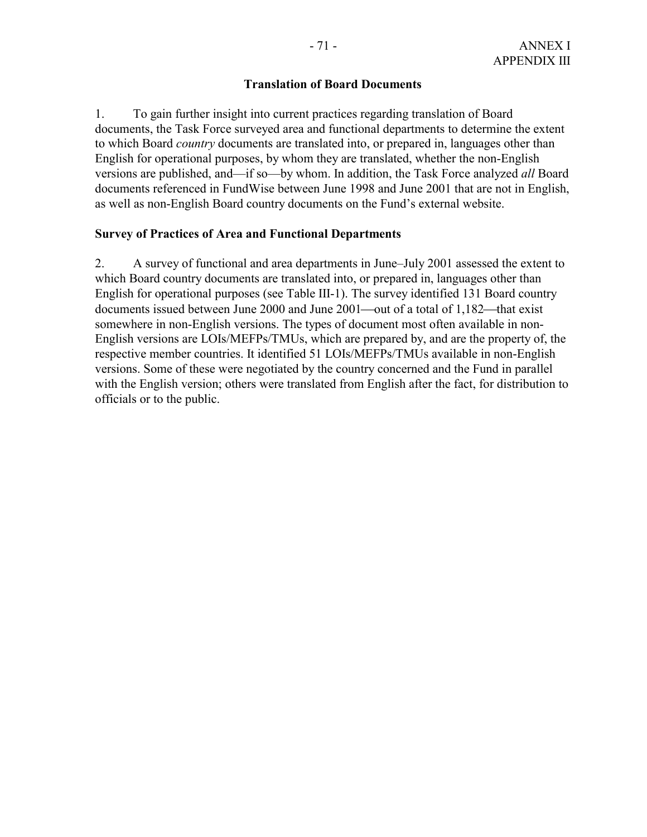## **Translation of Board Documents**

1. To gain further insight into current practices regarding translation of Board documents, the Task Force surveyed area and functional departments to determine the extent to which Board *country* documents are translated into, or prepared in, languages other than English for operational purposes, by whom they are translated, whether the non-English versions are published, and—if so—by whom. In addition, the Task Force analyzed *all* Board documents referenced in FundWise between June 1998 and June 2001 that are not in English, as well as non-English Board country documents on the Fund's external website.

## **Survey of Practices of Area and Functional Departments**

2. A survey of functional and area departments in June–July 2001 assessed the extent to which Board country documents are translated into, or prepared in, languages other than English for operational purposes (see Table III-1). The survey identified 131 Board country documents issued between June 2000 and June 2001—out of a total of 1,182—that exist somewhere in non-English versions. The types of document most often available in non-English versions are LOIs/MEFPs/TMUs, which are prepared by, and are the property of, the respective member countries. It identified 51 LOIs/MEFPs/TMUs available in non-English versions. Some of these were negotiated by the country concerned and the Fund in parallel with the English version; others were translated from English after the fact, for distribution to officials or to the public.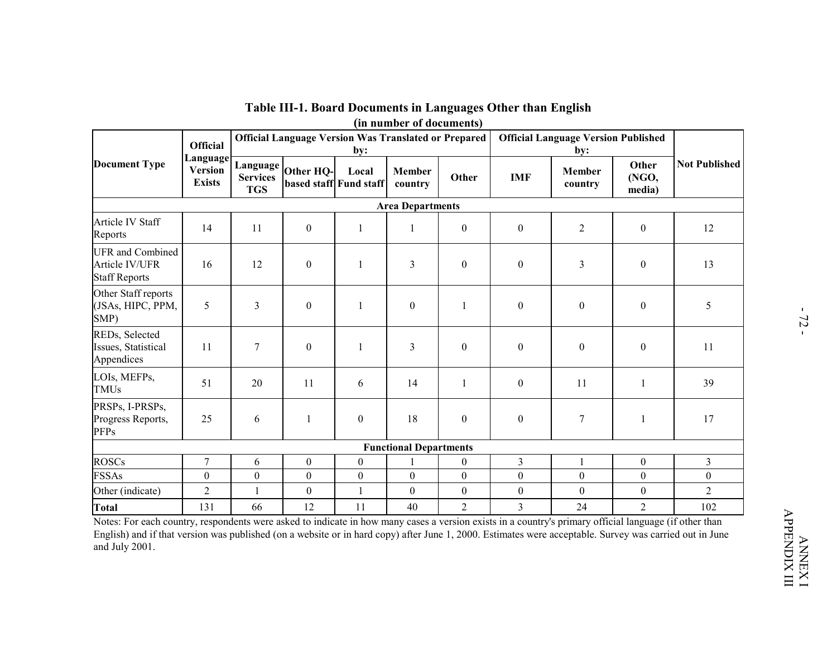|                                                                                                                                                                        |                                             |                               |                                                             |                  | (in number of documents)      |                  | Table III-1. Board Documents in Languages Other than English |                                                   |                          |                      |
|------------------------------------------------------------------------------------------------------------------------------------------------------------------------|---------------------------------------------|-------------------------------|-------------------------------------------------------------|------------------|-------------------------------|------------------|--------------------------------------------------------------|---------------------------------------------------|--------------------------|----------------------|
|                                                                                                                                                                        | <b>Official</b>                             |                               | <b>Official Language Version Was Translated or Prepared</b> | by:              |                               |                  |                                                              | <b>Official Language Version Published</b><br>by: |                          |                      |
| <b>Document Type</b>                                                                                                                                                   | Language<br><b>Version</b><br><b>Exists</b> | <b>Services</b><br><b>TGS</b> | Language Other HQ-<br>based staff Fund staff                | Local            | Member<br>country             | Other            | <b>IMF</b>                                                   | <b>Member</b><br>country                          | Other<br>(NGO,<br>media) | <b>Not Published</b> |
|                                                                                                                                                                        |                                             |                               |                                                             |                  | <b>Area Departments</b>       |                  |                                                              |                                                   |                          |                      |
| Article IV Staff<br>Reports                                                                                                                                            | 14                                          | 11                            | $\boldsymbol{0}$                                            | 1                | 1                             | $\boldsymbol{0}$ | $\boldsymbol{0}$                                             | $\overline{2}$                                    | $\boldsymbol{0}$         | 12                   |
| <b>UFR</b> and Combined<br>Article IV/UFR<br><b>Staff Reports</b>                                                                                                      | 16                                          | 12                            | $\boldsymbol{0}$                                            | 1                | $\mathfrak{Z}$                | $\boldsymbol{0}$ | $\boldsymbol{0}$                                             | 3                                                 | $\boldsymbol{0}$         | 13                   |
| Other Staff reports<br>(JSAs, HIPC, PPM,<br>SMP)                                                                                                                       | 5                                           | 3                             | $\boldsymbol{0}$                                            | 1                | $\boldsymbol{0}$              | 1                | $\boldsymbol{0}$                                             | $\boldsymbol{0}$                                  | $\boldsymbol{0}$         | 5                    |
| REDs, Selected<br>Issues, Statistical<br>Appendices                                                                                                                    | 11                                          | $\tau$                        | $\boldsymbol{0}$                                            | $\mathbf{1}$     | $\mathfrak{Z}$                | $\boldsymbol{0}$ | $\boldsymbol{0}$                                             | $\boldsymbol{0}$                                  | $\boldsymbol{0}$         | 11                   |
| LOIs, MEFPs,<br><b>TMUs</b>                                                                                                                                            | 51                                          | 20                            | 11                                                          | 6                | 14                            | $\mathbf{1}$     | $\boldsymbol{0}$                                             | 11                                                | $\mathbf{1}$             | 39                   |
| PRSPs, I-PRSPs,<br>Progress Reports,<br><b>PFPs</b>                                                                                                                    | 25                                          | 6                             | 1                                                           | $\boldsymbol{0}$ | 18                            | $\overline{0}$   | $\boldsymbol{0}$                                             | 7                                                 | $\mathbf{1}$             | 17                   |
|                                                                                                                                                                        |                                             |                               |                                                             |                  | <b>Functional Departments</b> |                  |                                                              |                                                   |                          |                      |
| <b>ROSCs</b>                                                                                                                                                           | 7                                           | 6                             | $\boldsymbol{0}$                                            | $\boldsymbol{0}$ |                               | $\mathbf{0}$     | $\mathfrak{Z}$                                               | 1                                                 | $\bf{0}$                 | $\mathfrak{Z}$       |
| <b>FSSAs</b>                                                                                                                                                           | $\boldsymbol{0}$                            | $\boldsymbol{0}$              | $\boldsymbol{0}$                                            | $\boldsymbol{0}$ | $\boldsymbol{0}$              | $\mathbf{0}$     | $\boldsymbol{0}$                                             | $\boldsymbol{0}$                                  | $\boldsymbol{0}$         | $\overline{0}$       |
| Other (indicate)                                                                                                                                                       | $\overline{c}$                              | $\mathbf{1}$                  | $\overline{0}$                                              | $\mathbf{1}$     | $\boldsymbol{0}$              | $\overline{0}$   | $\overline{0}$                                               | $\boldsymbol{0}$                                  | $\boldsymbol{0}$         | $\sqrt{2}$           |
| <b>Total</b><br>Notes: For each country, respondents were asked to indicate in how many cases a version exists in a country's primary official language (if other than | 131                                         | 66                            | 12                                                          | 11               | 40                            | 2                | 3                                                            | 24                                                | $\overline{2}$           | 102                  |

APPENDIX III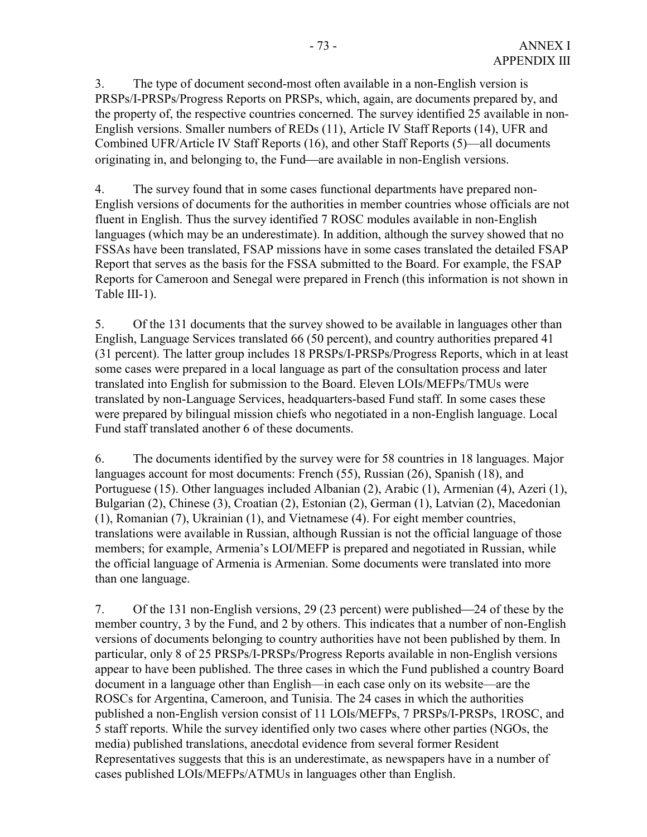3. The type of document second-most often available in a non-English version is PRSPs/I-PRSPs/Progress Reports on PRSPs, which, again, are documents prepared by, and the property of, the respective countries concerned. The survey identified 25 available in non-English versions. Smaller numbers of REDs (11), Article IV Staff Reports (14), UFR and Combined UFR/Article IV Staff Reports (16), and other Staff Reports (5)—all documents originating in, and belonging to, the Fund—are available in non-English versions.

4. The survey found that in some cases functional departments have prepared non-English versions of documents for the authorities in member countries whose officials are not fluent in English. Thus the survey identified 7 ROSC modules available in non-English languages (which may be an underestimate). In addition, although the survey showed that no FSSAs have been translated, FSAP missions have in some cases translated the detailed FSAP Report that serves as the basis for the FSSA submitted to the Board. For example, the FSAP Reports for Cameroon and Senegal were prepared in French (this information is not shown in Table III-1).

5. Of the 131 documents that the survey showed to be available in languages other than English, Language Services translated 66 (50 percent), and country authorities prepared 41 (31 percent). The latter group includes 18 PRSPs/I-PRSPs/Progress Reports, which in at least some cases were prepared in a local language as part of the consultation process and later translated into English for submission to the Board. Eleven LOIs/MEFPs/TMUs were translated by non-Language Services, headquarters-based Fund staff. In some cases these were prepared by bilingual mission chiefs who negotiated in a non-English language. Local Fund staff translated another 6 of these documents.

6. The documents identified by the survey were for 58 countries in 18 languages. Major languages account for most documents: French (55), Russian (26), Spanish (18), and Portuguese (15). Other languages included Albanian (2), Arabic (1), Armenian (4), Azeri (1), Bulgarian (2), Chinese (3), Croatian (2), Estonian (2), German (1), Latvian (2), Macedonian (1), Romanian (7), Ukrainian (1), and Vietnamese (4). For eight member countries, translations were available in Russian, although Russian is not the official language of those members; for example, Armenia's LOI/MEFP is prepared and negotiated in Russian, while the official language of Armenia is Armenian. Some documents were translated into more than one language.

7. Of the 131 non-English versions, 29 (23 percent) were published—24 of these by the member country, 3 by the Fund, and 2 by others. This indicates that a number of non-English versions of documents belonging to country authorities have not been published by them. In particular, only 8 of 25 PRSPs/I-PRSPs/Progress Reports available in non-English versions appear to have been published. The three cases in which the Fund published a country Board document in a language other than English—in each case only on its website—are the ROSCs for Argentina, Cameroon, and Tunisia. The 24 cases in which the authorities published a non-English version consist of 11 LOIs/MEFPs, 7 PRSPs/I-PRSPs, 1ROSC, and 5 staff reports. While the survey identified only two cases where other parties (NGOs, the media) published translations, anecdotal evidence from several former Resident Representatives suggests that this is an underestimate, as newspapers have in a number of cases published LOIs/MEFPs/ATMUs in languages other than English.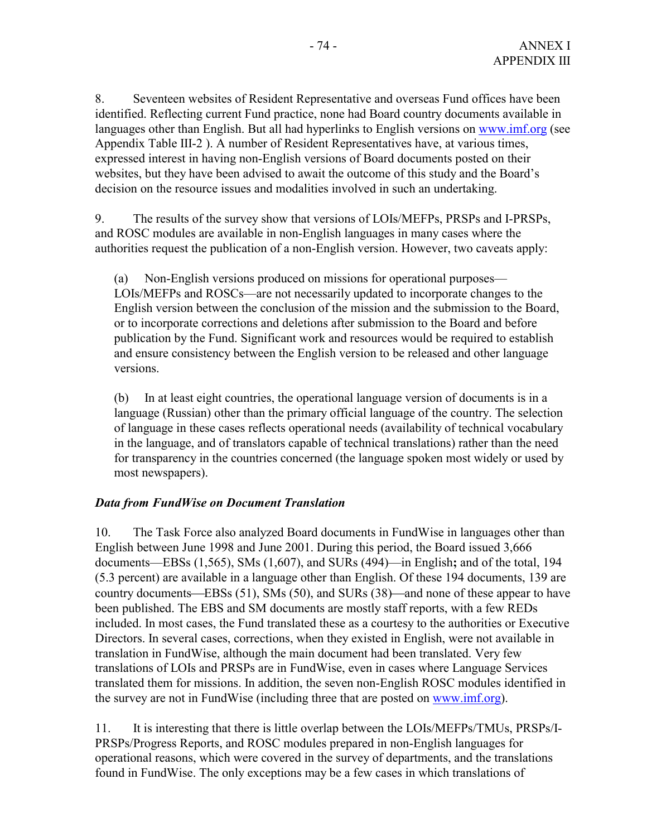8. Seventeen websites of Resident Representative and overseas Fund offices have been identified. Reflecting current Fund practice, none had Board country documents available in languages other than English. But all had hyperlinks to English versions on www.imf.org (see Appendix Table III-2 ). A number of Resident Representatives have, at various times, expressed interest in having non-English versions of Board documents posted on their websites, but they have been advised to await the outcome of this study and the Board's decision on the resource issues and modalities involved in such an undertaking.

9. The results of the survey show that versions of LOIs/MEFPs, PRSPs and I-PRSPs, and ROSC modules are available in non-English languages in many cases where the authorities request the publication of a non-English version. However, two caveats apply:

(a) Non-English versions produced on missions for operational purposes— LOIs/MEFPs and ROSCs—are not necessarily updated to incorporate changes to the English version between the conclusion of the mission and the submission to the Board, or to incorporate corrections and deletions after submission to the Board and before publication by the Fund. Significant work and resources would be required to establish and ensure consistency between the English version to be released and other language versions.

(b) In at least eight countries, the operational language version of documents is in a language (Russian) other than the primary official language of the country. The selection of language in these cases reflects operational needs (availability of technical vocabulary in the language, and of translators capable of technical translations) rather than the need for transparency in the countries concerned (the language spoken most widely or used by most newspapers).

# *Data from FundWise on Document Translation*

10. The Task Force also analyzed Board documents in FundWise in languages other than English between June 1998 and June 2001. During this period, the Board issued 3,666 documents—EBSs (1,565), SMs (1,607), and SURs (494)—in English**;** and of the total, 194 (5.3 percent) are available in a language other than English. Of these 194 documents, 139 are country documents—EBSs  $(51)$ , SMs  $(50)$ , and SURs  $(38)$ —and none of these appear to have been published. The EBS and SM documents are mostly staff reports, with a few REDs included. In most cases, the Fund translated these as a courtesy to the authorities or Executive Directors. In several cases, corrections, when they existed in English, were not available in translation in FundWise, although the main document had been translated. Very few translations of LOIs and PRSPs are in FundWise, even in cases where Language Services translated them for missions. In addition, the seven non-English ROSC modules identified in the survey are not in FundWise (including three that are posted on www.imf.org).

11. It is interesting that there is little overlap between the LOIs/MEFPs/TMUs, PRSPs/I-PRSPs/Progress Reports, and ROSC modules prepared in non-English languages for operational reasons, which were covered in the survey of departments, and the translations found in FundWise. The only exceptions may be a few cases in which translations of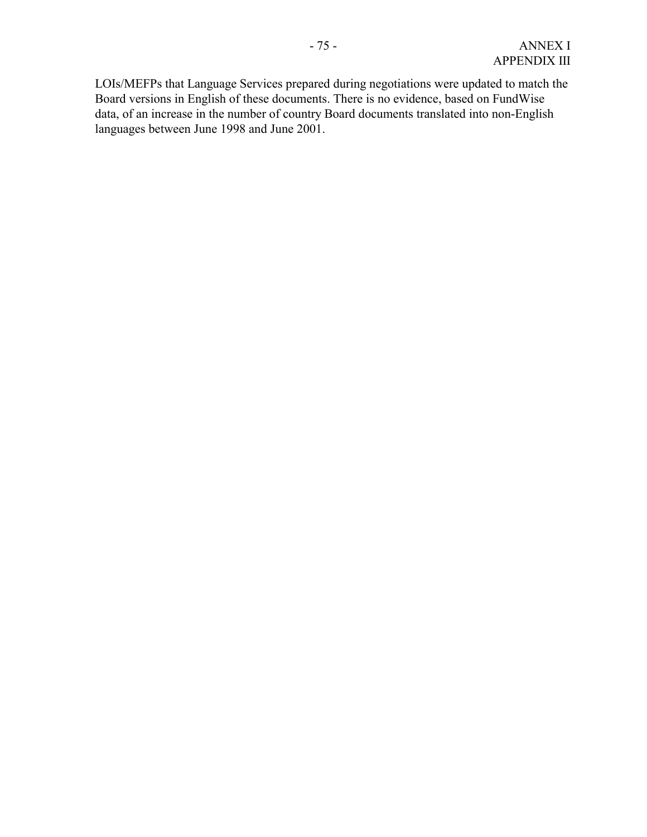LOIs/MEFPs that Language Services prepared during negotiations were updated to match the Board versions in English of these documents. There is no evidence, based on FundWise data, of an increase in the number of country Board documents translated into non-English languages between June 1998 and June 2001.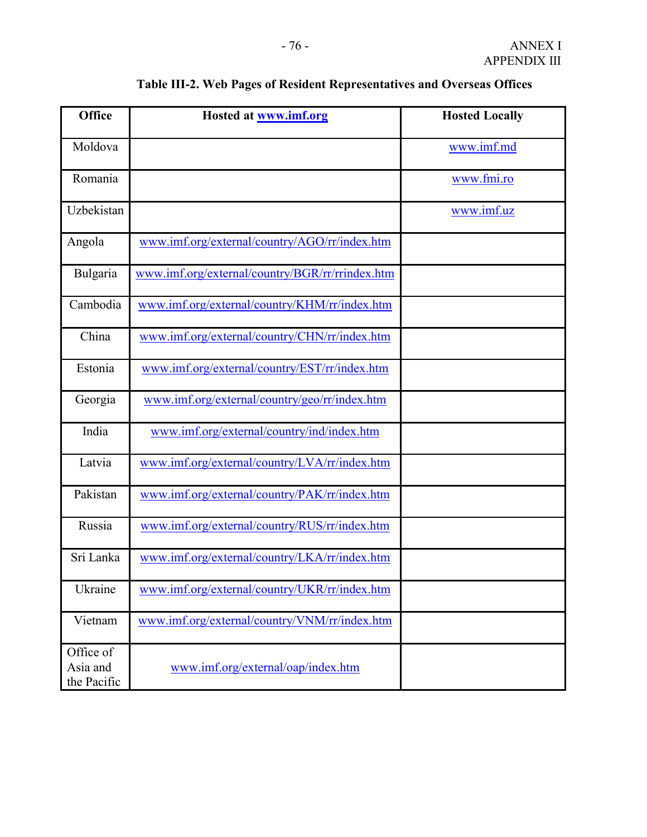| <b>Office</b>                        | <b>Hosted at www.imf.org</b>                    | <b>Hosted Locally</b> |
|--------------------------------------|-------------------------------------------------|-----------------------|
| Moldova                              |                                                 | www.imf.md            |
| Romania                              |                                                 | www.fmi.ro            |
| Uzbekistan                           |                                                 | www.imf.uz            |
| Angola                               | www.imf.org/external/country/AGO/rr/index.htm   |                       |
| Bulgaria                             | www.imf.org/external/country/BGR/rr/rrindex.htm |                       |
| Cambodia                             | www.imf.org/external/country/KHM/rr/index.htm   |                       |
| China                                | www.imf.org/external/country/CHN/rr/index.htm   |                       |
| Estonia                              | www.imf.org/external/country/EST/rr/index.htm   |                       |
| Georgia                              | www.imf.org/external/country/geo/rr/index.htm   |                       |
| India                                | www.imf.org/external/country/ind/index.htm      |                       |
| Latvia                               | www.imf.org/external/country/LVA/rr/index.htm   |                       |
| Pakistan                             | www.imf.org/external/country/PAK/rr/index.htm   |                       |
| Russia                               | www.imf.org/external/country/RUS/rr/index.htm   |                       |
| Sri Lanka                            | www.imf.org/external/country/LKA/rr/index.htm   |                       |
| Ukraine                              | www.imf.org/external/country/UKR/rr/index.htm   |                       |
| Vietnam                              | www.imf.org/external/country/VNM/rr/index.htm   |                       |
| Office of<br>Asia and<br>the Pacific | www.imf.org/external/oap/index.htm              |                       |

# **Table III-2. Web Pages of Resident Representatives and Overseas Offices**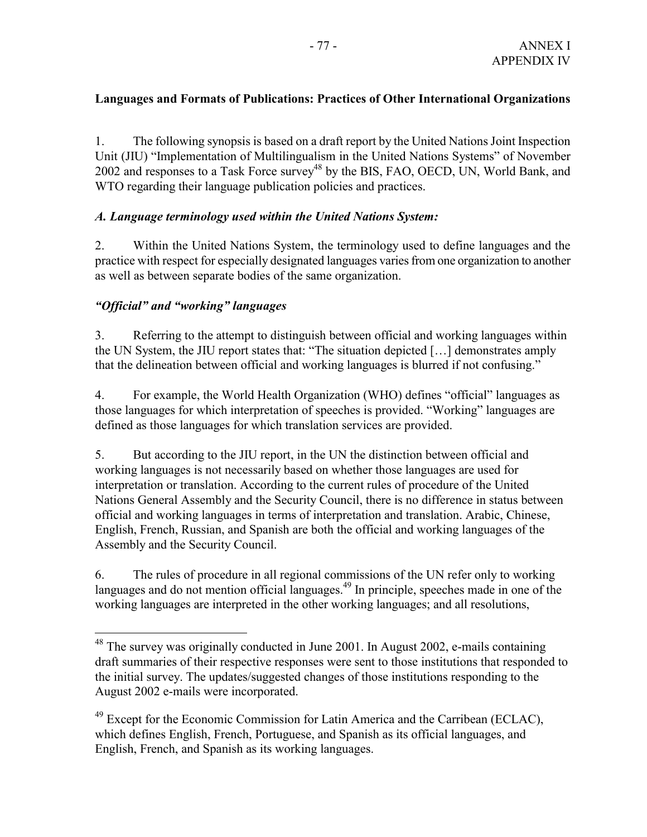# **Languages and Formats of Publications: Practices of Other International Organizations**

1. The following synopsis is based on a draft report by the United Nations Joint Inspection Unit (JIU) "Implementation of Multilingualism in the United Nations Systems" of November 2002 and responses to a Task Force survey<sup>48</sup> by the BIS, FAO, OECD, UN, World Bank, and WTO regarding their language publication policies and practices.

# *A. Language terminology used within the United Nations System:*

2. Within the United Nations System, the terminology used to define languages and the practice with respect for especially designated languages varies from one organization to another as well as between separate bodies of the same organization.

# *"Official" and "working" languages*

 $\overline{a}$ 

3. Referring to the attempt to distinguish between official and working languages within the UN System, the JIU report states that: "The situation depicted […] demonstrates amply that the delineation between official and working languages is blurred if not confusing."

4. For example, the World Health Organization (WHO) defines "official" languages as those languages for which interpretation of speeches is provided. "Working" languages are defined as those languages for which translation services are provided.

5. But according to the JIU report, in the UN the distinction between official and working languages is not necessarily based on whether those languages are used for interpretation or translation. According to the current rules of procedure of the United Nations General Assembly and the Security Council, there is no difference in status between official and working languages in terms of interpretation and translation. Arabic, Chinese, English, French, Russian, and Spanish are both the official and working languages of the Assembly and the Security Council.

6. The rules of procedure in all regional commissions of the UN refer only to working languages and do not mention official languages.<sup>49</sup> In principle, speeches made in one of the working languages are interpreted in the other working languages; and all resolutions,

<sup>&</sup>lt;sup>48</sup> The survey was originally conducted in June 2001. In August 2002, e-mails containing draft summaries of their respective responses were sent to those institutions that responded to the initial survey. The updates/suggested changes of those institutions responding to the August 2002 e-mails were incorporated.

 $49$  Except for the Economic Commission for Latin America and the Carribean (ECLAC), which defines English, French, Portuguese, and Spanish as its official languages, and English, French, and Spanish as its working languages.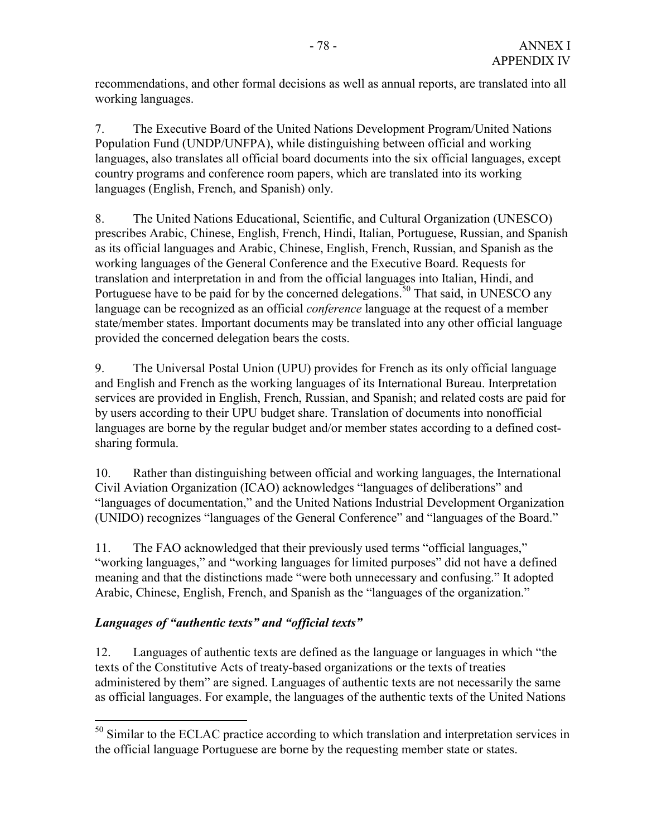recommendations, and other formal decisions as well as annual reports, are translated into all working languages.

7. The Executive Board of the United Nations Development Program/United Nations Population Fund (UNDP/UNFPA), while distinguishing between official and working languages, also translates all official board documents into the six official languages, except country programs and conference room papers, which are translated into its working languages (English, French, and Spanish) only.

8. The United Nations Educational, Scientific, and Cultural Organization (UNESCO) prescribes Arabic, Chinese, English, French, Hindi, Italian, Portuguese, Russian, and Spanish as its official languages and Arabic, Chinese, English, French, Russian, and Spanish as the working languages of the General Conference and the Executive Board. Requests for translation and interpretation in and from the official languages into Italian, Hindi, and Portuguese have to be paid for by the concerned delegations.<sup>50</sup> That said, in UNESCO any language can be recognized as an official *conference* language at the request of a member state/member states. Important documents may be translated into any other official language provided the concerned delegation bears the costs.

9. The Universal Postal Union (UPU) provides for French as its only official language and English and French as the working languages of its International Bureau. Interpretation services are provided in English, French, Russian, and Spanish; and related costs are paid for by users according to their UPU budget share. Translation of documents into nonofficial languages are borne by the regular budget and/or member states according to a defined costsharing formula.

10. Rather than distinguishing between official and working languages, the International Civil Aviation Organization (ICAO) acknowledges "languages of deliberations" and "languages of documentation," and the United Nations Industrial Development Organization (UNIDO) recognizes "languages of the General Conference" and "languages of the Board."

11. The FAO acknowledged that their previously used terms "official languages," "working languages," and "working languages for limited purposes" did not have a defined meaning and that the distinctions made "were both unnecessary and confusing." It adopted Arabic, Chinese, English, French, and Spanish as the "languages of the organization."

# *Languages of "authentic texts" and "official texts"*

 $\overline{a}$ 

12. Languages of authentic texts are defined as the language or languages in which "the texts of the Constitutive Acts of treaty-based organizations or the texts of treaties administered by them" are signed. Languages of authentic texts are not necessarily the same as official languages. For example, the languages of the authentic texts of the United Nations

<sup>&</sup>lt;sup>50</sup> Similar to the ECLAC practice according to which translation and interpretation services in the official language Portuguese are borne by the requesting member state or states.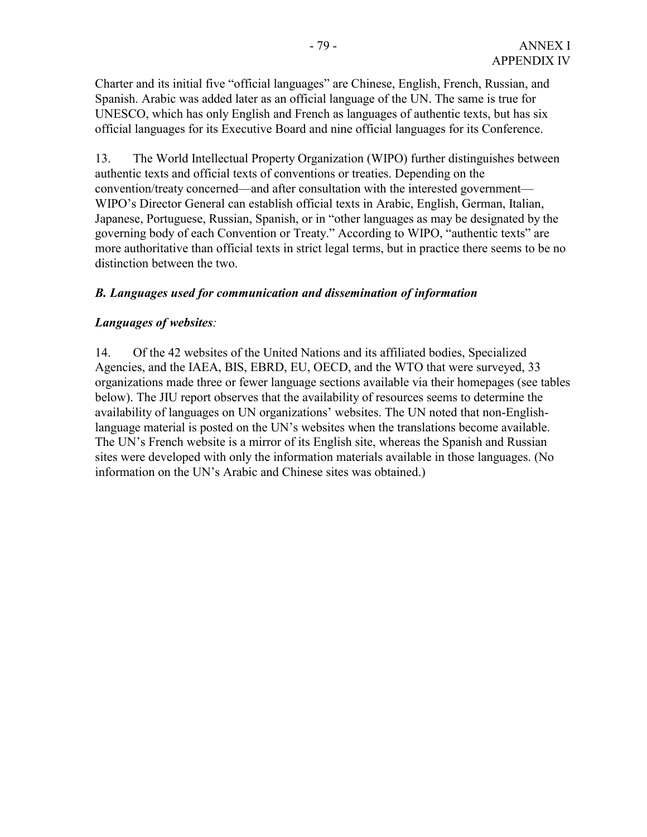Charter and its initial five "official languages" are Chinese, English, French, Russian, and Spanish. Arabic was added later as an official language of the UN. The same is true for UNESCO, which has only English and French as languages of authentic texts, but has six official languages for its Executive Board and nine official languages for its Conference.

13. The World Intellectual Property Organization (WIPO) further distinguishes between authentic texts and official texts of conventions or treaties. Depending on the convention/treaty concerned—and after consultation with the interested government— WIPO's Director General can establish official texts in Arabic, English, German, Italian, Japanese, Portuguese, Russian, Spanish, or in "other languages as may be designated by the governing body of each Convention or Treaty." According to WIPO, "authentic texts" are more authoritative than official texts in strict legal terms, but in practice there seems to be no distinction between the two.

# *B. Languages used for communication and dissemination of information*

# *Languages of websites:*

14. Of the 42 websites of the United Nations and its affiliated bodies, Specialized Agencies, and the IAEA, BIS, EBRD, EU, OECD, and the WTO that were surveyed, 33 organizations made three or fewer language sections available via their homepages (see tables below). The JIU report observes that the availability of resources seems to determine the availability of languages on UN organizations' websites. The UN noted that non-Englishlanguage material is posted on the UN's websites when the translations become available. The UN's French website is a mirror of its English site, whereas the Spanish and Russian sites were developed with only the information materials available in those languages. (No information on the UN's Arabic and Chinese sites was obtained.)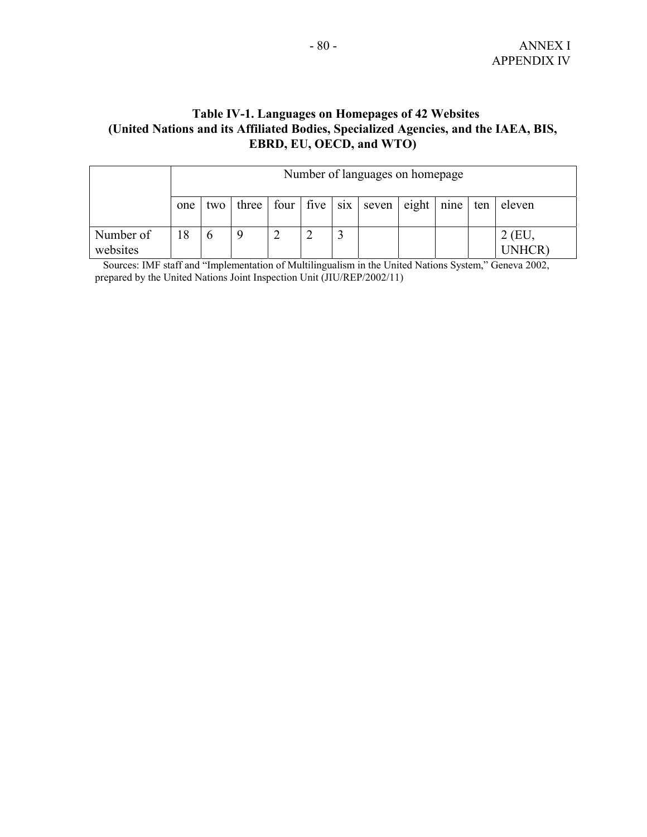# **Table IV-1. Languages on Homepages of 42 Websites (United Nations and its Affiliated Bodies, Specialized Agencies, and the IAEA, BIS, EBRD, EU, OECD, and WTO)**

|                       |     | Number of languages on homepage |       |  |                                       |  |       |        |      |     |               |
|-----------------------|-----|---------------------------------|-------|--|---------------------------------------|--|-------|--------|------|-----|---------------|
|                       | one | two                             | three |  | four $\vert$ five $\vert$ six $\vert$ |  | seven | eighth | nine | ten | eleven        |
| Number of<br>websites | 8   | O                               |       |  |                                       |  |       |        |      |     | (EU<br>JNHCR) |

 Sources: IMF staff and "Implementation of Multilingualism in the United Nations System," Geneva 2002, prepared by the United Nations Joint Inspection Unit (JIU/REP/2002/11)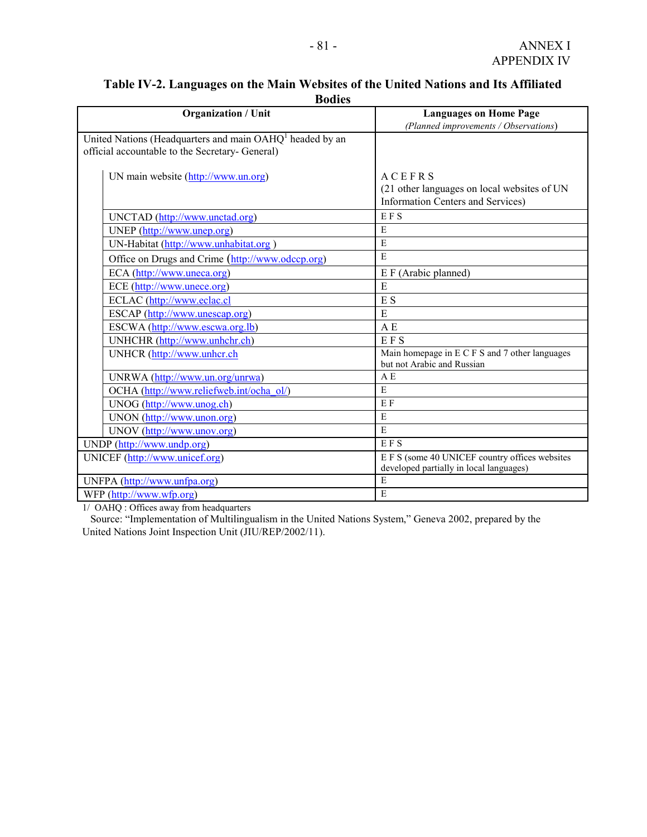| Duuts                                                                |                                                |  |  |  |  |  |  |
|----------------------------------------------------------------------|------------------------------------------------|--|--|--|--|--|--|
| <b>Organization / Unit</b>                                           | <b>Languages on Home Page</b>                  |  |  |  |  |  |  |
|                                                                      | (Planned improvements / Observations)          |  |  |  |  |  |  |
| United Nations (Headquarters and main OAHQ <sup>1</sup> headed by an |                                                |  |  |  |  |  |  |
| official accountable to the Secretary- General)                      |                                                |  |  |  |  |  |  |
|                                                                      |                                                |  |  |  |  |  |  |
| UN main website (http://www.un.org)                                  | <b>ACEFRS</b>                                  |  |  |  |  |  |  |
|                                                                      | (21 other languages on local websites of UN    |  |  |  |  |  |  |
|                                                                      | <b>Information Centers and Services)</b>       |  |  |  |  |  |  |
| UNCTAD (http://www.unctad.org)                                       | EFS                                            |  |  |  |  |  |  |
| UNEP (http://www.unep.org)                                           | E                                              |  |  |  |  |  |  |
| UN-Habitat (http://www.unhabitat.org)                                | E                                              |  |  |  |  |  |  |
| Office on Drugs and Crime (http://www.odccp.org)                     | E                                              |  |  |  |  |  |  |
| ECA (http://www.uneca.org)                                           | E F (Arabic planned)                           |  |  |  |  |  |  |
| ECE (http://www.unece.org)                                           | E                                              |  |  |  |  |  |  |
| ECLAC (http://www.eclac.cl                                           | E <sub>S</sub>                                 |  |  |  |  |  |  |
| ESCAP (http://www.unescap.org)                                       | E                                              |  |  |  |  |  |  |
| ESCWA (http://www.escwa.org.lb)                                      | A E                                            |  |  |  |  |  |  |
| UNHCHR (http://www.unhchr.ch)                                        | <b>EFS</b>                                     |  |  |  |  |  |  |
| UNHCR (http://www.unhcr.ch                                           | Main homepage in E C F S and 7 other languages |  |  |  |  |  |  |
|                                                                      | but not Arabic and Russian                     |  |  |  |  |  |  |
| UNRWA (http://www.un.org/unrwa)                                      | A E                                            |  |  |  |  |  |  |
| OCHA (http://www.reliefweb.int/ocha_ol/)                             | E                                              |  |  |  |  |  |  |
| UNOG (http://www.unog.ch)                                            | E F                                            |  |  |  |  |  |  |
| UNON (http://www.unon.org)                                           | E                                              |  |  |  |  |  |  |
| UNOV (http://www.unov.org)                                           | E                                              |  |  |  |  |  |  |
| UNDP (http://www.undp.org)                                           | <b>EFS</b>                                     |  |  |  |  |  |  |
| UNICEF (http://www.unicef.org)                                       | E F S (some 40 UNICEF country offices websites |  |  |  |  |  |  |
|                                                                      | developed partially in local languages)        |  |  |  |  |  |  |
| UNFPA (http://www.unfpa.org)                                         | E                                              |  |  |  |  |  |  |
| WFP (http://www.wfp.org)                                             | E                                              |  |  |  |  |  |  |

### **Table IV-2. Languages on the Main Websites of the United Nations and Its Affiliated Bodies**

1/ OAHQ : Offices away from headquarters

 Source: "Implementation of Multilingualism in the United Nations System," Geneva 2002, prepared by the United Nations Joint Inspection Unit (JIU/REP/2002/11).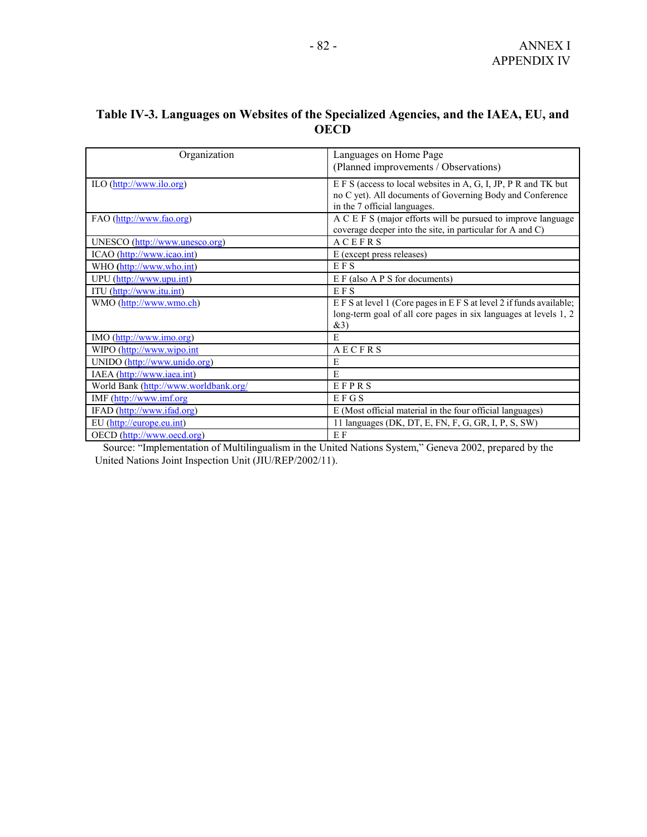# **Table IV-3. Languages on Websites of the Specialized Agencies, and the IAEA, EU, and OECD**

| Organization                          | Languages on Home Page                                           |
|---------------------------------------|------------------------------------------------------------------|
|                                       | (Planned improvements / Observations)                            |
|                                       |                                                                  |
| ILO (http://www.ilo.org)              | E F S (access to local websites in A, G, I, JP, P R and TK but   |
|                                       | no C yet). All documents of Governing Body and Conference        |
|                                       | in the 7 official languages.                                     |
| FAO (http://www.fao.org)              | A C E F S (major efforts will be pursued to improve language     |
|                                       | coverage deeper into the site, in particular for A and C)        |
| UNESCO (http://www.unesco.org)        | <b>ACEFRS</b>                                                    |
| ICAO (http://www.icao.int)            | E (except press releases)                                        |
| WHO (http://www.who.int)              | <b>EFS</b>                                                       |
| UPU (http://www.upu.int)              | $E F$ (also A P S for documents)                                 |
| ITU (http://www.itu.int)              | <b>EFS</b>                                                       |
| WMO (http://www.wmo.ch)               | EFS at level 1 (Core pages in EFS at level 2 if funds available; |
|                                       | long-term goal of all core pages in six languages at levels 1, 2 |
|                                       | &3)                                                              |
| IMO (http://www.imo.org)              | E                                                                |
| WIPO (http://www.wipo.int             | AECFRS                                                           |
| UNIDO (http://www.unido.org)          | E                                                                |
| IAEA (http://www.iaea.int)            | E                                                                |
| World Bank (http://www.worldbank.org/ | EFPRS                                                            |
| IMF (http://www.imf.org               | EFGS                                                             |
| IFAD (http://www.ifad.org)            | E (Most official material in the four official languages)        |
| EU (http://europe.eu.int)             | 11 languages (DK, DT, E, FN, F, G, GR, I, P, S, SW)              |
| OECD (http://www.oecd.org)            | E F                                                              |

 Source: "Implementation of Multilingualism in the United Nations System," Geneva 2002, prepared by the United Nations Joint Inspection Unit (JIU/REP/2002/11).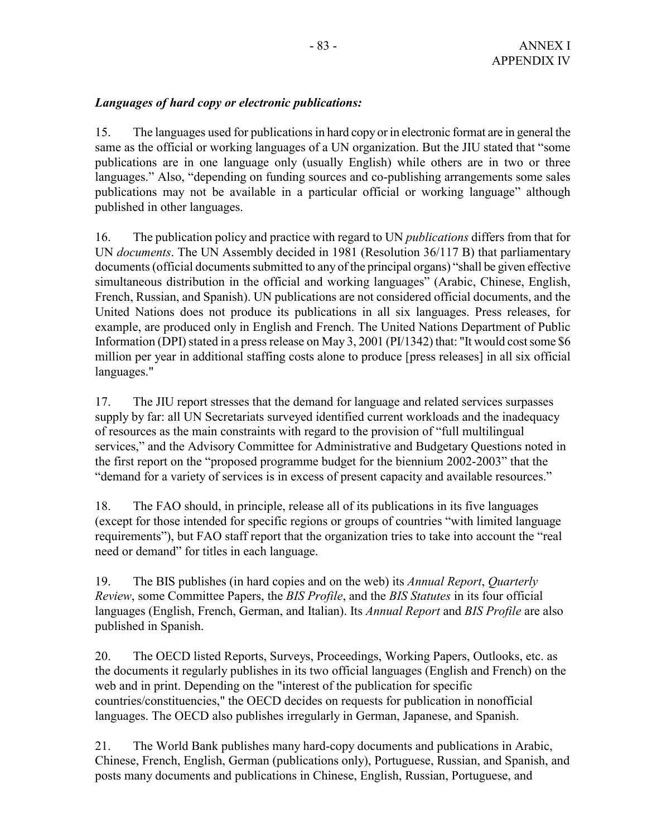# *Languages of hard copy or electronic publications:*

15. The languages used for publications in hard copy or in electronic format are in general the same as the official or working languages of a UN organization. But the JIU stated that "some publications are in one language only (usually English) while others are in two or three languages." Also, "depending on funding sources and co-publishing arrangements some sales publications may not be available in a particular official or working language" although published in other languages.

16. The publication policy and practice with regard to UN *publications* differs from that for UN *documents*. The UN Assembly decided in 1981 (Resolution 36/117 B) that parliamentary documents (official documents submitted to any of the principal organs) "shall be given effective simultaneous distribution in the official and working languages" (Arabic, Chinese, English, French, Russian, and Spanish). UN publications are not considered official documents, and the United Nations does not produce its publications in all six languages. Press releases, for example, are produced only in English and French. The United Nations Department of Public Information (DPI) stated in a press release on May 3, 2001 (PI/1342) that: "It would cost some \$6 million per year in additional staffing costs alone to produce [press releases] in all six official languages."

17. The JIU report stresses that the demand for language and related services surpasses supply by far: all UN Secretariats surveyed identified current workloads and the inadequacy of resources as the main constraints with regard to the provision of "full multilingual services," and the Advisory Committee for Administrative and Budgetary Questions noted in the first report on the "proposed programme budget for the biennium 2002-2003" that the "demand for a variety of services is in excess of present capacity and available resources."

18. The FAO should, in principle, release all of its publications in its five languages (except for those intended for specific regions or groups of countries "with limited language requirements"), but FAO staff report that the organization tries to take into account the "real need or demand" for titles in each language.

19. The BIS publishes (in hard copies and on the web) its *Annual Report*, *Quarterly Review*, some Committee Papers, the *BIS Profile*, and the *BIS Statutes* in its four official languages (English, French, German, and Italian). Its *Annual Report* and *BIS Profile* are also published in Spanish.

20. The OECD listed Reports, Surveys, Proceedings, Working Papers, Outlooks, etc. as the documents it regularly publishes in its two official languages (English and French) on the web and in print. Depending on the "interest of the publication for specific countries/constituencies," the OECD decides on requests for publication in nonofficial languages. The OECD also publishes irregularly in German, Japanese, and Spanish.

21. The World Bank publishes many hard-copy documents and publications in Arabic, Chinese, French, English, German (publications only), Portuguese, Russian, and Spanish, and posts many documents and publications in Chinese, English, Russian, Portuguese, and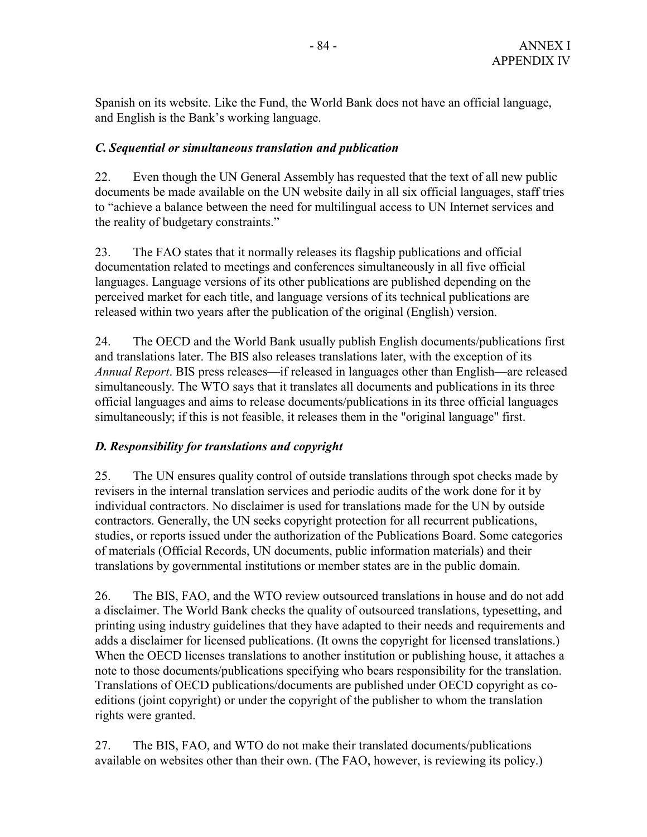Spanish on its website. Like the Fund, the World Bank does not have an official language, and English is the Bank's working language.

# *C. Sequential or simultaneous translation and publication*

22. Even though the UN General Assembly has requested that the text of all new public documents be made available on the UN website daily in all six official languages, staff tries to "achieve a balance between the need for multilingual access to UN Internet services and the reality of budgetary constraints."

23. The FAO states that it normally releases its flagship publications and official documentation related to meetings and conferences simultaneously in all five official languages. Language versions of its other publications are published depending on the perceived market for each title, and language versions of its technical publications are released within two years after the publication of the original (English) version.

24. The OECD and the World Bank usually publish English documents/publications first and translations later. The BIS also releases translations later, with the exception of its *Annual Report*. BIS press releases—if released in languages other than English—are released simultaneously. The WTO says that it translates all documents and publications in its three official languages and aims to release documents/publications in its three official languages simultaneously; if this is not feasible, it releases them in the "original language" first.

# *D. Responsibility for translations and copyright*

25. The UN ensures quality control of outside translations through spot checks made by revisers in the internal translation services and periodic audits of the work done for it by individual contractors. No disclaimer is used for translations made for the UN by outside contractors. Generally, the UN seeks copyright protection for all recurrent publications, studies, or reports issued under the authorization of the Publications Board. Some categories of materials (Official Records, UN documents, public information materials) and their translations by governmental institutions or member states are in the public domain.

26. The BIS, FAO, and the WTO review outsourced translations in house and do not add a disclaimer. The World Bank checks the quality of outsourced translations, typesetting, and printing using industry guidelines that they have adapted to their needs and requirements and adds a disclaimer for licensed publications. (It owns the copyright for licensed translations.) When the OECD licenses translations to another institution or publishing house, it attaches a note to those documents/publications specifying who bears responsibility for the translation. Translations of OECD publications/documents are published under OECD copyright as coeditions (joint copyright) or under the copyright of the publisher to whom the translation rights were granted.

27. The BIS, FAO, and WTO do not make their translated documents/publications available on websites other than their own. (The FAO, however, is reviewing its policy.)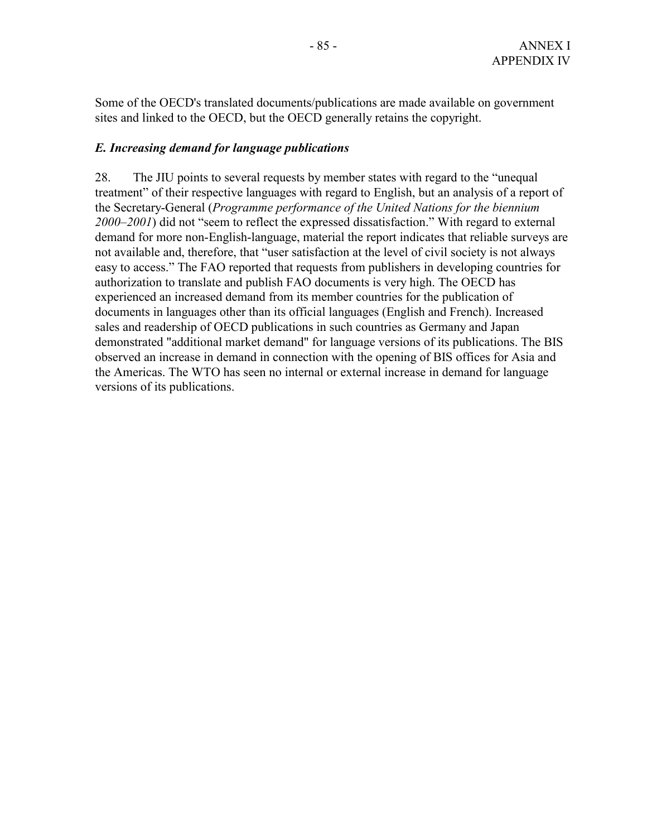Some of the OECD's translated documents/publications are made available on government sites and linked to the OECD, but the OECD generally retains the copyright.

#### *E. Increasing demand for language publications*

28. The JIU points to several requests by member states with regard to the "unequal treatment" of their respective languages with regard to English, but an analysis of a report of the Secretary-General (*Programme performance of the United Nations for the biennium 2000–2001*) did not "seem to reflect the expressed dissatisfaction." With regard to external demand for more non-English-language, material the report indicates that reliable surveys are not available and, therefore, that "user satisfaction at the level of civil society is not always easy to access." The FAO reported that requests from publishers in developing countries for authorization to translate and publish FAO documents is very high. The OECD has experienced an increased demand from its member countries for the publication of documents in languages other than its official languages (English and French). Increased sales and readership of OECD publications in such countries as Germany and Japan demonstrated "additional market demand" for language versions of its publications. The BIS observed an increase in demand in connection with the opening of BIS offices for Asia and the Americas. The WTO has seen no internal or external increase in demand for language versions of its publications.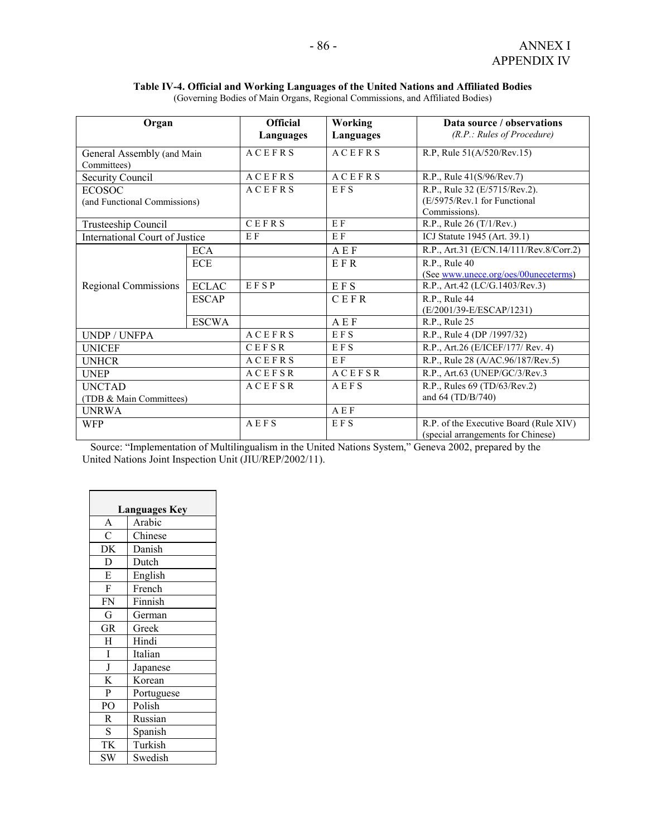**Table IV-4. Official and Working Languages of the United Nations and Affiliated Bodies**  (Governing Bodies of Main Organs, Regional Commissions, and Affiliated Bodies)

| Organ                                 |              | <b>Official</b> | Working       | Data source / observations              |
|---------------------------------------|--------------|-----------------|---------------|-----------------------------------------|
|                                       |              | Languages       | Languages     | (R.P.: Rules of Procedure)              |
| General Assembly (and Main            |              | <b>ACEFRS</b>   | <b>ACEFRS</b> | R.P, Rule 51(A/520/Rev.15)              |
| Committees)                           |              |                 |               |                                         |
| Security Council                      |              | ACEFRS          | <b>ACEFRS</b> | R.P., Rule 41(S/96/Rev.7)               |
| <b>ECOSOC</b>                         |              | <b>ACEFRS</b>   | EFS           | R.P., Rule 32 (E/5715/Rev.2).           |
| (and Functional Commissions)          |              |                 |               | (E/5975/Rev.1 for Functional            |
|                                       |              |                 |               | Commissions).                           |
| Trusteeship Council                   |              | CEFRS           | $E$ F         | R.P., Rule $26(T/1/Rev.)$               |
| <b>International Court of Justice</b> |              | E F             | E F           | ICJ Statute 1945 (Art. 39.1)            |
|                                       | <b>ECA</b>   |                 | A E F         | R.P., Art.31 (E/CN.14/111/Rev.8/Corr.2) |
|                                       | <b>ECE</b>   |                 | EFR           | R.P., Rule 40                           |
|                                       |              |                 |               | (See www.unece.org/oes/00uneceterms)    |
| <b>Regional Commissions</b>           | <b>ECLAC</b> | EFSP            | $E F S$       | R.P., Art.42 (LC/G.1403/Rev.3)          |
|                                       | <b>ESCAP</b> |                 | CEFR          | R.P., Rule 44                           |
|                                       |              |                 |               | (E/2001/39-E/ESCAP/1231)                |
|                                       | <b>ESCWA</b> |                 | AEF           | R.P., Rule 25                           |
| <b>UNDP / UNFPA</b>                   |              | ACEFRS          | <b>EFS</b>    | R.P., Rule 4 (DP /1997/32)              |
| <b>UNICEF</b>                         |              | <b>CEFSR</b>    | EFS           | R.P., Art.26 (E/ICEF/177/ Rev. 4)       |
| <b>UNHCR</b>                          |              |                 | E F           | R.P., Rule 28 (A/AC.96/187/Rev.5)       |
| <b>UNEP</b>                           |              | <b>ACEFSR</b>   | <b>ACEFSR</b> | R.P., Art.63 (UNEP/GC/3/Rev.3)          |
| <b>UNCTAD</b>                         |              | ACEFSR          | AEFS          | R.P., Rules 69 (TD/63/Rev.2)            |
| (TDB & Main Committees)               |              |                 |               | and 64 (TD/B/740)                       |
| <b>UNRWA</b>                          |              |                 | AEF           |                                         |
| <b>WFP</b>                            |              | AEFS            | EFS           | R.P. of the Executive Board (Rule XIV)  |
|                                       |              |                 |               | (special arrangements for Chinese)      |

 Source: "Implementation of Multilingualism in the United Nations System," Geneva 2002, prepared by the United Nations Joint Inspection Unit (JIU/REP/2002/11).

| <b>Languages Key</b> |            |  |  |  |  |
|----------------------|------------|--|--|--|--|
| A                    | Arabic     |  |  |  |  |
| $\overline{C}$       | Chinese    |  |  |  |  |
| DK                   | Danish     |  |  |  |  |
| D                    | Dutch      |  |  |  |  |
| E                    | English    |  |  |  |  |
| $\mathbf{F}$         | French     |  |  |  |  |
| <b>FN</b>            | Finnish    |  |  |  |  |
| G                    | German     |  |  |  |  |
| <b>GR</b>            | Greek      |  |  |  |  |
| H                    | Hindi      |  |  |  |  |
| I                    | Italian    |  |  |  |  |
| $\mathbf J$          | Japanese   |  |  |  |  |
| K                    | Korean     |  |  |  |  |
| P                    | Portuguese |  |  |  |  |
| PO                   | Polish     |  |  |  |  |
| R                    | Russian    |  |  |  |  |
| S                    | Spanish    |  |  |  |  |
| TK                   | Turkish    |  |  |  |  |
| <b>SW</b>            | Swedish    |  |  |  |  |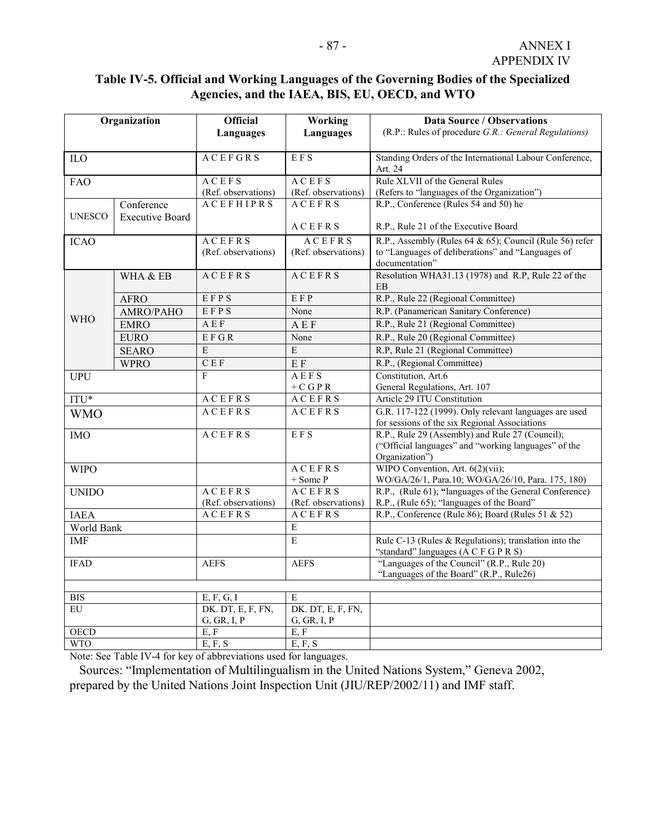# **Table IV-5. Official and Working Languages of the Governing Bodies of the Specialized Agencies, and the IAEA, BIS, EU, OECD, and WTO**

| Organization    |                        | <b>Official</b>     | Working             | <b>Data Source / Observations</b>                       |
|-----------------|------------------------|---------------------|---------------------|---------------------------------------------------------|
|                 |                        | Languages           | <b>Languages</b>    | (R.P.: Rules of procedure G.R.: General Regulations)    |
|                 |                        |                     |                     |                                                         |
| ILO             |                        | <b>ACEFGRS</b>      | <b>EFS</b>          | Standing Orders of the International Labour Conference, |
|                 |                        |                     |                     | Art. 24                                                 |
| <b>FAO</b>      |                        | ACEFS               | <b>ACEFS</b>        | Rule XLVII of the General Rules                         |
|                 |                        | (Ref. observations) | (Ref. observations) | (Refers to "languages of the Organization")             |
|                 | Conference             | <b>ACEFHIPRS</b>    | <b>ACEFRS</b>       | R.P., Conference (Rules 54 and 50) he                   |
| <b>UNESCO</b>   | <b>Executive Board</b> |                     |                     |                                                         |
|                 |                        |                     | ACEFRS              | R.P., Rule 21 of the Executive Board                    |
| <b>ICAO</b>     |                        | <b>ACEFRS</b>       | <b>ACEFRS</b>       | R.P., Assembly (Rules 64 & 65); Council (Rule 56) refer |
|                 |                        | (Ref. observations) | (Ref. observations) | to "Languages of deliberations" and "Languages of       |
|                 |                        |                     |                     | documentation"                                          |
|                 | WHA & EB               | <b>ACEFRS</b>       | <b>ACEFRS</b>       | Resolution WHA31.13 (1978) and R.P. Rule 22 of the      |
|                 |                        |                     |                     | $\rm EB$                                                |
|                 | <b>AFRO</b>            | EFPS                | EFP                 | R.P., Rule 22 (Regional Committee)                      |
| <b>WHO</b>      | AMRO/PAHO              | EFPS                | None                | R.P. (Panamerican Sanitary Conference)                  |
|                 | <b>EMRO</b>            | A E F               | <b>AEF</b>          | R.P., Rule 21 (Regional Committee)                      |
|                 | <b>EURO</b>            | EFGR                | None                | R.P., Rule 20 (Regional Committee)                      |
|                 | <b>SEARO</b>           | E                   | $\mathbf E$         | R.P, Rule 21 (Regional Committee)                       |
|                 | <b>WPRO</b>            | C E F               | E F                 | R.P., (Regional Committee)                              |
| <b>UPU</b>      |                        | F                   | AEFS                | Constitution, Art.6                                     |
|                 |                        |                     | $+ C G P R$         | General Regulations, Art. 107                           |
| ITU*            |                        | <b>ACEFRS</b>       | <b>ACEFRS</b>       | Article 29 ITU Constitution                             |
| <b>WMO</b>      |                        | <b>ACEFRS</b>       | <b>ACEFRS</b>       | G.R. 117-122 (1999). Only relevant languages are used   |
|                 |                        |                     |                     | for sessions of the six Regional Associations           |
| <b>IMO</b>      |                        | <b>ACEFRS</b>       | <b>EFS</b>          | R.P., Rule 29 (Assembly) and Rule 27 (Council);         |
|                 |                        |                     |                     | ("Official languages" and "working languages" of the    |
|                 |                        |                     | <b>ACEFRS</b>       | Organization")<br>WIPO Convention, Art. $6(2)$ (vii);   |
| <b>WIPO</b>     |                        |                     | + Some P            | WO/GA/26/1, Para.10; WO/GA/26/10, Para. 175, 180)       |
| <b>UNIDO</b>    |                        | <b>ACEFRS</b>       | <b>ACEFRS</b>       | R.P., (Rule 61); "languages of the General Conference)  |
|                 |                        | (Ref. observations) | (Ref. observations) | R.P., (Rule 65); "languages of the Board"               |
| <b>IAEA</b>     |                        | <b>ACEFRS</b>       | <b>ACEFRS</b>       | R.P., Conference (Rule 86); Board (Rules 51 & 52)       |
| World Bank      |                        |                     | Ε                   |                                                         |
| <b>IMF</b>      |                        |                     | $\overline{E}$      | Rule C-13 (Rules & Regulations); translation into the   |
|                 |                        |                     |                     | "standard" languages (A C F G P R S)                    |
| <b>IFAD</b>     |                        | <b>AEFS</b>         | <b>AEFS</b>         | "Languages of the Council" (R.P., Rule 20)              |
|                 |                        |                     |                     | "Languages of the Board" (R.P., Rule26)                 |
|                 |                        |                     |                     |                                                         |
| <b>BIS</b>      |                        | E, F, G, I          | E                   |                                                         |
| $\overline{EU}$ |                        | DK. DT, E, F, FN,   | DK. DT, E, F, FN,   |                                                         |
|                 |                        | G, GR, I, P         | G, GR, I, P         |                                                         |
| <b>OECD</b>     |                        | E, F                | E, F                |                                                         |
| <b>WTO</b>      |                        | E, F, S             | E, F, S             |                                                         |

Note: See Table IV-4 for key of abbreviations used for languages.

 Sources: "Implementation of Multilingualism in the United Nations System," Geneva 2002, prepared by the United Nations Joint Inspection Unit (JIU/REP/2002/11) and IMF staff.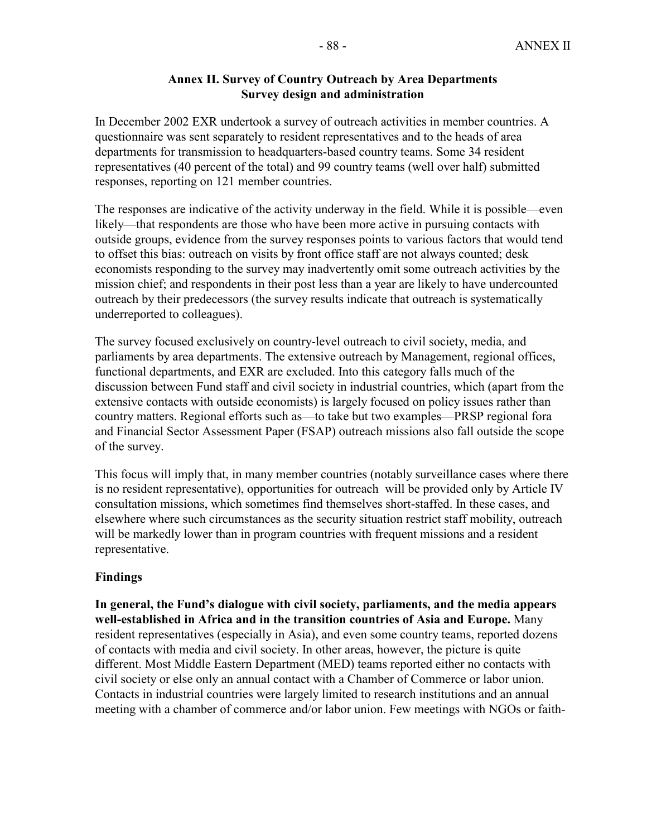#### **Annex II. Survey of Country Outreach by Area Departments Survey design and administration**

In December 2002 EXR undertook a survey of outreach activities in member countries. A questionnaire was sent separately to resident representatives and to the heads of area departments for transmission to headquarters-based country teams. Some 34 resident representatives (40 percent of the total) and 99 country teams (well over half) submitted responses, reporting on 121 member countries.

The responses are indicative of the activity underway in the field. While it is possible—even likely—that respondents are those who have been more active in pursuing contacts with outside groups, evidence from the survey responses points to various factors that would tend to offset this bias: outreach on visits by front office staff are not always counted; desk economists responding to the survey may inadvertently omit some outreach activities by the mission chief; and respondents in their post less than a year are likely to have undercounted outreach by their predecessors (the survey results indicate that outreach is systematically underreported to colleagues).

The survey focused exclusively on country-level outreach to civil society, media, and parliaments by area departments. The extensive outreach by Management, regional offices, functional departments, and EXR are excluded. Into this category falls much of the discussion between Fund staff and civil society in industrial countries, which (apart from the extensive contacts with outside economists) is largely focused on policy issues rather than country matters. Regional efforts such as—to take but two examples—PRSP regional fora and Financial Sector Assessment Paper (FSAP) outreach missions also fall outside the scope of the survey.

This focus will imply that, in many member countries (notably surveillance cases where there is no resident representative), opportunities for outreach will be provided only by Article IV consultation missions, which sometimes find themselves short-staffed. In these cases, and elsewhere where such circumstances as the security situation restrict staff mobility, outreach will be markedly lower than in program countries with frequent missions and a resident representative.

#### **Findings**

**In general, the Fund's dialogue with civil society, parliaments, and the media appears well-established in Africa and in the transition countries of Asia and Europe.** Many resident representatives (especially in Asia), and even some country teams, reported dozens of contacts with media and civil society. In other areas, however, the picture is quite different. Most Middle Eastern Department (MED) teams reported either no contacts with civil society or else only an annual contact with a Chamber of Commerce or labor union. Contacts in industrial countries were largely limited to research institutions and an annual meeting with a chamber of commerce and/or labor union. Few meetings with NGOs or faith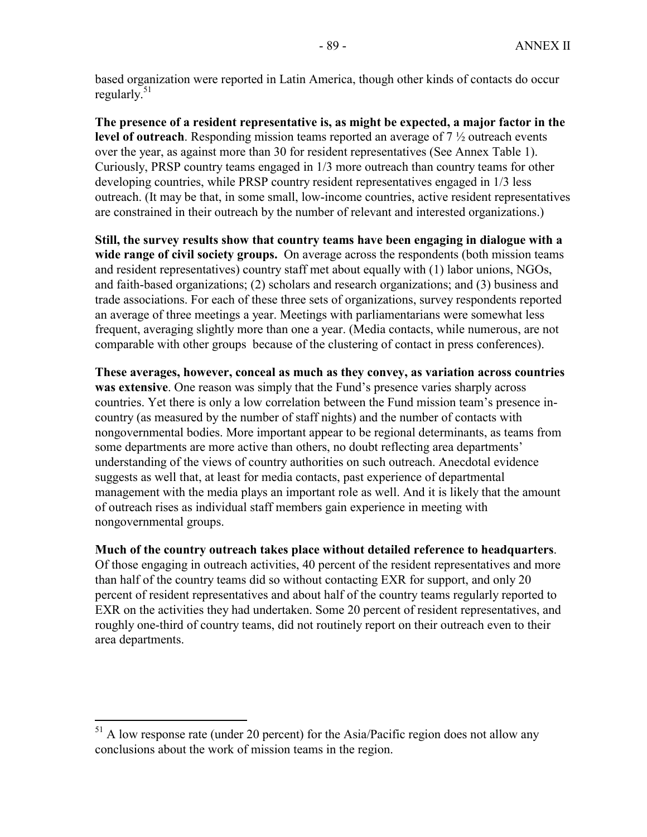based organization were reported in Latin America, though other kinds of contacts do occur regularly. $51$ 

**The presence of a resident representative is, as might be expected, a major factor in the level of outreach**. Responding mission teams reported an average of 7 ½ outreach events over the year, as against more than 30 for resident representatives (See Annex Table 1). Curiously, PRSP country teams engaged in 1/3 more outreach than country teams for other developing countries, while PRSP country resident representatives engaged in 1/3 less outreach. (It may be that, in some small, low-income countries, active resident representatives are constrained in their outreach by the number of relevant and interested organizations.)

**Still, the survey results show that country teams have been engaging in dialogue with a wide range of civil society groups.** On average across the respondents (both mission teams and resident representatives) country staff met about equally with (1) labor unions, NGOs, and faith-based organizations; (2) scholars and research organizations; and (3) business and trade associations. For each of these three sets of organizations, survey respondents reported an average of three meetings a year. Meetings with parliamentarians were somewhat less frequent, averaging slightly more than one a year. (Media contacts, while numerous, are not comparable with other groups because of the clustering of contact in press conferences).

**These averages, however, conceal as much as they convey, as variation across countries was extensive**. One reason was simply that the Fund's presence varies sharply across countries. Yet there is only a low correlation between the Fund mission team's presence incountry (as measured by the number of staff nights) and the number of contacts with nongovernmental bodies. More important appear to be regional determinants, as teams from some departments are more active than others, no doubt reflecting area departments' understanding of the views of country authorities on such outreach. Anecdotal evidence suggests as well that, at least for media contacts, past experience of departmental management with the media plays an important role as well. And it is likely that the amount of outreach rises as individual staff members gain experience in meeting with nongovernmental groups.

**Much of the country outreach takes place without detailed reference to headquarters**.

Of those engaging in outreach activities, 40 percent of the resident representatives and more than half of the country teams did so without contacting EXR for support, and only 20 percent of resident representatives and about half of the country teams regularly reported to EXR on the activities they had undertaken. Some 20 percent of resident representatives, and roughly one-third of country teams, did not routinely report on their outreach even to their area departments.

1

<sup>&</sup>lt;sup>51</sup> A low response rate (under 20 percent) for the Asia/Pacific region does not allow any conclusions about the work of mission teams in the region.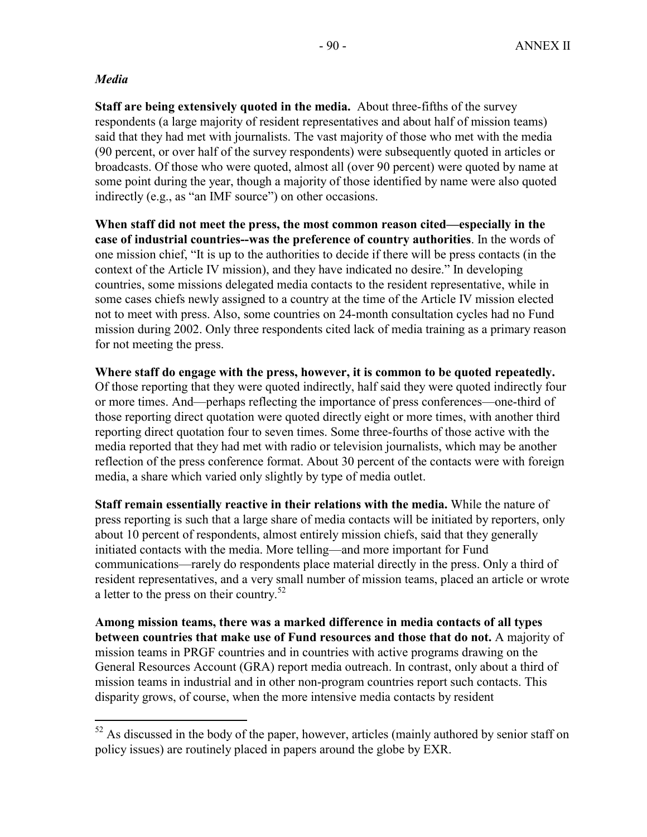# *Media*

 $\overline{a}$ 

**Staff are being extensively quoted in the media.** About three-fifths of the survey respondents (a large majority of resident representatives and about half of mission teams) said that they had met with journalists. The vast majority of those who met with the media (90 percent, or over half of the survey respondents) were subsequently quoted in articles or broadcasts. Of those who were quoted, almost all (over 90 percent) were quoted by name at some point during the year, though a majority of those identified by name were also quoted indirectly (e.g., as "an IMF source") on other occasions.

**When staff did not meet the press, the most common reason cited—especially in the case of industrial countries--was the preference of country authorities**. In the words of one mission chief, "It is up to the authorities to decide if there will be press contacts (in the context of the Article IV mission), and they have indicated no desire." In developing countries, some missions delegated media contacts to the resident representative, while in some cases chiefs newly assigned to a country at the time of the Article IV mission elected not to meet with press. Also, some countries on 24-month consultation cycles had no Fund mission during 2002. Only three respondents cited lack of media training as a primary reason for not meeting the press.

**Where staff do engage with the press, however, it is common to be quoted repeatedly.** Of those reporting that they were quoted indirectly, half said they were quoted indirectly four or more times. And—perhaps reflecting the importance of press conferences—one-third of those reporting direct quotation were quoted directly eight or more times, with another third reporting direct quotation four to seven times. Some three-fourths of those active with the media reported that they had met with radio or television journalists, which may be another reflection of the press conference format. About 30 percent of the contacts were with foreign media, a share which varied only slightly by type of media outlet.

**Staff remain essentially reactive in their relations with the media.** While the nature of press reporting is such that a large share of media contacts will be initiated by reporters, only about 10 percent of respondents, almost entirely mission chiefs, said that they generally initiated contacts with the media. More telling—and more important for Fund communications—rarely do respondents place material directly in the press. Only a third of resident representatives, and a very small number of mission teams, placed an article or wrote a letter to the press on their country.<sup>52</sup>

**Among mission teams, there was a marked difference in media contacts of all types between countries that make use of Fund resources and those that do not.** A majority of mission teams in PRGF countries and in countries with active programs drawing on the General Resources Account (GRA) report media outreach. In contrast, only about a third of mission teams in industrial and in other non-program countries report such contacts. This disparity grows, of course, when the more intensive media contacts by resident

 $52$  As discussed in the body of the paper, however, articles (mainly authored by senior staff on policy issues) are routinely placed in papers around the globe by EXR.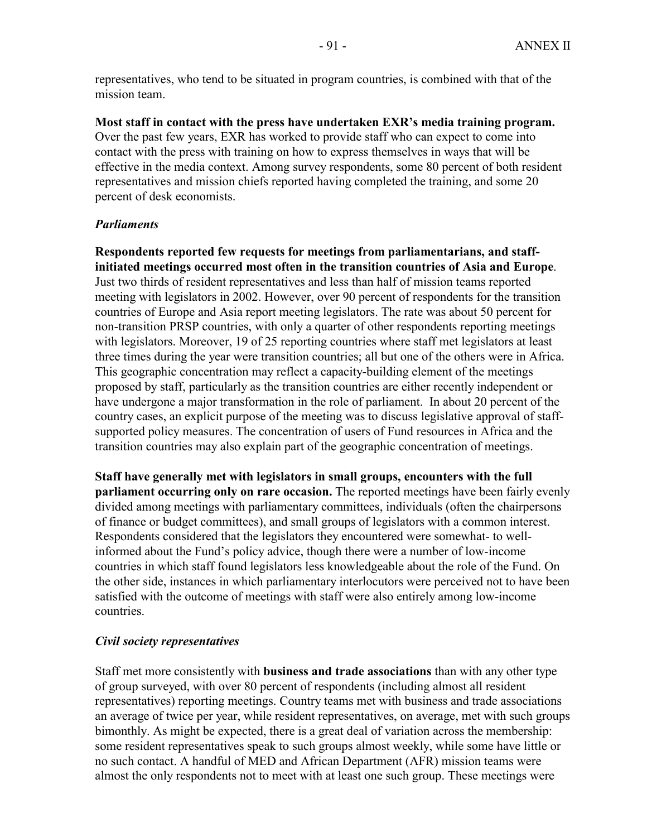representatives, who tend to be situated in program countries, is combined with that of the mission team.

**Most staff in contact with the press have undertaken EXR's media training program.**  Over the past few years, EXR has worked to provide staff who can expect to come into contact with the press with training on how to express themselves in ways that will be effective in the media context. Among survey respondents, some 80 percent of both resident representatives and mission chiefs reported having completed the training, and some 20 percent of desk economists.

### *Parliaments*

**Respondents reported few requests for meetings from parliamentarians, and staffinitiated meetings occurred most often in the transition countries of Asia and Europe**. Just two thirds of resident representatives and less than half of mission teams reported meeting with legislators in 2002. However, over 90 percent of respondents for the transition countries of Europe and Asia report meeting legislators. The rate was about 50 percent for non-transition PRSP countries, with only a quarter of other respondents reporting meetings with legislators. Moreover, 19 of 25 reporting countries where staff met legislators at least three times during the year were transition countries; all but one of the others were in Africa. This geographic concentration may reflect a capacity-building element of the meetings proposed by staff, particularly as the transition countries are either recently independent or have undergone a major transformation in the role of parliament. In about 20 percent of the country cases, an explicit purpose of the meeting was to discuss legislative approval of staffsupported policy measures. The concentration of users of Fund resources in Africa and the transition countries may also explain part of the geographic concentration of meetings.

**Staff have generally met with legislators in small groups, encounters with the full parliament occurring only on rare occasion.** The reported meetings have been fairly evenly divided among meetings with parliamentary committees, individuals (often the chairpersons of finance or budget committees), and small groups of legislators with a common interest. Respondents considered that the legislators they encountered were somewhat- to wellinformed about the Fund's policy advice, though there were a number of low-income countries in which staff found legislators less knowledgeable about the role of the Fund. On the other side, instances in which parliamentary interlocutors were perceived not to have been satisfied with the outcome of meetings with staff were also entirely among low-income countries.

#### *Civil society representatives*

Staff met more consistently with **business and trade associations** than with any other type of group surveyed, with over 80 percent of respondents (including almost all resident representatives) reporting meetings. Country teams met with business and trade associations an average of twice per year, while resident representatives, on average, met with such groups bimonthly. As might be expected, there is a great deal of variation across the membership: some resident representatives speak to such groups almost weekly, while some have little or no such contact. A handful of MED and African Department (AFR) mission teams were almost the only respondents not to meet with at least one such group. These meetings were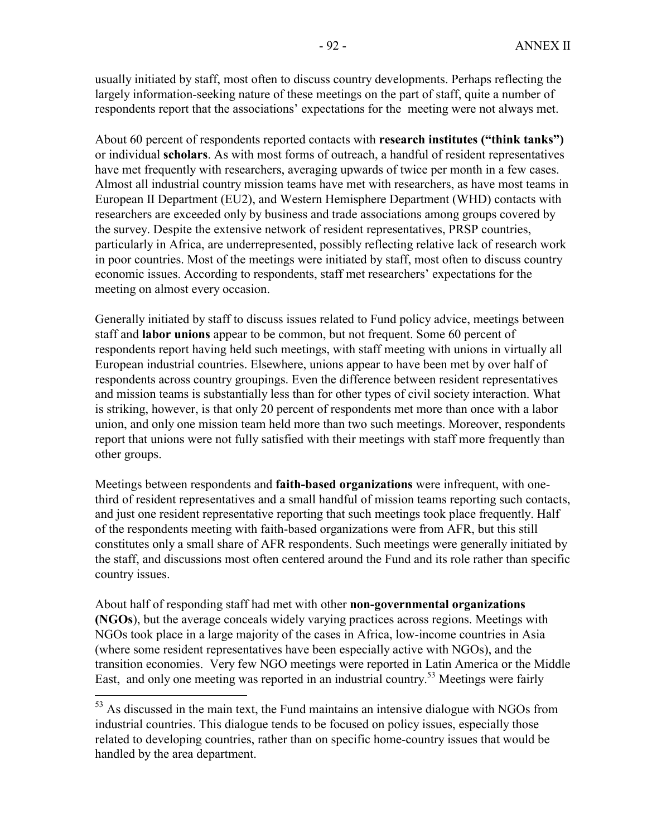usually initiated by staff, most often to discuss country developments. Perhaps reflecting the largely information-seeking nature of these meetings on the part of staff, quite a number of respondents report that the associations' expectations for the meeting were not always met.

About 60 percent of respondents reported contacts with **research institutes ("think tanks")** or individual **scholars**. As with most forms of outreach, a handful of resident representatives have met frequently with researchers, averaging upwards of twice per month in a few cases. Almost all industrial country mission teams have met with researchers, as have most teams in European II Department (EU2), and Western Hemisphere Department (WHD) contacts with researchers are exceeded only by business and trade associations among groups covered by the survey. Despite the extensive network of resident representatives, PRSP countries, particularly in Africa, are underrepresented, possibly reflecting relative lack of research work in poor countries. Most of the meetings were initiated by staff, most often to discuss country economic issues. According to respondents, staff met researchers' expectations for the meeting on almost every occasion.

Generally initiated by staff to discuss issues related to Fund policy advice, meetings between staff and **labor unions** appear to be common, but not frequent. Some 60 percent of respondents report having held such meetings, with staff meeting with unions in virtually all European industrial countries. Elsewhere, unions appear to have been met by over half of respondents across country groupings. Even the difference between resident representatives and mission teams is substantially less than for other types of civil society interaction. What is striking, however, is that only 20 percent of respondents met more than once with a labor union, and only one mission team held more than two such meetings. Moreover, respondents report that unions were not fully satisfied with their meetings with staff more frequently than other groups.

Meetings between respondents and **faith-based organizations** were infrequent, with onethird of resident representatives and a small handful of mission teams reporting such contacts, and just one resident representative reporting that such meetings took place frequently. Half of the respondents meeting with faith-based organizations were from AFR, but this still constitutes only a small share of AFR respondents. Such meetings were generally initiated by the staff, and discussions most often centered around the Fund and its role rather than specific country issues.

About half of responding staff had met with other **non-governmental organizations (NGOs**), but the average conceals widely varying practices across regions. Meetings with NGOs took place in a large majority of the cases in Africa, low-income countries in Asia (where some resident representatives have been especially active with NGOs), and the transition economies. Very few NGO meetings were reported in Latin America or the Middle East, and only one meeting was reported in an industrial country.<sup>53</sup> Meetings were fairly

 $\overline{a}$ 

<sup>&</sup>lt;sup>53</sup> As discussed in the main text, the Fund maintains an intensive dialogue with NGOs from industrial countries. This dialogue tends to be focused on policy issues, especially those related to developing countries, rather than on specific home-country issues that would be handled by the area department.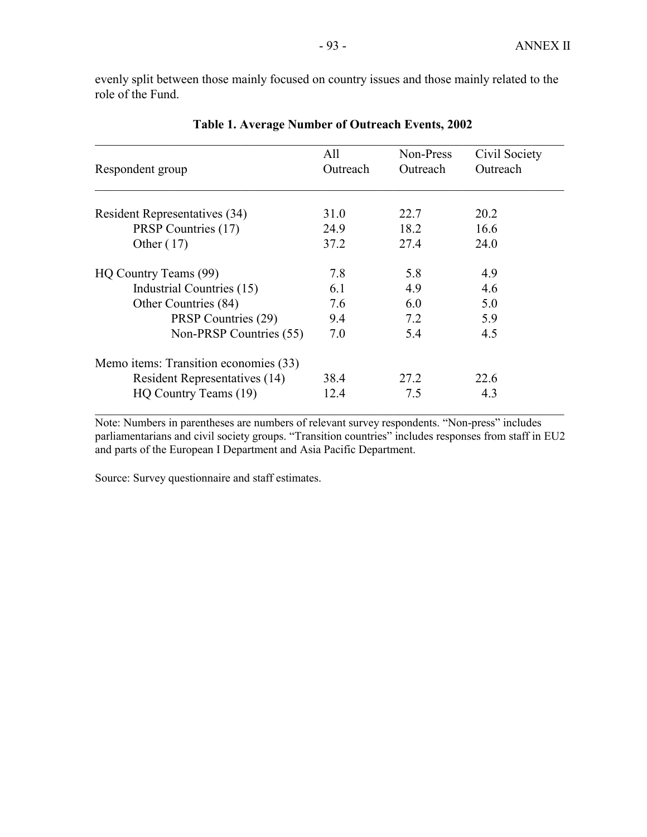evenly split between those mainly focused on country issues and those mainly related to the role of the Fund.

| Respondent group                      | All<br>Outreach | Non-Press<br>Outreach | Civil Society<br>Outreach |
|---------------------------------------|-----------------|-----------------------|---------------------------|
|                                       |                 |                       |                           |
| Resident Representatives (34)         | 31.0            | 22.7                  | 20.2                      |
| PRSP Countries (17)                   | 24.9            | 18.2                  | 16.6                      |
| Other $(17)$                          | 37.2            | 27.4                  | 24.0                      |
| HQ Country Teams (99)                 | 7.8             | 5.8                   | 4.9                       |
| Industrial Countries (15)             | 6.1             | 4.9                   | 4.6                       |
| Other Countries (84)                  | 7.6             | 6.0                   | 5.0                       |
| PRSP Countries (29)                   | 9.4             | 7.2                   | 5.9                       |
| Non-PRSP Countries (55)               | 7.0             | 5.4                   | 4.5                       |
| Memo items: Transition economies (33) |                 |                       |                           |
| Resident Representatives (14)         | 38.4            | 27.2                  | 22.6                      |
| HQ Country Teams (19)                 | 12.4            | 7.5                   | 4.3                       |

**Table 1. Average Number of Outreach Events, 2002** 

Note: Numbers in parentheses are numbers of relevant survey respondents. "Non-press" includes parliamentarians and civil society groups. "Transition countries" includes responses from staff in EU2 and parts of the European I Department and Asia Pacific Department.

Source: Survey questionnaire and staff estimates.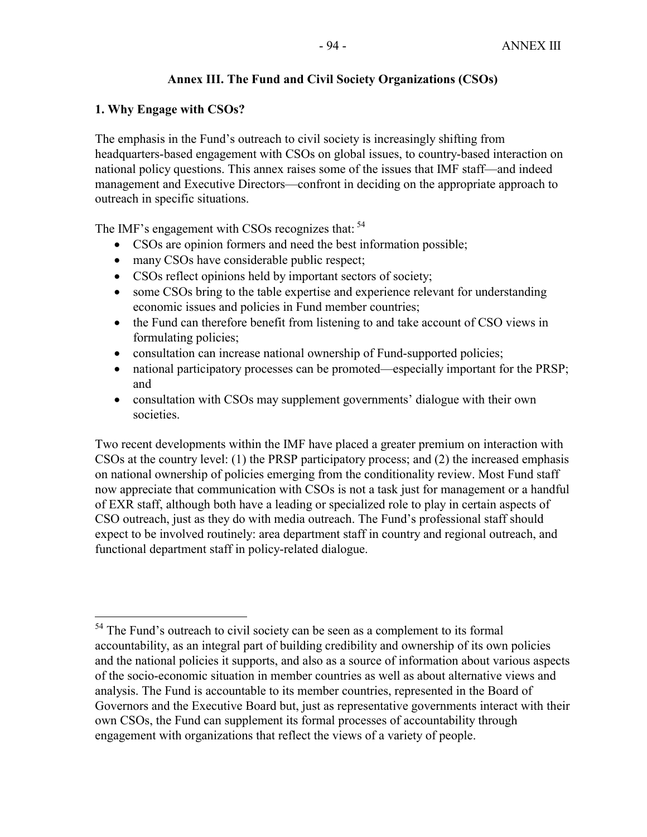# **Annex III. The Fund and Civil Society Organizations (CSOs)**

### **1. Why Engage with CSOs?**

1

The emphasis in the Fund's outreach to civil society is increasingly shifting from headquarters-based engagement with CSOs on global issues, to country-based interaction on national policy questions. This annex raises some of the issues that IMF staff—and indeed management and Executive Directors—confront in deciding on the appropriate approach to outreach in specific situations.

The IMF's engagement with CSOs recognizes that: <sup>54</sup>

- CSOs are opinion formers and need the best information possible;
- many CSOs have considerable public respect;
- CSOs reflect opinions held by important sectors of society;
- some CSOs bring to the table expertise and experience relevant for understanding economic issues and policies in Fund member countries;
- the Fund can therefore benefit from listening to and take account of CSO views in formulating policies;
- consultation can increase national ownership of Fund-supported policies;
- national participatory processes can be promoted—especially important for the PRSP; and
- consultation with CSOs may supplement governments' dialogue with their own societies.

Two recent developments within the IMF have placed a greater premium on interaction with CSOs at the country level: (1) the PRSP participatory process; and (2) the increased emphasis on national ownership of policies emerging from the conditionality review. Most Fund staff now appreciate that communication with CSOs is not a task just for management or a handful of EXR staff, although both have a leading or specialized role to play in certain aspects of CSO outreach, just as they do with media outreach. The Fund's professional staff should expect to be involved routinely: area department staff in country and regional outreach, and functional department staff in policy-related dialogue.

<sup>&</sup>lt;sup>54</sup> The Fund's outreach to civil society can be seen as a complement to its formal accountability, as an integral part of building credibility and ownership of its own policies and the national policies it supports, and also as a source of information about various aspects of the socio-economic situation in member countries as well as about alternative views and analysis. The Fund is accountable to its member countries, represented in the Board of Governors and the Executive Board but, just as representative governments interact with their own CSOs, the Fund can supplement its formal processes of accountability through engagement with organizations that reflect the views of a variety of people.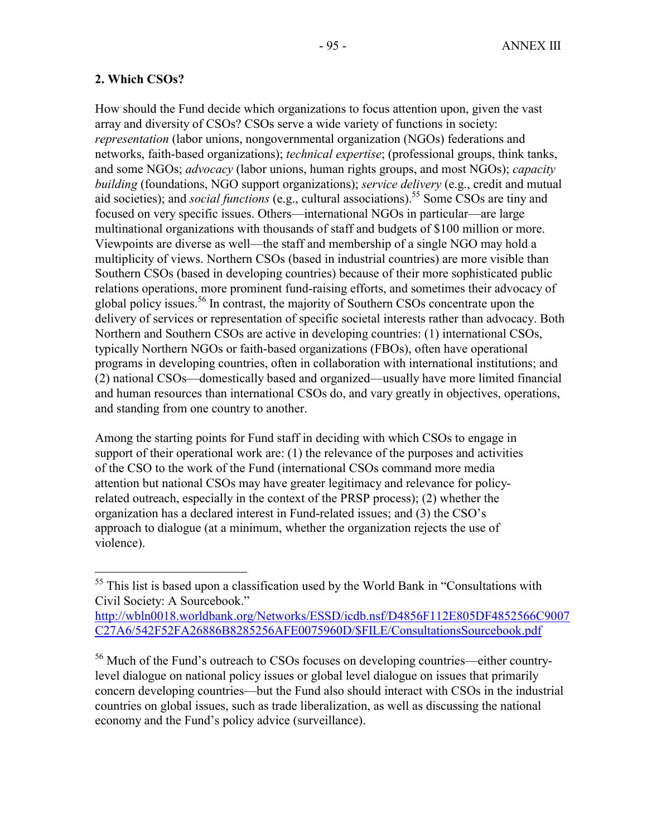### **2. Which CSOs?**

 $\overline{a}$ 

How should the Fund decide which organizations to focus attention upon, given the vast array and diversity of CSOs? CSOs serve a wide variety of functions in society: *representation* (labor unions, nongovernmental organization (NGOs) federations and networks, faith-based organizations); *technical expertise*; (professional groups, think tanks, and some NGOs; *advocacy* (labor unions, human rights groups, and most NGOs); *capacity building* (foundations, NGO support organizations); *service delivery* (e.g., credit and mutual aid societies); and *social functions* (e.g., cultural associations).<sup>55</sup> Some CSOs are tiny and focused on very specific issues. Others—international NGOs in particular—are large multinational organizations with thousands of staff and budgets of \$100 million or more. Viewpoints are diverse as well—the staff and membership of a single NGO may hold a multiplicity of views. Northern CSOs (based in industrial countries) are more visible than Southern CSOs (based in developing countries) because of their more sophisticated public relations operations, more prominent fund-raising efforts, and sometimes their advocacy of global policy issues.56 In contrast, the majority of Southern CSOs concentrate upon the delivery of services or representation of specific societal interests rather than advocacy. Both Northern and Southern CSOs are active in developing countries: (1) international CSOs, typically Northern NGOs or faith-based organizations (FBOs), often have operational programs in developing countries, often in collaboration with international institutions; and (2) national CSOs—domestically based and organized—usually have more limited financial and human resources than international CSOs do, and vary greatly in objectives, operations, and standing from one country to another.

Among the starting points for Fund staff in deciding with which CSOs to engage in support of their operational work are: (1) the relevance of the purposes and activities of the CSO to the work of the Fund (international CSOs command more media attention but national CSOs may have greater legitimacy and relevance for policyrelated outreach, especially in the context of the PRSP process); (2) whether the organization has a declared interest in Fund-related issues; and (3) the CSO's approach to dialogue (at a minimum, whether the organization rejects the use of violence).

 $<sup>55</sup>$  This list is based upon a classification used by the World Bank in "Consultations with</sup> Civil Society: A Sourcebook."

http://wbln0018.worldbank.org/Networks/ESSD/icdb.nsf/D4856F112E805DF4852566C9007 C27A6/542F52FA26886B8285256AFE0075960D/\$FILE/ConsultationsSourcebook.pdf

<sup>&</sup>lt;sup>56</sup> Much of the Fund's outreach to CSOs focuses on developing countries—either countrylevel dialogue on national policy issues or global level dialogue on issues that primarily concern developing countries—but the Fund also should interact with CSOs in the industrial countries on global issues, such as trade liberalization, as well as discussing the national economy and the Fund's policy advice (surveillance).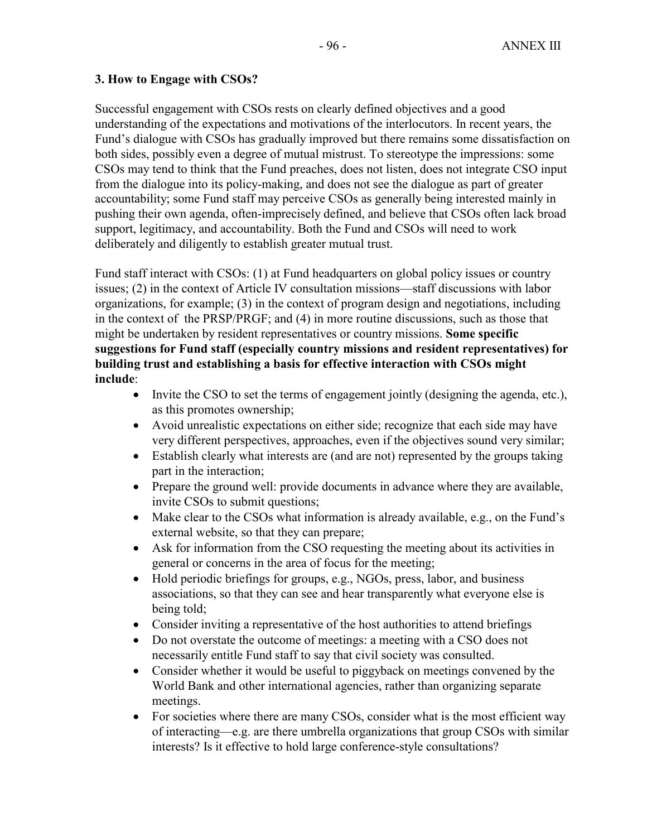# **3. How to Engage with CSOs?**

Successful engagement with CSOs rests on clearly defined objectives and a good understanding of the expectations and motivations of the interlocutors. In recent years, the Fund's dialogue with CSOs has gradually improved but there remains some dissatisfaction on both sides, possibly even a degree of mutual mistrust. To stereotype the impressions: some CSOs may tend to think that the Fund preaches, does not listen, does not integrate CSO input from the dialogue into its policy-making, and does not see the dialogue as part of greater accountability; some Fund staff may perceive CSOs as generally being interested mainly in pushing their own agenda, often-imprecisely defined, and believe that CSOs often lack broad support, legitimacy, and accountability. Both the Fund and CSOs will need to work deliberately and diligently to establish greater mutual trust.

Fund staff interact with CSOs: (1) at Fund headquarters on global policy issues or country issues; (2) in the context of Article IV consultation missions—staff discussions with labor organizations, for example; (3) in the context of program design and negotiations, including in the context of the PRSP/PRGF; and (4) in more routine discussions, such as those that might be undertaken by resident representatives or country missions. **Some specific suggestions for Fund staff (especially country missions and resident representatives) for building trust and establishing a basis for effective interaction with CSOs might include**:

- Invite the CSO to set the terms of engagement jointly (designing the agenda, etc.), as this promotes ownership;
- Avoid unrealistic expectations on either side; recognize that each side may have very different perspectives, approaches, even if the objectives sound very similar;
- Establish clearly what interests are (and are not) represented by the groups taking part in the interaction;
- Prepare the ground well: provide documents in advance where they are available, invite CSOs to submit questions;
- Make clear to the CSOs what information is already available, e.g., on the Fund's external website, so that they can prepare;
- Ask for information from the CSO requesting the meeting about its activities in general or concerns in the area of focus for the meeting;
- Hold periodic briefings for groups, e.g., NGOs, press, labor, and business associations, so that they can see and hear transparently what everyone else is being told;
- Consider inviting a representative of the host authorities to attend briefings
- Do not overstate the outcome of meetings: a meeting with a CSO does not necessarily entitle Fund staff to say that civil society was consulted.
- Consider whether it would be useful to piggyback on meetings convened by the World Bank and other international agencies, rather than organizing separate meetings.
- For societies where there are many CSOs, consider what is the most efficient way of interacting—e.g. are there umbrella organizations that group CSOs with similar interests? Is it effective to hold large conference-style consultations?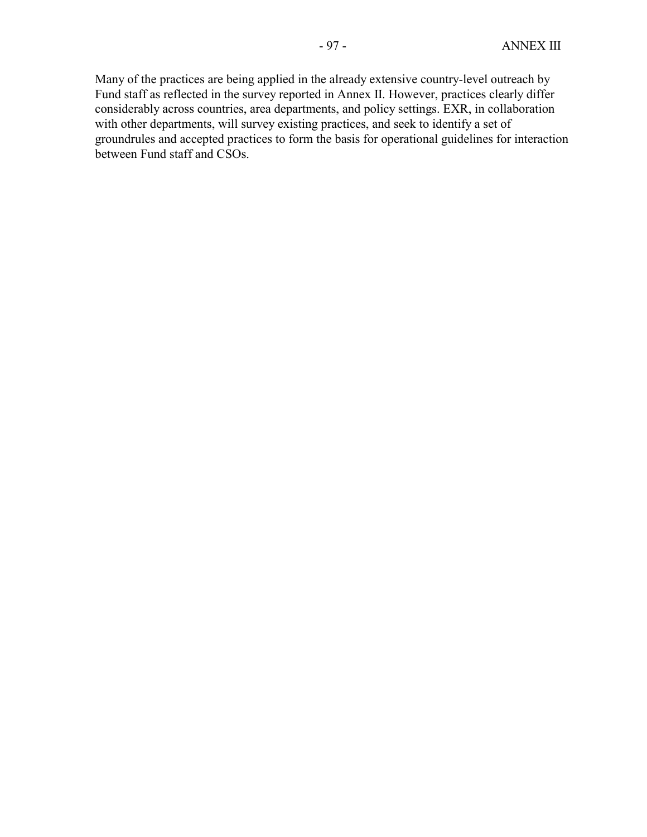Many of the practices are being applied in the already extensive country-level outreach by Fund staff as reflected in the survey reported in Annex II. However, practices clearly differ considerably across countries, area departments, and policy settings. EXR, in collaboration with other departments, will survey existing practices, and seek to identify a set of groundrules and accepted practices to form the basis for operational guidelines for interaction between Fund staff and CSOs.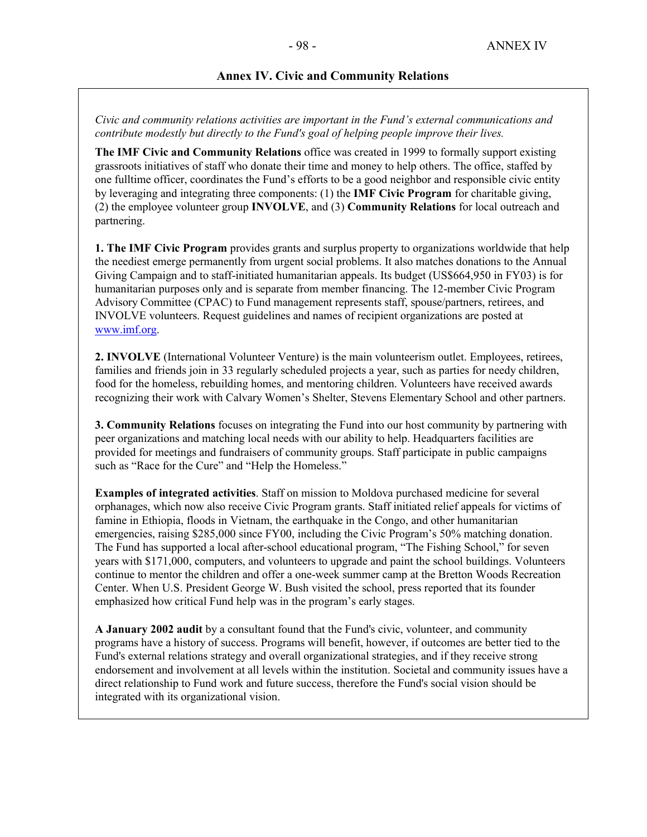#### **Annex IV. Civic and Community Relations**

*Civic and community relations activities are important in the Fund's external communications and contribute modestly but directly to the Fund's goal of helping people improve their lives.* 

**The IMF Civic and Community Relations** office was created in 1999 to formally support existing grassroots initiatives of staff who donate their time and money to help others. The office, staffed by one fulltime officer, coordinates the Fund's efforts to be a good neighbor and responsible civic entity by leveraging and integrating three components: (1) the **IMF Civic Program** for charitable giving, (2) the employee volunteer group **INVOLVE**, and (3) **Community Relations** for local outreach and partnering.

**1. The IMF Civic Program** provides grants and surplus property to organizations worldwide that help the neediest emerge permanently from urgent social problems. It also matches donations to the Annual Giving Campaign and to staff-initiated humanitarian appeals. Its budget (US\$664,950 in FY03) is for humanitarian purposes only and is separate from member financing. The 12-member Civic Program Advisory Committee (CPAC) to Fund management represents staff, spouse/partners, retirees, and INVOLVE volunteers. Request guidelines and names of recipient organizations are posted at www.imf.org.

**2. INVOLVE** (International Volunteer Venture) is the main volunteerism outlet. Employees, retirees, families and friends join in 33 regularly scheduled projects a year, such as parties for needy children, food for the homeless, rebuilding homes, and mentoring children. Volunteers have received awards recognizing their work with Calvary Women's Shelter, Stevens Elementary School and other partners.

**3. Community Relations** focuses on integrating the Fund into our host community by partnering with peer organizations and matching local needs with our ability to help. Headquarters facilities are provided for meetings and fundraisers of community groups. Staff participate in public campaigns such as "Race for the Cure" and "Help the Homeless."

**Examples of integrated activities**. Staff on mission to Moldova purchased medicine for several orphanages, which now also receive Civic Program grants. Staff initiated relief appeals for victims of famine in Ethiopia, floods in Vietnam, the earthquake in the Congo, and other humanitarian emergencies, raising \$285,000 since FY00, including the Civic Program's 50% matching donation. The Fund has supported a local after-school educational program, "The Fishing School," for seven years with \$171,000, computers, and volunteers to upgrade and paint the school buildings. Volunteers continue to mentor the children and offer a one-week summer camp at the Bretton Woods Recreation Center. When U.S. President George W. Bush visited the school, press reported that its founder emphasized how critical Fund help was in the program's early stages.

**A January 2002 audit** by a consultant found that the Fund's civic, volunteer, and community programs have a history of success. Programs will benefit, however, if outcomes are better tied to the Fund's external relations strategy and overall organizational strategies, and if they receive strong endorsement and involvement at all levels within the institution. Societal and community issues have a direct relationship to Fund work and future success, therefore the Fund's social vision should be integrated with its organizational vision.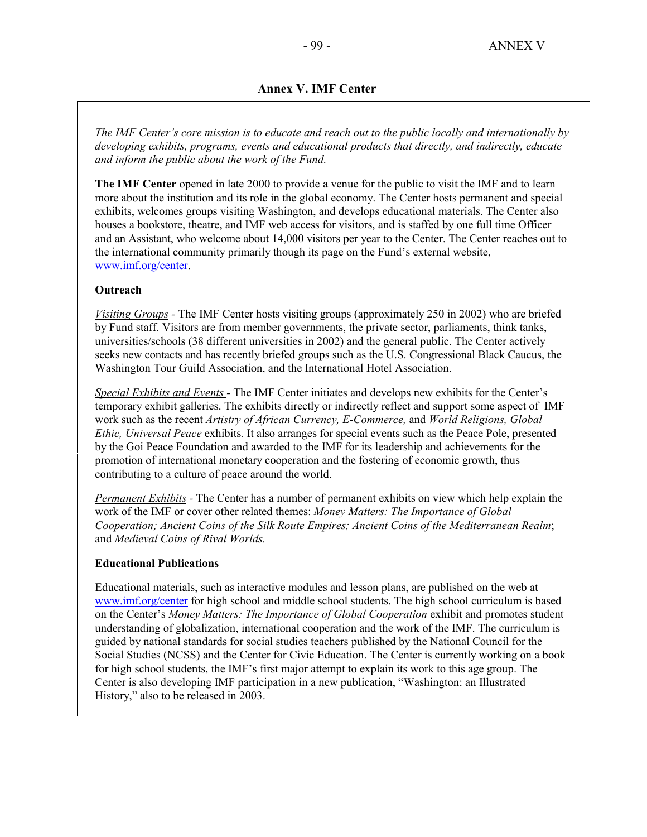### **Annex V. IMF Center**

*The IMF Center's core mission is to educate and reach out to the public locally and internationally by developing exhibits, programs, events and educational products that directly, and indirectly, educate and inform the public about the work of the Fund.* 

**The IMF Center** opened in late 2000 to provide a venue for the public to visit the IMF and to learn more about the institution and its role in the global economy. The Center hosts permanent and special exhibits, welcomes groups visiting Washington, and develops educational materials. The Center also houses a bookstore, theatre, and IMF web access for visitors, and is staffed by one full time Officer and an Assistant, who welcome about 14,000 visitors per year to the Center. The Center reaches out to the international community primarily though its page on the Fund's external website, www.imf.org/center.

#### **Outreach**

*Visiting Groups -* The IMF Center hosts visiting groups (approximately 250 in 2002) who are briefed by Fund staff. Visitors are from member governments, the private sector, parliaments, think tanks, universities/schools (38 different universities in 2002) and the general public. The Center actively seeks new contacts and has recently briefed groups such as the U.S. Congressional Black Caucus, the Washington Tour Guild Association, and the International Hotel Association.

*Special Exhibits and Events -* The IMF Center initiates and develops new exhibits for the Center's temporary exhibit galleries. The exhibits directly or indirectly reflect and support some aspect of IMF work such as the recent *Artistry of African Currency, E-Commerce,* and *World Religions, Global Ethic, Universal Peace* exhibits*.* It also arranges for special events such as the Peace Pole, presented by the Goi Peace Foundation and awarded to the IMF for its leadership and achievements for the promotion of international monetary cooperation and the fostering of economic growth, thus contributing to a culture of peace around the world.

*Permanent Exhibits -* The Center has a number of permanent exhibits on view which help explain the work of the IMF or cover other related themes: *Money Matters: The Importance of Global Cooperation; Ancient Coins of the Silk Route Empires; Ancient Coins of the Mediterranean Realm*; and *Medieval Coins of Rival Worlds.* 

#### **Educational Publications**

Educational materials, such as interactive modules and lesson plans, are published on the web at www.imf.org/center for high school and middle school students. The high school curriculum is based on the Center's *Money Matters: The Importance of Global Cooperation* exhibit and promotes student understanding of globalization, international cooperation and the work of the IMF. The curriculum is guided by national standards for social studies teachers published by the National Council for the Social Studies (NCSS) and the Center for Civic Education. The Center is currently working on a book for high school students, the IMF's first major attempt to explain its work to this age group. The Center is also developing IMF participation in a new publication, "Washington: an Illustrated History," also to be released in 2003.